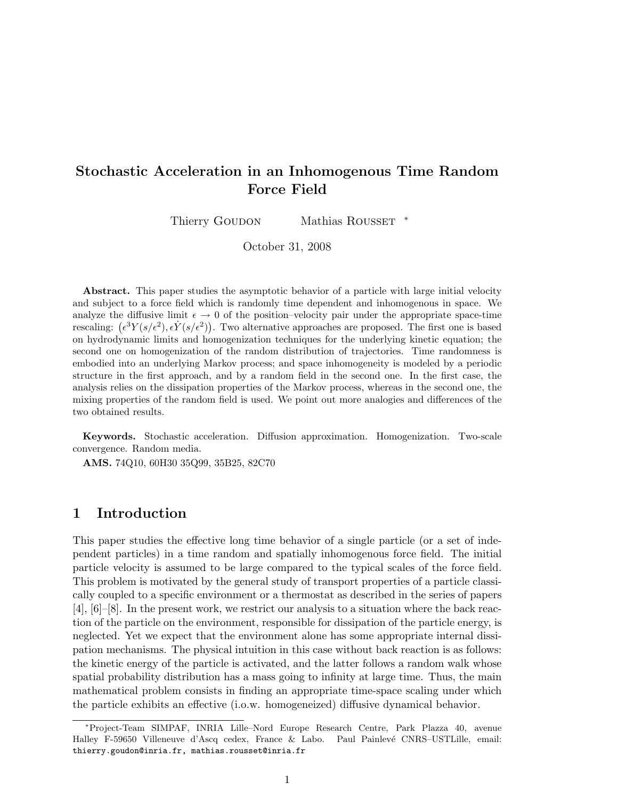## Stochastic Acceleration in an Inhomogenous Time Random Force Field

Thierry GOUDON Mathias ROUSSET \*

October 31, 2008

Abstract. This paper studies the asymptotic behavior of a particle with large initial velocity and subject to a force field which is randomly time dependent and inhomogenous in space. We analyze the diffusive limit  $\epsilon \to 0$  of the position–velocity pair under the appropriate space-time rescaling:  $(\epsilon^3 Y(s/\epsilon^2), \epsilon \dot{Y}(s/\epsilon^2))$ . Two alternative approaches are proposed. The first one is based on hydrodynamic limits and homogenization techniques for the underlying kinetic equation; the second one on homogenization of the random distribution of trajectories. Time randomness is embodied into an underlying Markov process; and space inhomogeneity is modeled by a periodic structure in the first approach, and by a random field in the second one. In the first case, the analysis relies on the dissipation properties of the Markov process, whereas in the second one, the mixing properties of the random field is used. We point out more analogies and differences of the two obtained results.

Keywords. Stochastic acceleration. Diffusion approximation. Homogenization. Two-scale convergence. Random media.

AMS. 74Q10, 60H30 35Q99, 35B25, 82C70

## 1 Introduction

This paper studies the effective long time behavior of a single particle (or a set of independent particles) in a time random and spatially inhomogenous force field. The initial particle velocity is assumed to be large compared to the typical scales of the force field. This problem is motivated by the general study of transport properties of a particle classically coupled to a specific environment or a thermostat as described in the series of papers [4], [6]–[8]. In the present work, we restrict our analysis to a situation where the back reaction of the particle on the environment, responsible for dissipation of the particle energy, is neglected. Yet we expect that the environment alone has some appropriate internal dissipation mechanisms. The physical intuition in this case without back reaction is as follows: the kinetic energy of the particle is activated, and the latter follows a random walk whose spatial probability distribution has a mass going to infinity at large time. Thus, the main mathematical problem consists in finding an appropriate time-space scaling under which the particle exhibits an effective (i.o.w. homogeneized) diffusive dynamical behavior.

<sup>∗</sup>Project-Team SIMPAF, INRIA Lille–Nord Europe Research Centre, Park Plazza 40, avenue Halley F-59650 Villeneuve d'Ascq cedex, France & Labo. Paul Painlevé CNRS–USTLille, email: thierry.goudon@inria.fr, mathias.rousset@inria.fr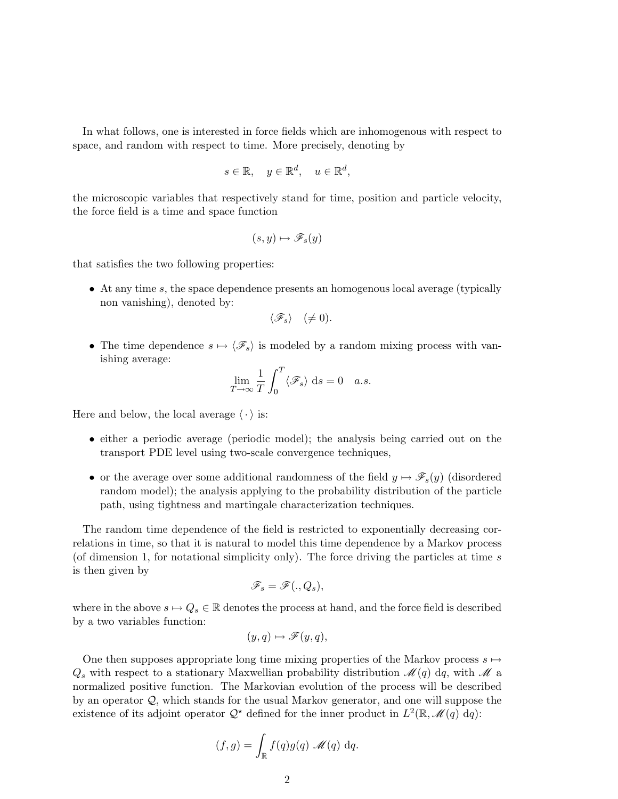In what follows, one is interested in force fields which are inhomogenous with respect to space, and random with respect to time. More precisely, denoting by

$$
s \in \mathbb{R}, \quad y \in \mathbb{R}^d, \quad u \in \mathbb{R}^d,
$$

the microscopic variables that respectively stand for time, position and particle velocity, the force field is a time and space function

$$
(s,y)\mapsto \mathscr{F}_s(y)
$$

that satisfies the two following properties:

• At any time s, the space dependence presents an homogenous local average (typically non vanishing), denoted by:

$$
\langle \mathscr{F}_s \rangle \quad (\neq 0).
$$

• The time dependence  $s \mapsto \langle \mathscr{F}_s \rangle$  is modeled by a random mixing process with vanishing average:

$$
\lim_{T \to \infty} \frac{1}{T} \int_0^T \langle \mathcal{F}_s \rangle \, \mathrm{d}s = 0 \quad a.s.
$$

Here and below, the local average  $\langle \cdot \rangle$  is:

- either a periodic average (periodic model); the analysis being carried out on the transport PDE level using two-scale convergence techniques,
- or the average over some additional randomness of the field  $y \mapsto \mathscr{F}_s(y)$  (disordered random model); the analysis applying to the probability distribution of the particle path, using tightness and martingale characterization techniques.

The random time dependence of the field is restricted to exponentially decreasing correlations in time, so that it is natural to model this time dependence by a Markov process (of dimension 1, for notational simplicity only). The force driving the particles at time s is then given by

$$
\mathscr{F}_s=\mathscr{F}(.,Q_s),
$$

where in the above  $s \mapsto Q_s \in \mathbb{R}$  denotes the process at hand, and the force field is described by a two variables function:

$$
(y,q)\mapsto \mathscr{F}(y,q),
$$

One then supposes appropriate long time mixing properties of the Markov process  $s \mapsto$  $Q_s$  with respect to a stationary Maxwellian probability distribution  $\mathcal{M}(q)$  dq, with  $\mathcal M$  a normalized positive function. The Markovian evolution of the process will be described by an operator  $\mathcal{Q}$ , which stands for the usual Markov generator, and one will suppose the existence of its adjoint operator  $\mathcal{Q}^*$  defined for the inner product in  $L^2(\mathbb{R}, \mathcal{M}(q)$  dq):

$$
(f,g) = \int_{\mathbb{R}} f(q)g(q) \mathcal{M}(q) dq.
$$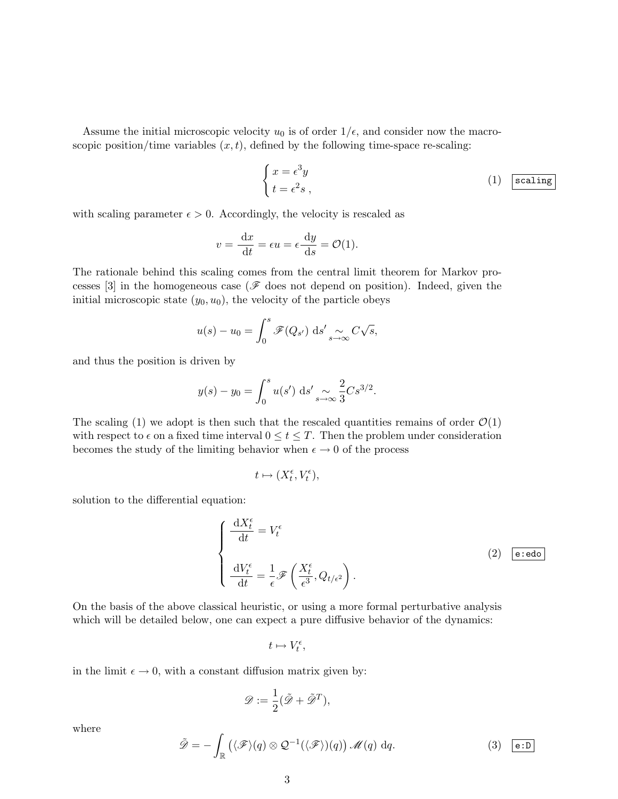Assume the initial microscopic velocity  $u_0$  is of order  $1/\epsilon$ , and consider now the macroscopic position/time variables  $(x, t)$ , defined by the following time-space re-scaling:

$$
\begin{cases}\nx = \epsilon^3 y \\
t = \epsilon^2 s\n\end{cases}
$$
\n(1)  $\boxed{\text{scaling}}$ 

with scaling parameter  $\epsilon > 0$ . Accordingly, the velocity is rescaled as

$$
v = \frac{\mathrm{d}x}{\mathrm{d}t} = \epsilon u = \epsilon \frac{\mathrm{d}y}{\mathrm{d}s} = \mathcal{O}(1).
$$

The rationale behind this scaling comes from the central limit theorem for Markov processes [3] in the homogeneous case ( $\mathscr F$  does not depend on position). Indeed, given the initial microscopic state  $(y_0, u_0)$ , the velocity of the particle obeys

$$
u(s) - u_0 = \int_0^s \mathscr{F}(Q_{s'}) \, \mathrm{d}s' \underset{s \to \infty}{\sim} C\sqrt{s},
$$

and thus the position is driven by

$$
y(s) - y_0 = \int_0^s u(s') \, ds' \sim \frac{2}{s^3} C s^{3/2}.
$$

The scaling (1) we adopt is then such that the rescaled quantities remains of order  $\mathcal{O}(1)$ with respect to  $\epsilon$  on a fixed time interval  $0 \le t \le T$ . Then the problem under consideration becomes the study of the limiting behavior when  $\epsilon \to 0$  of the process

$$
t\mapsto (X_t^\epsilon, V_t^\epsilon),
$$

solution to the differential equation:

$$
\begin{cases}\n\frac{\mathrm{d}X_t^{\epsilon}}{\mathrm{d}t} = V_t^{\epsilon} \\
\frac{\mathrm{d}V_t^{\epsilon}}{\mathrm{d}t} = \frac{1}{\epsilon} \mathcal{F}\left(\frac{X_t^{\epsilon}}{\epsilon^3}, Q_{t/\epsilon^2}\right).\n\end{cases}
$$
\n(2)  $\boxed{\text{e:edo}}$ 

On the basis of the above classical heuristic, or using a more formal perturbative analysis which will be detailed below, one can expect a pure diffusive behavior of the dynamics:

 $t \mapsto V_t^{\epsilon},$ 

in the limit  $\epsilon \to 0$ , with a constant diffusion matrix given by:

$$
\mathscr{D}:=\frac{1}{2}(\tilde{\mathscr{D}}+\tilde{\mathscr{D}}^T),
$$

where

$$
\tilde{\mathscr{D}} = -\int_{\mathbb{R}} \left( \langle \mathscr{F} \rangle (q) \otimes \mathcal{Q}^{-1}(\langle \mathscr{F} \rangle)(q) \right) \mathscr{M}(q) dq. \tag{3} \quad \text{(3)} \quad \boxed{\mathbf{e}:\mathbf{D}}
$$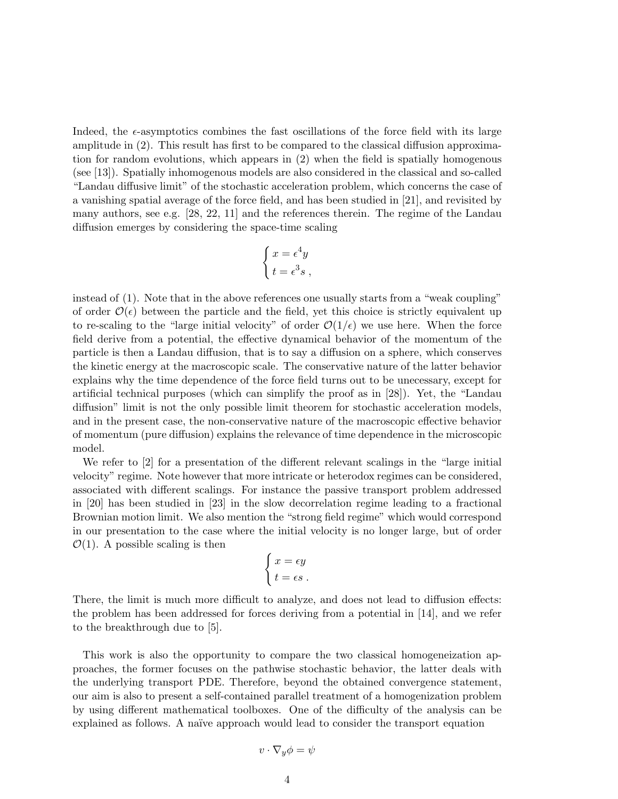Indeed, the  $\epsilon$ -asymptotics combines the fast oscillations of the force field with its large amplitude in (2). This result has first to be compared to the classical diffusion approximation for random evolutions, which appears in (2) when the field is spatially homogenous (see [13]). Spatially inhomogenous models are also considered in the classical and so-called "Landau diffusive limit" of the stochastic acceleration problem, which concerns the case of a vanishing spatial average of the force field, and has been studied in [21], and revisited by many authors, see e.g.  $[28, 22, 11]$  and the references therein. The regime of the Landau diffusion emerges by considering the space-time scaling

$$
\begin{cases}\nx = \epsilon^4 y \\
t = \epsilon^3 s\n\end{cases}
$$

instead of (1). Note that in the above references one usually starts from a "weak coupling" of order  $\mathcal{O}(\epsilon)$  between the particle and the field, yet this choice is strictly equivalent up to re-scaling to the "large initial velocity" of order  $\mathcal{O}(1/\epsilon)$  we use here. When the force field derive from a potential, the effective dynamical behavior of the momentum of the particle is then a Landau diffusion, that is to say a diffusion on a sphere, which conserves the kinetic energy at the macroscopic scale. The conservative nature of the latter behavior explains why the time dependence of the force field turns out to be unecessary, except for artificial technical purposes (which can simplify the proof as in [28]). Yet, the "Landau diffusion" limit is not the only possible limit theorem for stochastic acceleration models, and in the present case, the non-conservative nature of the macroscopic effective behavior of momentum (pure diffusion) explains the relevance of time dependence in the microscopic model.

We refer to [2] for a presentation of the different relevant scalings in the "large initial" velocity" regime. Note however that more intricate or heterodox regimes can be considered, associated with different scalings. For instance the passive transport problem addressed in [20] has been studied in [23] in the slow decorrelation regime leading to a fractional Brownian motion limit. We also mention the "strong field regime" which would correspond in our presentation to the case where the initial velocity is no longer large, but of order  $\mathcal{O}(1)$ . A possible scaling is then

$$
\begin{cases}\nx = \epsilon y \\
t = \epsilon s\n\end{cases}
$$

There, the limit is much more difficult to analyze, and does not lead to diffusion effects: the problem has been addressed for forces deriving from a potential in [14], and we refer to the breakthrough due to [5].

This work is also the opportunity to compare the two classical homogeneization approaches, the former focuses on the pathwise stochastic behavior, the latter deals with the underlying transport PDE. Therefore, beyond the obtained convergence statement, our aim is also to present a self-contained parallel treatment of a homogenization problem by using different mathematical toolboxes. One of the difficulty of the analysis can be explained as follows. A naïve approach would lead to consider the transport equation

$$
v\cdot\nabla_y\phi=\psi
$$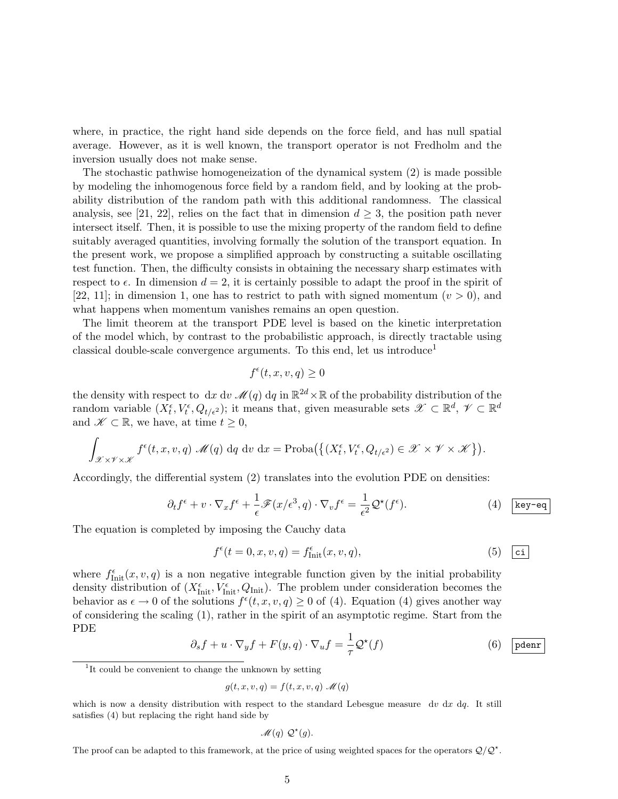where, in practice, the right hand side depends on the force field, and has null spatial average. However, as it is well known, the transport operator is not Fredholm and the inversion usually does not make sense.

The stochastic pathwise homogeneization of the dynamical system (2) is made possible by modeling the inhomogenous force field by a random field, and by looking at the probability distribution of the random path with this additional randomness. The classical analysis, see [21, 22], relies on the fact that in dimension  $d \geq 3$ , the position path never intersect itself. Then, it is possible to use the mixing property of the random field to define suitably averaged quantities, involving formally the solution of the transport equation. In the present work, we propose a simplified approach by constructing a suitable oscillating test function. Then, the difficulty consists in obtaining the necessary sharp estimates with respect to  $\epsilon$ . In dimension  $d = 2$ , it is certainly possible to adapt the proof in the spirit of [22, 11]; in dimension 1, one has to restrict to path with signed momentum  $(v > 0)$ , and what happens when momentum vanishes remains an open question.

The limit theorem at the transport PDE level is based on the kinetic interpretation of the model which, by contrast to the probabilistic approach, is directly tractable using classical double-scale convergence arguments. To this end, let us introduce<sup>1</sup>

$$
f^{\epsilon}(t, x, v, q) \ge 0
$$

the density with respect to  $dx \, dv \, \mathscr{M}(q) \, dq$  in  $\mathbb{R}^{2d} \times \mathbb{R}$  of the probability distribution of the random variable  $(X_t^{\epsilon}, V_t^{\epsilon}, Q_{t/\epsilon^2})$ ; it means that, given measurable sets  $\mathscr{X} \subset \mathbb{R}^d$ ,  $\mathscr{V} \subset \mathbb{R}^d$ and  $\mathscr{K} \subset \mathbb{R}$ , we have, at time  $t \geq 0$ ,

$$
\int_{\mathscr{X}\times\mathscr{V}\times\mathscr{K}} f^{\epsilon}(t,x,v,q) \mathscr{M}(q) dq dv dx = \text{Proba}\big(\big\{(X_t^{\epsilon}, V_t^{\epsilon}, Q_{t/\epsilon^2}) \in \mathscr{X}\times\mathscr{V}\times\mathscr{K}\big\}\big).
$$

Accordingly, the differential system (2) translates into the evolution PDE on densities:

$$
\partial_t f^{\epsilon} + v \cdot \nabla_x f^{\epsilon} + \frac{1}{\epsilon} \mathscr{F}(x/\epsilon^3, q) \cdot \nabla_v f^{\epsilon} = \frac{1}{\epsilon^2} \mathcal{Q}^{\star}(f^{\epsilon}). \tag{4}
$$
  $\boxed{\text{key-eq}}$ 

The equation is completed by imposing the Cauchy data

$$
f^{\epsilon}(t=0,x,v,q) = f^{\epsilon}_{\text{Init}}(x,v,q), \qquad (5) \quad \text{ci}
$$

where  $f_{\text{Init}}^{\epsilon}(x, v, q)$  is a non negative integrable function given by the initial probability density distribution of  $(X_{\text{Init}}^{\epsilon}, V_{\text{Init}}^{\epsilon}, Q_{\text{Init}})$ . The problem under consideration becomes the behavior as  $\epsilon \to 0$  of the solutions  $f^{\epsilon}(t, x, v, q) \ge 0$  of (4). Equation (4) gives another way of considering the scaling (1), rather in the spirit of an asymptotic regime. Start from the PDE

$$
\partial_s f + u \cdot \nabla_y f + F(y, q) \cdot \nabla_u f = \frac{1}{\tau} \mathcal{Q}^\star(f) \tag{6}
$$

$$
\mathscr{M}(q) \mathcal{Q}^*(q).
$$

The proof can be adapted to this framework, at the price of using weighted spaces for the operators  $Q/Q^*$ .

<sup>&</sup>lt;sup>1</sup>It could be convenient to change the unknown by setting

 $g(t, x, v, q) = f(t, x, v, q) \mathcal{M}(q)$ 

which is now a density distribution with respect to the standard Lebesgue measure  $dv dx dy$ . It still satisfies (4) but replacing the right hand side by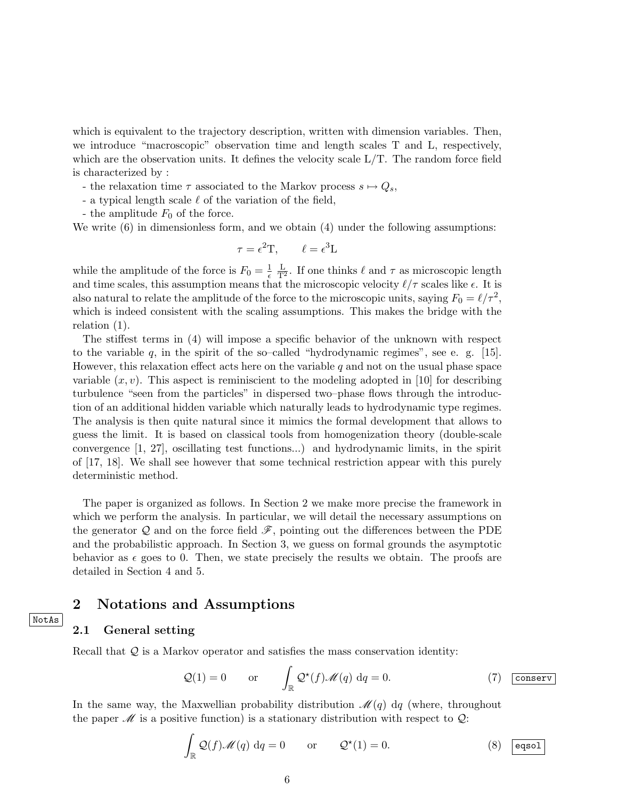which is equivalent to the trajectory description, written with dimension variables. Then, we introduce "macroscopic" observation time and length scales T and L, respectively, which are the observation units. It defines the velocity scale  $L/T$ . The random force field is characterized by :

- the relaxation time  $\tau$  associated to the Markov process  $s \mapsto Q_s$ ,
- a typical length scale  $\ell$  of the variation of the field,
- the amplitude  $F_0$  of the force.

We write  $(6)$  in dimensionless form, and we obtain  $(4)$  under the following assumptions:

$$
\tau = \epsilon^2 T, \qquad \ell = \epsilon^3 L
$$

while the amplitude of the force is  $F_0 = \frac{1}{\epsilon}$  $\overline{\epsilon}$  $\frac{L}{T^2}$ . If one thinks  $\ell$  and  $\tau$  as microscopic length and time scales, this assumption means that the microscopic velocity  $\ell/\tau$  scales like  $\epsilon$ . It is also natural to relate the amplitude of the force to the microscopic units, saying  $F_0 = \ell / \tau^2$ , which is indeed consistent with the scaling assumptions. This makes the bridge with the relation (1).

The stiffest terms in (4) will impose a specific behavior of the unknown with respect to the variable  $q$ , in the spirit of the so–called "hydrodynamic regimes", see e. g. [15]. However, this relaxation effect acts here on the variable  $q$  and not on the usual phase space variable  $(x, v)$ . This aspect is reminiscient to the modeling adopted in [10] for describing turbulence "seen from the particles" in dispersed two–phase flows through the introduction of an additional hidden variable which naturally leads to hydrodynamic type regimes. The analysis is then quite natural since it mimics the formal development that allows to guess the limit. It is based on classical tools from homogenization theory (double-scale convergence [1, 27], oscillating test functions...) and hydrodynamic limits, in the spirit of [17, 18]. We shall see however that some technical restriction appear with this purely deterministic method.

The paper is organized as follows. In Section 2 we make more precise the framework in which we perform the analysis. In particular, we will detail the necessary assumptions on the generator  $\mathcal Q$  and on the force field  $\mathcal F$ , pointing out the differences between the PDE and the probabilistic approach. In Section 3, we guess on formal grounds the asymptotic behavior as  $\epsilon$  goes to 0. Then, we state precisely the results we obtain. The proofs are detailed in Section 4 and 5.

### 2 Notations and Assumptions

#### 2.1 General setting

NotAs

Recall that Q is a Markov operator and satisfies the mass conservation identity:

$$
Q(1) = 0 \t or \t \int_{\mathbb{R}} Q^*(f) \mathcal{M}(q) dq = 0.
$$
 (7) conserv

In the same way, the Maxwellian probability distribution  $\mathcal{M}(q)$  dq (where, throughout the paper  $\mathscr M$  is a positive function) is a stationary distribution with respect to  $\mathcal Q$ :

$$
\int_{\mathbb{R}} \mathcal{Q}(f) \mathcal{M}(q) dq = 0 \quad \text{or} \quad \mathcal{Q}^*(1) = 0. \tag{8}
$$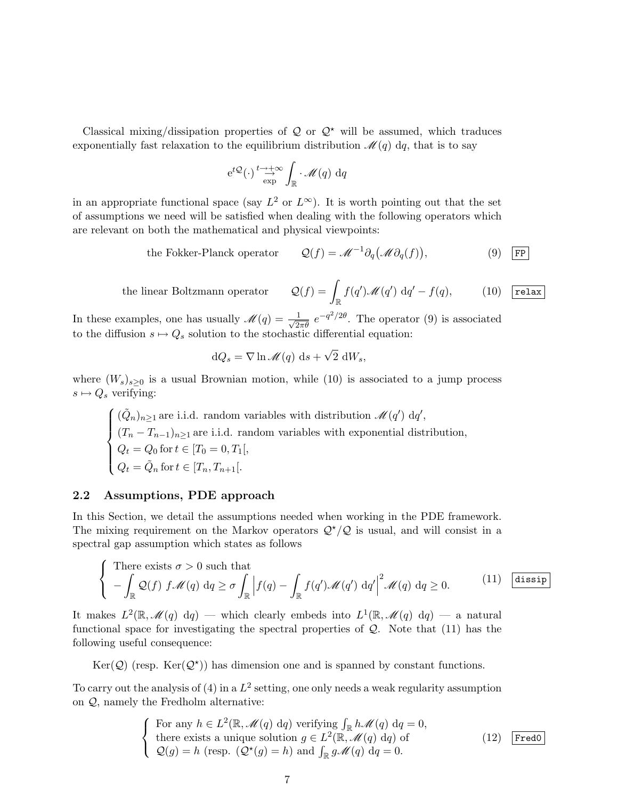Classical mixing/dissipation properties of  $\mathcal Q$  or  $\mathcal Q^*$  will be assumed, which traduces exponentially fast relaxation to the equilibrium distribution  $\mathcal{M}(q)$  dq, that is to say

$$
e^{t\mathcal{Q}}(\cdot) \stackrel{t\to +\infty}{\to} \int_{\mathbb{R}} \cdot \mathscr{M}(q) dq
$$

in an appropriate functional space (say  $L^2$  or  $L^{\infty}$ ). It is worth pointing out that the set of assumptions we need will be satisfied when dealing with the following operators which are relevant on both the mathematical and physical viewpoints:

the Fokker-Planck operator 
$$
Q(f) = \mathcal{M}^{-1} \partial_q (\mathcal{M} \partial_q(f)),
$$
 (9) [FP]

the linear Boltzmann operator

$$
\mathcal{Q}(f) = \int_{\mathbb{R}} f(q') \mathscr{M}(q') \, dq' - f(q), \quad (10) \quad \boxed{\text{relax}}
$$

In these examples, one has usually  $\mathscr{M}(q) = \frac{1}{\sqrt{2\pi\theta}} e^{-q^2/2\theta}$ . The operator (9) is associated to the diffusion  $s \mapsto Q_s$  solution to the stochastic differential equation:

$$
dQ_s = \nabla \ln \mathcal{M}(q) \, ds + \sqrt{2} \, dW_s,
$$

where  $(W_s)_{s\geq 0}$  is a usual Brownian motion, while (10) is associated to a jump process  $s \mapsto Q_s$  verifying:

 $\sqrt{ }$  $\int$  $\overline{\mathcal{L}}$  $(\tilde{Q}_n)_{n\geq 1}$  are i.i.d. random variables with distribution  $\mathcal{M}(q')$  dq',  $(T_n - T_{n-1})_{n \geq 1}$  are i.i.d. random variables with exponential distribution,  $Q_t = Q_0$  for  $t \in [T_0 = 0, T_1[,$  $Q_t = \tilde{Q}_n$  for  $t \in [T_n, T_{n+1}].$ 

#### 2.2 Assumptions, PDE approach

In this Section, we detail the assumptions needed when working in the PDE framework. The mixing requirement on the Markov operators  $\mathcal{Q}^{\star}/\mathcal{Q}$  is usual, and will consist in a spectral gap assumption which states as follows

$$
\begin{cases}\n\text{There exists } \sigma > 0 \text{ such that} \\
-\int_{\mathbb{R}} \mathcal{Q}(f) \ f \mathcal{M}(q) \ dq \ge \sigma \int_{\mathbb{R}} \left|f(q) - \int_{\mathbb{R}} f(q') \mathcal{M}(q') \ dq'\right|^2 \mathcal{M}(q) \ dq \ge 0. \end{cases}\n\tag{11} \quad \text{dissip}
$$

It makes  $L^2(\mathbb{R}, \mathscr{M}(q)$  dq) — which clearly embeds into  $L^1(\mathbb{R}, \mathscr{M}(q)$  dq) — a natural functional space for investigating the spectral properties of  $Q$ . Note that  $(11)$  has the following useful consequence:

Ker( $Q$ ) (resp. Ker( $Q^*$ )) has dimension one and is spanned by constant functions.

To carry out the analysis of (4) in a  $L^2$  setting, one only needs a weak regularity assumption on Q, namely the Fredholm alternative:

$$
\begin{cases}\n\text{For any } h \in L^{2}(\mathbb{R}, \mathcal{M}(q) \text{ d}q) \text{ verifying } \int_{\mathbb{R}} h \mathcal{M}(q) \text{ d}q = 0, \\
\text{there exists a unique solution } g \in L^{2}(\mathbb{R}, \mathcal{M}(q) \text{ d}q) \text{ of} \\
\mathcal{Q}(g) = h \text{ (resp. } (\mathcal{Q}^{*}(g) = h) \text{ and } \int_{\mathbb{R}} g \mathcal{M}(q) \text{ d}q = 0.\n\end{cases}
$$
\n(12) [Fred0]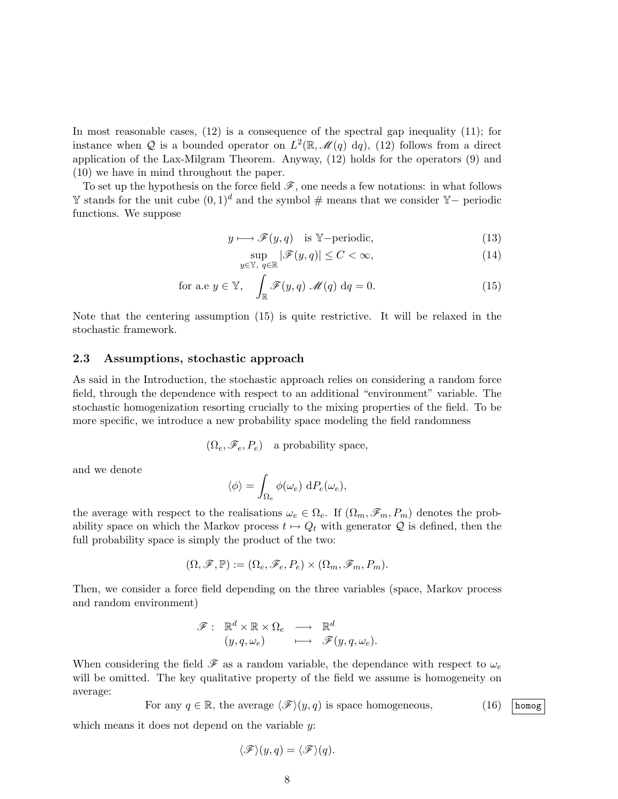In most reasonable cases, (12) is a consequence of the spectral gap inequality (11); for instance when Q is a bounded operator on  $L^2(\mathbb{R}, \mathcal{M}(q) \, dq)$ , (12) follows from a direct application of the Lax-Milgram Theorem. Anyway, (12) holds for the operators (9) and (10) we have in mind throughout the paper.

To set up the hypothesis on the force field  $\mathscr{F}$ , one needs a few notations: in what follows  $\mathbb Y$  stands for the unit cube  $(0, 1)^d$  and the symbol # means that we consider  $\mathbb Y$ − periodic functions. We suppose

$$
y \longmapsto \mathscr{F}(y, q) \quad \text{is } \mathbb{Y}\text{-periodic},\tag{13}
$$

$$
\sup_{y \in \mathbb{Y}, q \in \mathbb{R}} |\mathcal{F}(y, q)| \le C < \infty,
$$
\n(14)

for a.e 
$$
y \in \mathbb{Y}
$$
,  $\int_{\mathbb{R}} \mathscr{F}(y, q) \mathscr{M}(q) dq = 0.$  (15)

Note that the centering assumption (15) is quite restrictive. It will be relaxed in the stochastic framework.

#### 2.3 Assumptions, stochastic approach

As said in the Introduction, the stochastic approach relies on considering a random force field, through the dependence with respect to an additional "environment" variable. The stochastic homogenization resorting crucially to the mixing properties of the field. To be more specific, we introduce a new probability space modeling the field randomness

$$
(\Omega_e, \mathscr{F}_e, P_e)
$$
 a probability space,

and we denote

$$
\langle \phi \rangle = \int_{\Omega_e} \phi(\omega_e) \, dP_e(\omega_e),
$$

the average with respect to the realisations  $\omega_e \in \Omega_e$ . If  $(\Omega_m, \mathscr{F}_m, P_m)$  denotes the probability space on which the Markov process  $t \mapsto Q_t$  with generator  $Q$  is defined, then the full probability space is simply the product of the two:

$$
(\Omega,\mathscr{F},\mathbb{P}):=(\Omega_e,\mathscr{F}_e,P_e)\times (\Omega_m,\mathscr{F}_m,P_m).
$$

Then, we consider a force field depending on the three variables (space, Markov process and random environment)

$$
\mathscr{F}: \quad \mathbb{R}^d \times \mathbb{R} \times \Omega_e \quad \longrightarrow \quad \mathbb{R}^d \quad (y, q, \omega_e) \quad \longmapsto \quad \mathscr{F}(y, q, \omega_e).
$$

When considering the field  $\mathscr F$  as a random variable, the dependance with respect to  $\omega_e$ will be omitted. The key qualitative property of the field we assume is homogeneity on average:

For any  $q \in \mathbb{R}$ , the average  $\langle \mathcal{F} \rangle(y, q)$  is space homogeneous, (16) homog

which means it does not depend on the variable y:

$$
\langle \mathscr{F} \rangle(y,q) = \langle \mathscr{F} \rangle(q).
$$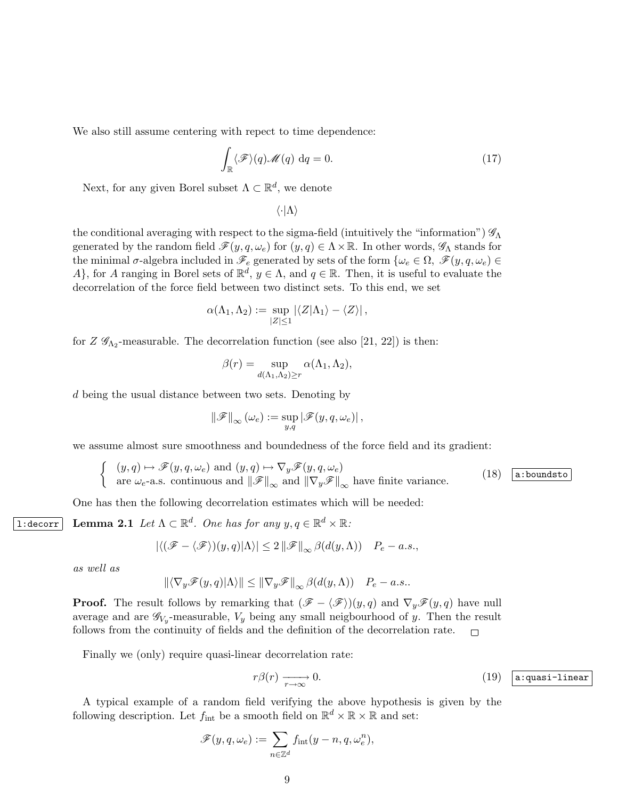We also still assume centering with repect to time dependence:

$$
\int_{\mathbb{R}} \langle \mathcal{F} \rangle(q) \mathcal{M}(q) dq = 0.
$$
\n(17)

Next, for any given Borel subset  $\Lambda \subset \mathbb{R}^d$ , we denote

$$
\langle \cdot | \Lambda \rangle
$$

the conditional averaging with respect to the sigma-field (intuitively the "information")  $\mathscr{G}_{\Lambda}$ generated by the random field  $\mathscr{F}(y, q, \omega_e)$  for  $(y, q) \in \Lambda \times \mathbb{R}$ . In other words,  $\mathscr{G}_{\Lambda}$  stands for the minimal  $\sigma$ -algebra included in  $\mathscr{F}_e$  generated by sets of the form  $\{\omega_e \in \Omega, \ \mathscr{F}(y, q, \omega_e) \in$ A, for A ranging in Borel sets of  $\mathbb{R}^d$ ,  $y \in \Lambda$ , and  $q \in \mathbb{R}$ . Then, it is useful to evaluate the decorrelation of the force field between two distinct sets. To this end, we set

$$
\alpha(\Lambda_1, \Lambda_2) := \sup_{|Z| \le 1} |\langle Z|\Lambda_1\rangle - \langle Z\rangle|,
$$

for  $Z \mathscr{G}_{\Lambda_2}$ -measurable. The decorrelation function (see also [21, 22]) is then:

$$
\beta(r) = \sup_{d(\Lambda_1, \Lambda_2) \ge r} \alpha(\Lambda_1, \Lambda_2),
$$

d being the usual distance between two sets. Denoting by

$$
\left\|\mathscr{F}\right\|_{\infty}(\omega_e) := \sup_{y,q} \left|\mathscr{F}(y,q,\omega_e)\right|,
$$

we assume almost sure smoothness and boundedness of the force field and its gradient:

$$
\begin{cases}\n(y, q) \mapsto \mathscr{F}(y, q, \omega_e) \text{ and } (y, q) \mapsto \nabla_y \mathscr{F}(y, q, \omega_e) \\
\text{are } \omega_e \text{-a.s. continuous and } \|\mathscr{F}\|_{\infty} \text{ and } \|\nabla_y \mathscr{F}\|_{\infty} \text{ have finite variance.} \n\end{cases}
$$
\n(18) (a:boundst)

One has then the following decorrelation estimates which will be needed:

**1:decorr** Lemma 2.1 Let  $\Lambda \subset \mathbb{R}^d$ . One has for any  $y, q \in \mathbb{R}^d \times \mathbb{R}$ .

$$
|\langle (\mathscr{F} - \langle \mathscr{F} \rangle)(y, q) | \Lambda \rangle| \leq 2 \|\mathscr{F}\|_{\infty} \beta(d(y, \Lambda)) \quad P_e - a.s.,
$$

as well as

$$
\|\langle \nabla_y \mathscr{F}(y, q) | \Lambda \rangle \| \leq \|\nabla_y \mathscr{F}\|_{\infty} \beta(d(y, \Lambda)) \quad P_e - a.s..
$$

**Proof.** The result follows by remarking that  $(\mathscr{F} - \langle \mathscr{F} \rangle)(y, q)$  and  $\nabla_y \mathscr{F}(y, q)$  have null average and are  $\mathscr{G}_{V_y}$ -measurable,  $V_y$  being any small neigbourhood of y. Then the result follows from the continuity of fields and the definition of the decorrelation rate.  $\Box$ 

Finally we (only) require quasi-linear decorrelation rate:

$$
r\beta(r) \xrightarrow[r \to \infty]{} 0.
$$
 (19) [a:quasi-linear]

A typical example of a random field verifying the above hypothesis is given by the following description. Let  $f_{\text{int}}$  be a smooth field on  $\mathbb{R}^d \times \mathbb{R} \times \mathbb{R}$  and set:

$$
\mathscr{F}(y,q,\omega_e):=\sum_{n\in\mathbb{Z}^d}f_{\rm int}(y-n,q,\omega_e^n),
$$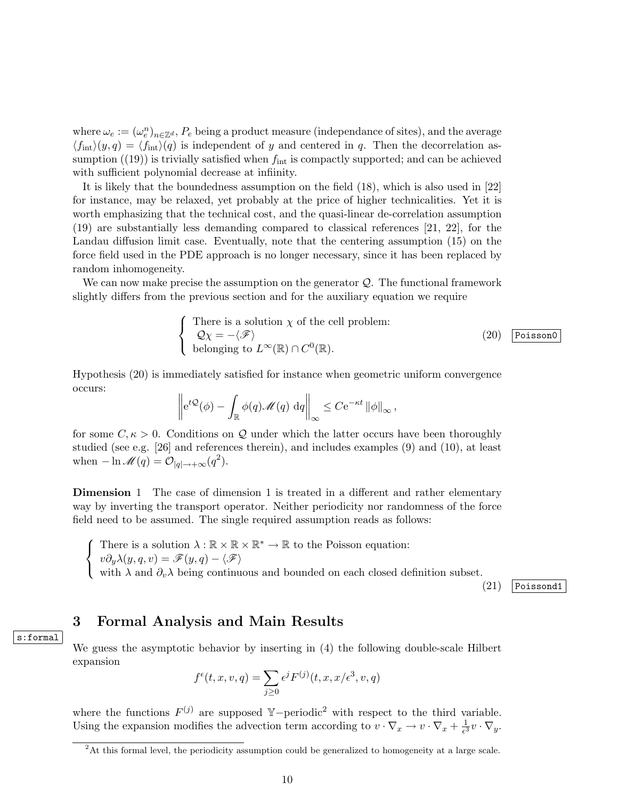where  $\omega_e := (\omega_e^n)_{n \in \mathbb{Z}^d}$ ,  $P_e$  being a product measure (independance of sites), and the average  $\langle f_{\text{int}}(y, q) = \langle f_{\text{int}}(q) \rangle$  is independent of y and centered in q. Then the decorrelation assumption  $(19)$  is trivially satisfied when  $f_{\text{int}}$  is compactly supported; and can be achieved with sufficient polynomial decrease at infiinity.

It is likely that the boundedness assumption on the field (18), which is also used in [22] for instance, may be relaxed, yet probably at the price of higher technicalities. Yet it is worth emphasizing that the technical cost, and the quasi-linear de-correlation assumption (19) are substantially less demanding compared to classical references [21, 22], for the Landau diffusion limit case. Eventually, note that the centering assumption (15) on the force field used in the PDE approach is no longer necessary, since it has been replaced by random inhomogeneity.

We can now make precise the assumption on the generator  $\mathcal{Q}$ . The functional framework slightly differs from the previous section and for the auxiliary equation we require

There is a solution 
$$
\chi
$$
 of the cell problem:  
\n $Q\chi = -\langle \mathcal{F} \rangle$   
\nbelonging to  $L^{\infty}(\mathbb{R}) \cap C^{0}(\mathbb{R})$ .  
\n(20) Poisson0

Hypothesis (20) is immediately satisfied for instance when geometric uniform convergence occurs:

$$
\left\| e^{t\mathcal{Q}}(\phi) - \int_{\mathbb{R}} \phi(q) \mathscr{M}(q) dq \right\|_{\infty} \leq C e^{-\kappa t} \left\| \phi \right\|_{\infty},
$$

for some  $C, \kappa > 0$ . Conditions on Q under which the latter occurs have been thoroughly studied (see e.g. [26] and references therein), and includes examples (9) and (10), at least when  $-\ln \mathcal{M}(q) = \mathcal{O}_{|q| \to +\infty}(q^2)$ .

Dimension 1 The case of dimension 1 is treated in a different and rather elementary way by inverting the transport operator. Neither periodicity nor randomness of the force field need to be assumed. The single required assumption reads as follows:

 $\sqrt{ }$ J  $\mathcal{L}$ There is a solution  $\lambda : \mathbb{R} \times \mathbb{R} \times \mathbb{R}^* \to \mathbb{R}$  to the Poisson equation:  $v\partial_y\lambda(y,q,v) = \mathscr{F}(y,q) - \langle \mathscr{F} \rangle$ with  $\lambda$  and  $\partial_v \lambda$  being continuous and bounded on each closed definition subset.

(21) Poissond1

### 3 Formal Analysis and Main Results

We guess the asymptotic behavior by inserting in (4) the following double-scale Hilbert expansion

$$
f^{\epsilon}(t, x, v, q) = \sum_{j \ge 0} \epsilon^j F^{(j)}(t, x, x/\epsilon^3, v, q)
$$

where the functions  $F^{(j)}$  are supposed Y-periodic<sup>2</sup> with respect to the third variable. Using the expansion modifies the advection term according to  $v \cdot \nabla_x \to v \cdot \nabla_x + \frac{1}{\epsilon^3}$  $\frac{1}{\epsilon^3}v\cdot \nabla_y.$ 

s:formal

<sup>2</sup>At this formal level, the periodicity assumption could be generalized to homogeneity at a large scale.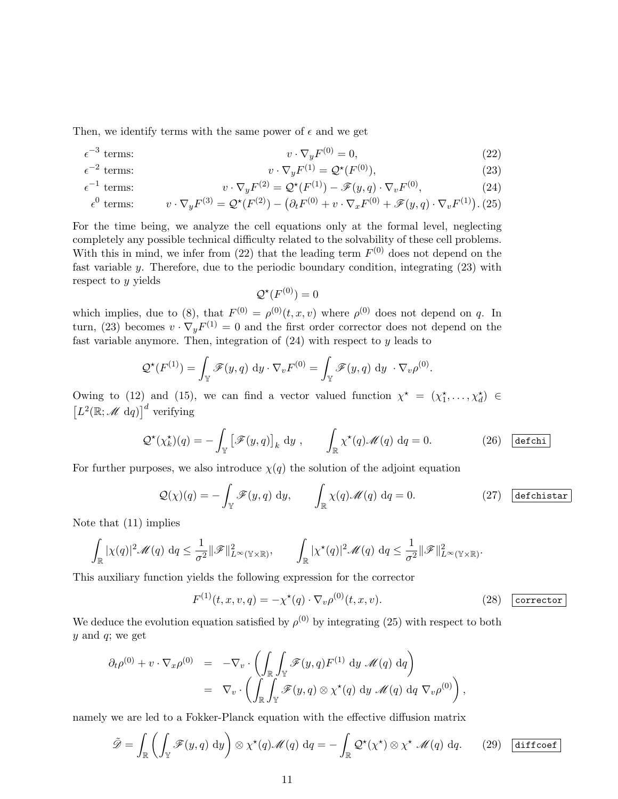Then, we identify terms with the same power of  $\epsilon$  and we get

$$
\epsilon^{-3} \text{ terms:} \qquad \qquad v \cdot \nabla_y F^{(0)} = 0,\tag{22}
$$

$$
e^{-2} \text{ terms:} \qquad \qquad v \cdot \nabla_y F^{(1)} = \mathcal{Q}^*(F^{(0)}), \qquad (23)
$$

$$
\epsilon^{-1} \text{ terms:} \qquad \qquad v \cdot \nabla_y F^{(2)} = \mathcal{Q}^\star(F^{(1)}) - \mathcal{F}(y, q) \cdot \nabla_v F^{(0)}, \tag{24}
$$

$$
\epsilon^{0} \text{ terms:} \qquad v \cdot \nabla_{y} F^{(3)} = \mathcal{Q}^{\star}(F^{(2)}) - \left(\partial_{t} F^{(0)} + v \cdot \nabla_{x} F^{(0)} + \mathcal{F}(y, q) \cdot \nabla_{v} F^{(1)}\right). (25)
$$

For the time being, we analyze the cell equations only at the formal level, neglecting completely any possible technical difficulty related to the solvability of these cell problems. With this in mind, we infer from  $(22)$  that the leading term  $F<sup>(0)</sup>$  does not depend on the fast variable  $y$ . Therefore, due to the periodic boundary condition, integrating  $(23)$  with respect to y yields

$$
\mathcal{Q}^{\star}(F^{(0)}) = 0
$$

which implies, due to (8), that  $F^{(0)} = \rho^{(0)}(t, x, v)$  where  $\rho^{(0)}$  does not depend on q. In turn, (23) becomes  $v \cdot \nabla_y F^{(1)} = 0$  and the first order corrector does not depend on the fast variable anymore. Then, integration of  $(24)$  with respect to y leads to

$$
\mathcal{Q}^{\star}(F^{(1)}) = \int_{\mathbb{Y}} \mathscr{F}(y,q) \, \mathrm{d}y \cdot \nabla_v F^{(0)} = \int_{\mathbb{Y}} \mathscr{F}(y,q) \, \mathrm{d}y \, \cdot \nabla_v \rho^{(0)}.
$$

Owing to (12) and (15), we can find a vector valued function  $\chi^* = (\chi_1^*, \ldots, \chi_d^*) \in$  $\left[L^2(\mathbb{R};\mathcal{M} \text{ d}q)\right]^d$  verifying

$$
\mathcal{Q}^{\star}(\chi_k^{\star})(q) = -\int_{\mathbb{Y}} \left[ \mathcal{F}(y, q) \right]_k \, \mathrm{d}y \;, \qquad \int_{\mathbb{R}} \chi^{\star}(q) \mathcal{M}(q) \, \mathrm{d}q = 0. \tag{26} \quad \text{(a)}
$$

For further purposes, we also introduce  $\chi(q)$  the solution of the adjoint equation

$$
\mathcal{Q}(\chi)(q) = -\int_{\mathbb{Y}} \mathcal{F}(y, q) dy, \qquad \int_{\mathbb{R}} \chi(q) \mathcal{M}(q) dq = 0.
$$
 (27) defchistar

Note that (11) implies

$$
\int_{\mathbb{R}} |\chi(q)|^2 \mathscr{M}(q) dq \leq \frac{1}{\sigma^2} \|\mathscr{F}\|_{L^{\infty}(\mathbb{Y} \times \mathbb{R})}^2, \qquad \int_{\mathbb{R}} |\chi^{\star}(q)|^2 \mathscr{M}(q) dq \leq \frac{1}{\sigma^2} \|\mathscr{F}\|_{L^{\infty}(\mathbb{Y} \times \mathbb{R})}^2.
$$

This auxiliary function yields the following expression for the corrector

$$
F^{(1)}(t, x, v, q) = -\chi^*(q) \cdot \nabla_v \rho^{(0)}(t, x, v).
$$
 (28) corrector

,

We deduce the evolution equation satisfied by  $\rho^{(0)}$  by integrating (25) with respect to both  $y$  and  $q$ ; we get

$$
\partial_t \rho^{(0)} + v \cdot \nabla_x \rho^{(0)} = -\nabla_v \cdot \left( \int_{\mathbb{R}} \int_{\mathbb{Y}} \mathcal{F}(y, q) F^{(1)} dy \, \mathcal{M}(q) dq \right)
$$
  
=  $\nabla_v \cdot \left( \int_{\mathbb{R}} \int_{\mathbb{Y}} \mathcal{F}(y, q) \otimes \chi^*(q) dy \, \mathcal{M}(q) dq \, \nabla_v \rho^{(0)} \right)$ 

namely we are led to a Fokker-Planck equation with the effective diffusion matrix

$$
\tilde{\mathscr{D}} = \int_{\mathbb{R}} \left( \int_{\mathbb{Y}} \mathscr{F}(y, q) \, \mathrm{d}y \right) \otimes \chi^{\star}(q) \mathscr{M}(q) \, \mathrm{d}q = - \int_{\mathbb{R}} \mathcal{Q}^{\star}(\chi^{\star}) \otimes \chi^{\star} \mathscr{M}(q) \, \mathrm{d}q. \qquad (29) \quad \boxed{\text{diffeoef}}
$$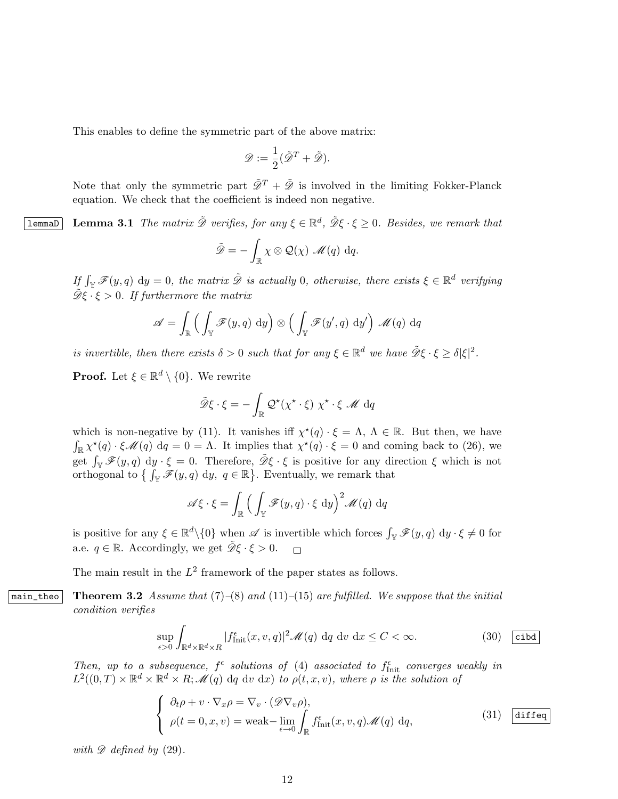This enables to define the symmetric part of the above matrix:

$$
\mathscr{D}:=\frac{1}{2}(\tilde{\mathscr{D}}^T+\tilde{\mathscr{D}}).
$$

Note that only the symmetric part  $\tilde{\mathscr{D}}^T + \tilde{\mathscr{D}}$  is involved in the limiting Fokker-Planck equation. We check that the coefficient is indeed non negative.

**lemmaD** Lemma 3.1 The matrix  $\tilde{\mathcal{D}}$  verifies, for any  $\xi \in \mathbb{R}^d$ ,  $\tilde{\mathcal{D}}\xi \cdot \xi \geq 0$ . Besides, we remark that

$$
\tilde{\mathscr{D}} = -\int_{\mathbb{R}} \chi \otimes \mathcal{Q}(\chi) \mathscr{M}(q) dq.
$$

If  $\int_{\mathbb{Y}} \mathscr{F}(y, q) dy = 0$ , the matrix  $\tilde{\mathscr{D}}$  is actually 0, otherwise, there exists  $\xi \in \mathbb{R}^d$  verifying  $\tilde{\mathcal{D}}\xi \cdot \xi > 0$ . If furthermore the matrix

$$
\mathscr{A} = \int_{\mathbb{R}} \left( \int_{\mathbb{Y}} \mathscr{F}(y, q) \, \mathrm{d}y \right) \otimes \left( \int_{\mathbb{Y}} \mathscr{F}(y', q) \, \mathrm{d}y' \right) \, \mathscr{M}(q) \, \mathrm{d}q
$$

is invertible, then there exists  $\delta > 0$  such that for any  $\xi \in \mathbb{R}^d$  we have  $\tilde{\mathcal{D}}\xi \cdot \xi \geq \delta |\xi|^2$ .

**Proof.** Let  $\xi \in \mathbb{R}^d \setminus \{0\}$ . We rewrite

$$
\tilde{\mathscr{D}}\xi \cdot \xi = -\int_{\mathbb{R}} \mathcal{Q}^{\star}(\chi^{\star} \cdot \xi) \chi^{\star} \cdot \xi \mathcal{M} dq
$$

which is non-negative by (11). It vanishes iff  $\chi^*(q) \cdot \xi = \Lambda$ ,  $\Lambda \in \mathbb{R}$ . But then, we have  $\int_{\mathbb{R}} \chi^*(q) \cdot \xi \mathscr{M}(q) dq = 0 = \Lambda$ . It implies that  $\chi^*(q) \cdot \xi = 0$  and coming back to (26), we get  $\int_{\mathbb{Y}} \mathscr{F}(y, q) \, \mathrm{d}y \cdot \xi = 0$ . Therefore,  $\tilde{\mathscr{D}}\xi \cdot \xi$  is positive for any direction  $\xi$  which is not orthogonal to  $\{ \int_{\mathbb{Y}} \mathscr{F}(y,q) dy, q \in \mathbb{R} \}$ . Eventually, we remark that

$$
\mathscr{A}\xi \cdot \xi = \int_{\mathbb{R}} \Big( \int_{\mathbb{Y}} \mathscr{F}(y, q) \cdot \xi \, \mathrm{d}y \Big)^2 \mathscr{M}(q) \, \mathrm{d}q
$$

is positive for any  $\xi \in \mathbb{R}^d \setminus \{0\}$  when  $\mathscr{A}$  is invertible which forces  $\int_{\mathbb{R}} \mathscr{F}(y, q) dy \cdot \xi \neq 0$  for a.e.  $q \in \mathbb{R}$ . Accordingly, we get  $\tilde{\mathcal{D}}\xi \cdot \xi > 0$ .  $\Box$ 

The main result in the  $L^2$  framework of the paper states as follows.

main\_theo Theorem 3.2 Assume that  $(7)-(8)$  and  $(11)-(15)$  are fulfilled. We suppose that the initial condition verifies

$$
\sup_{\epsilon>0} \int_{\mathbb{R}^d \times \mathbb{R}^d \times R} |f_{\text{Init}}^{\epsilon}(x, v, q)|^2 \mathcal{M}(q) \, dq \, dv \, dx \le C < \infty. \tag{30} \quad \text{(cibd)}
$$

Then, up to a subsequence,  $f^{\epsilon}$  solutions of (4) associated to  $f^{\epsilon}_{\text{Init}}$  converges weakly in  $L^2((0,T)\times\mathbb{R}^d\times\mathbb{R}^d\times R;\mathscr{M}(q)$  dq dv dx) to  $\rho(t,x,v)$ , where  $\rho$  is the solution of

$$
\begin{cases} \n\partial_t \rho + v \cdot \nabla_x \rho = \nabla_v \cdot (\mathscr{D} \nabla_v \rho), \\
\rho(t = 0, x, v) = \text{weak} - \lim_{\epsilon \to 0} \int_{\mathbb{R}} f_{\text{Init}}^{\epsilon}(x, v, q) \mathscr{M}(q) \, dq,\n\end{cases} \tag{31}
$$

with  $\mathscr{D}$  defined by (29).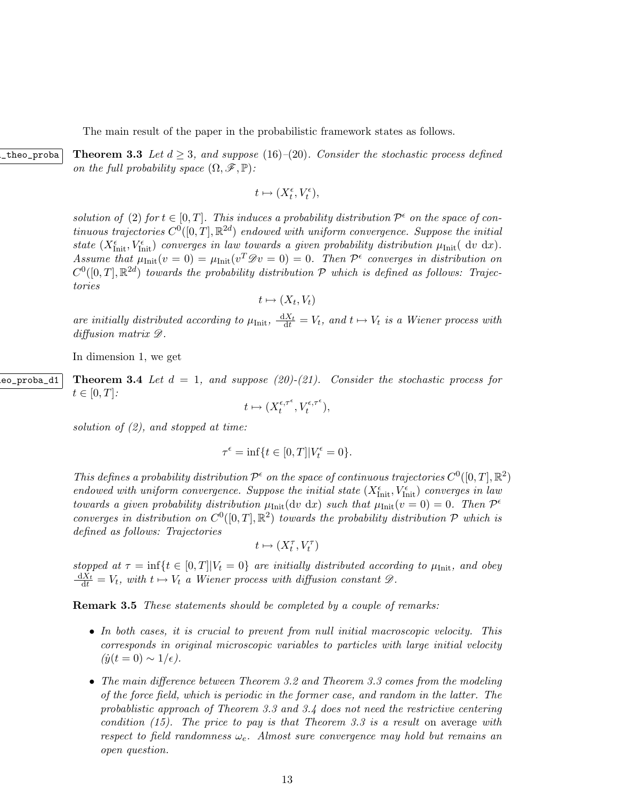The main result of the paper in the probabilistic framework states as follows.

theo\_proba Theorem 3.3 Let  $d \geq 3$ , and suppose (16)–(20). Consider the stochastic process defined on the full probability space  $(\Omega, \mathscr{F}, \mathbb{P})$ :

 $t \mapsto (X_t^{\epsilon}, V_t^{\epsilon}),$ 

solution of (2) for  $t \in [0, T]$ . This induces a probability distribution  $\mathcal{P}^{\epsilon}$  on the space of continuous trajectories  $C^0([0,T], \mathbb{R}^{2d})$  endowed with uniform convergence. Suppose the initial state  $(X_{\text{Init}}^{\epsilon}, V_{\text{Init}}^{\epsilon})$  converges in law towards a given probability distribution  $\mu_{\text{Init}}(dv \, dx)$ . Assume that  $\mu_{\text{Init}}(v=0) = \mu_{\text{Init}}(v^T \mathscr{D} v=0) = 0$ . Then  $\mathcal{P}^{\epsilon}$  converges in distribution on  $C^0([0,T], \mathbb{R}^{2d})$  towards the probability distribution P which is defined as follows: Trajectories

$$
t\mapsto (X_t,V_t)
$$

are initially distributed according to  $\mu_{\text{Init}}$ ,  $\frac{dX_t}{dt} = V_t$ , and  $t \mapsto V_t$  is a Wiener process with diffusion matrix  $\mathscr{D}$ .

In dimension 1, we get

eo\_proba\_d1 Theorem 3.4 Let  $d = 1$ , and suppose (20)-(21). Consider the stochastic process for  $t\in[0,T]$ :

 $t \mapsto (X_t^{\epsilon,\tau^{\epsilon}})$  $t^{\epsilon,\tau^{\epsilon}}, V_t^{\epsilon,\tau^{\epsilon}}$ ,

solution of  $(2)$ , and stopped at time:

 $\tau^{\epsilon} = \inf\{t \in [0, T]| V_t^{\epsilon} = 0\}.$ 

This defines a probability distribution  $\mathcal{P}^{\epsilon}$  on the space of continuous trajectories  $C^{0}([0, T], \mathbb{R}^{2})$ endowed with uniform convergence. Suppose the initial state  $(X_{\text{Init}}^{\epsilon}, V_{\text{Init}}^{\epsilon})$  converges in law towards a given probability distribution  $\mu_{Init}(\mathrm{d}v \mathrm{d}x)$  such that  $\mu_{Init}(v = 0) = 0$ . Then  $\mathcal{P}^{\epsilon}$ converges in distribution on  $C^0([0,T],\mathbb{R}^2)$  towards the probability distribution  $\mathcal P$  which is defined as follows: Trajectories

$$
t\mapsto(X^\tau_t,V^\tau_t)
$$

stopped at  $\tau = \inf\{t \in [0,T]|V_t = 0\}$  are initially distributed according to  $\mu_{\text{Init}}$ , and obey  $\frac{dX_t}{dt} = V_t$ , with  $t \mapsto V_t$  a Wiener process with diffusion constant  $\mathscr{D}$ .

Remark 3.5 These statements should be completed by a couple of remarks:

- In both cases, it is crucial to prevent from null initial macroscopic velocity. This corresponds in original microscopic variables to particles with large initial velocity  $(\dot{y}(t=0) \sim 1/\epsilon).$
- The main difference between Theorem 3.2 and Theorem 3.3 comes from the modeling of the force field, which is periodic in the former case, and random in the latter. The probablistic approach of Theorem 3.3 and 3.4 does not need the restrictive centering condition  $(15)$ . The price to pay is that Theorem 3.3 is a result on average with respect to field randomness  $\omega_e$ . Almost sure convergence may hold but remains an open question.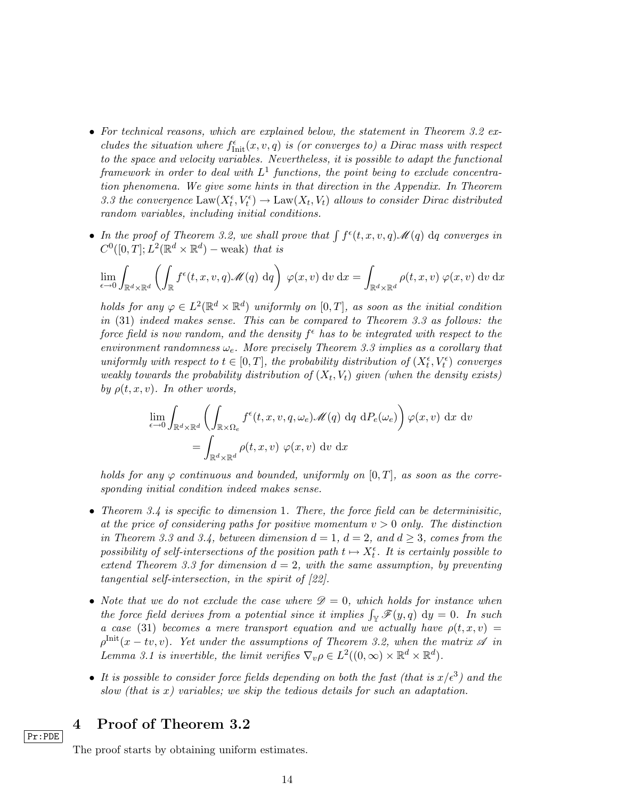- For technical reasons, which are explained below, the statement in Theorem 3.2 excludes the situation where  $f_{\text{Init}}^{\epsilon}(x, v, q)$  is (or converges to) a Dirac mass with respect to the space and velocity variables. Nevertheless, it is possible to adapt the functional framework in order to deal with  $L^1$  functions, the point being to exclude concentration phenomena. We give some hints in that direction in the Appendix. In Theorem 3.3 the convergence  $\text{Law}(X_t^{\epsilon}, V_t^{\epsilon}) \to \text{Law}(X_t, V_t)$  allows to consider Dirac distributed random variables, including initial conditions.
- In the proof of Theorem 3.2, we shall prove that  $\int f^{\epsilon}(t, x, v, q) \mathcal{M}(q) dq$  converges in  $C^0([0,T];L^2(\mathbb{R}^d\times\mathbb{R}^d)-\text{weak})$  that is

$$
\lim_{\epsilon \to 0} \int_{\mathbb{R}^d \times \mathbb{R}^d} \left( \int_{\mathbb{R}} f^{\epsilon}(t, x, v, q) \mathcal{M}(q) dq \right) \varphi(x, v) dv dx = \int_{\mathbb{R}^d \times \mathbb{R}^d} \rho(t, x, v) \varphi(x, v) dv dx
$$

holds for any  $\varphi \in L^2(\mathbb{R}^d \times \mathbb{R}^d)$  uniformly on  $[0,T]$ , as soon as the initial condition in (31) indeed makes sense. This can be compared to Theorem 3.3 as follows: the force field is now random, and the density  $f^{\epsilon}$  has to be integrated with respect to the environment randomness  $\omega_e$ . More precisely Theorem 3.3 implies as a corollary that uniformly with respect to  $t \in [0, T]$ , the probability distribution of  $(X_t^{\epsilon}, V_t^{\epsilon})$  converges weakly towards the probability distribution of  $(X_t, V_t)$  given (when the density exists) by  $\rho(t, x, v)$ . In other words,

$$
\lim_{\epsilon \to 0} \int_{\mathbb{R}^d \times \mathbb{R}^d} \left( \int_{\mathbb{R} \times \Omega_e} f^{\epsilon}(t, x, v, q, \omega_e) \mathcal{M}(q) \, dq \, dP_e(\omega_e) \right) \varphi(x, v) \, dx \, dv
$$
\n
$$
= \int_{\mathbb{R}^d \times \mathbb{R}^d} \rho(t, x, v) \, \varphi(x, v) \, dv \, dx
$$

holds for any  $\varphi$  continuous and bounded, uniformly on  $[0, T]$ , as soon as the corresponding initial condition indeed makes sense.

- Theorem 3.4 is specific to dimension 1. There, the force field can be deterministic, at the price of considering paths for positive momentum  $v > 0$  only. The distinction in Theorem 3.3 and 3.4, between dimension  $d = 1$ ,  $d = 2$ , and  $d \geq 3$ , comes from the possibility of self-intersections of the position path  $t \mapsto X_t^{\epsilon}$ . It is certainly possible to extend Theorem 3.3 for dimension  $d = 2$ , with the same assumption, by preventing tangential self-intersection, in the spirit of [22].
- Note that we do not exclude the case where  $\mathscr{D}=0$ , which holds for instance when the force field derives from a potential since it implies  $\int_{\mathbb{Y}} \mathscr{F}(y, q) dy = 0$ . In such a case (31) becomes a mere transport equation and we actually have  $\rho(t, x, v) =$  $\rho^{\text{Init}}(x - tv, v)$ . Yet under the assumptions of Theorem 3.2, when the matrix  $\mathscr A$  in Lemma 3.1 is invertible, the limit verifies  $\nabla_v \rho \in L^2((0,\infty) \times \mathbb{R}^d \times \mathbb{R}^d)$ .
- It is possible to consider force fields depending on both the fast (that is  $x/\epsilon^3$ ) and the slow (that is  $x$ ) variables; we skip the tedious details for such an adaptation.

4 Proof of Theorem 3.2

Pr:PDE

The proof starts by obtaining uniform estimates.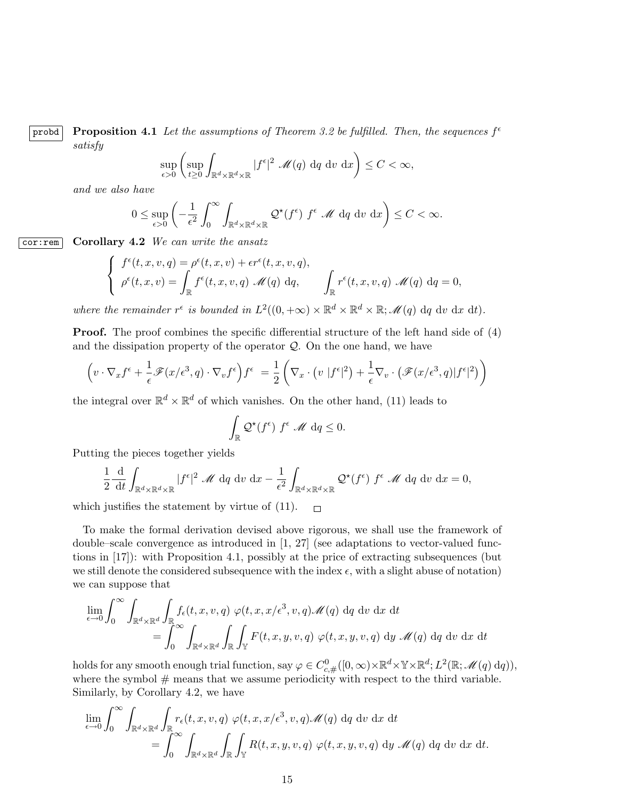probd Proposition 4.1 Let the assumptions of Theorem 3.2 be fulfilled. Then, the sequences  $f^{\epsilon}$ satisfy

$$
\sup_{\epsilon>0} \left( \sup_{t\geq 0} \int_{\mathbb{R}^d \times \mathbb{R}^d \times \mathbb{R}} |f^{\epsilon}|^2 \mathscr{M}(q) \, dq \, dv \, dx \right) \leq C < \infty,
$$

and we also have

$$
0 \le \sup_{\epsilon > 0} \left( -\frac{1}{\epsilon^2} \int_0^\infty \int_{\mathbb{R}^d \times \mathbb{R}^d \times \mathbb{R}} \mathcal{Q}^\star(f^\epsilon) \ f^\epsilon \ \mathcal{M} \ dq \ dv \ dx \right) \le C < \infty.
$$

 $\boxed{\text{cor:rem}}$  Corollary 4.2 We can write the ansatz

$$
\begin{cases}\nf^{\epsilon}(t,x,v,q) = \rho^{\epsilon}(t,x,v) + \epsilon r^{\epsilon}(t,x,v,q), \\
\rho^{\epsilon}(t,x,v) = \int_{\mathbb{R}} f^{\epsilon}(t,x,v,q) \mathcal{M}(q) dq, \qquad \int_{\mathbb{R}} r^{\epsilon}(t,x,v,q) \mathcal{M}(q) dq = 0,\n\end{cases}
$$

where the remainder  $r^{\epsilon}$  is bounded in  $L^2((0, +\infty) \times \mathbb{R}^d \times \mathbb{R}^d \times \mathbb{R}; \mathscr{M}(q)$  dq dv dx dt).

Proof. The proof combines the specific differential structure of the left hand side of  $(4)$ and the dissipation property of the operator  $\mathcal{Q}$ . On the one hand, we have

$$
\left(v \cdot \nabla_x f^{\epsilon} + \frac{1}{\epsilon} \mathscr{F}(x/\epsilon^3, q) \cdot \nabla_v f^{\epsilon}\right) f^{\epsilon} = \frac{1}{2} \left(\nabla_x \cdot \left(v \mid f^{\epsilon} \mid^2\right) + \frac{1}{\epsilon} \nabla_v \cdot \left(\mathscr{F}(x/\epsilon^3, q) \mid f^{\epsilon} \mid^2\right)\right)
$$

the integral over  $\mathbb{R}^d \times \mathbb{R}^d$  of which vanishes. On the other hand, (11) leads to

$$
\int_{\mathbb{R}} \mathcal{Q}^{\star}(f^{\epsilon}) f^{\epsilon} \mathcal{M} d q \leq 0.
$$

Putting the pieces together yields

$$
\frac{1}{2} \frac{\mathrm{d}}{\mathrm{d}t} \int_{\mathbb{R}^d \times \mathbb{R}^d \times \mathbb{R}} |f^{\epsilon}|^2 \mathcal{M} \, \mathrm{d}q \, \mathrm{d}v \, \mathrm{d}x - \frac{1}{\epsilon^2} \int_{\mathbb{R}^d \times \mathbb{R}^d \times \mathbb{R}} \mathcal{Q}^{\star}(f^{\epsilon}) \, f^{\epsilon} \mathcal{M} \, \mathrm{d}q \, \mathrm{d}v \, \mathrm{d}x = 0,
$$

which justifies the statement by virtue of  $(11)$ .  $\Box$ 

To make the formal derivation devised above rigorous, we shall use the framework of double–scale convergence as introduced in [1, 27] (see adaptations to vector-valued functions in [17]): with Proposition 4.1, possibly at the price of extracting subsequences (but we still denote the considered subsequence with the index  $\epsilon$ , with a slight abuse of notation) we can suppose that

$$
\lim_{\epsilon \to 0} \int_0^\infty \int_{\mathbb{R}^d \times \mathbb{R}^d} \int_{\mathbb{R}} f_{\epsilon}(t, x, v, q) \varphi(t, x, x/\epsilon^3, v, q) \mathcal{M}(q) dq dv dx dt
$$
  
= 
$$
\int_0^\infty \int_{\mathbb{R}^d \times \mathbb{R}^d} \int_{\mathbb{R}} \int_{\mathbb{Y}} F(t, x, y, v, q) \varphi(t, x, y, v, q) dy \mathcal{M}(q) dq dv dx dt
$$

holds for any smooth enough trial function, say  $\varphi \in C^0_{c,\#}([0,\infty)\times \mathbb{R}^d \times \mathbb{Y} \times \mathbb{R}^d; L^2(\mathbb{R};\mathscr{M}(q)\, \mathrm{d}q)),$ where the symbol  $#$  means that we assume periodicity with respect to the third variable. Similarly, by Corollary 4.2, we have

$$
\lim_{\epsilon \to 0} \int_0^\infty \int_{\mathbb{R}^d \times \mathbb{R}^d} \int_{\mathbb{R}} r_{\epsilon}(t, x, v, q) \varphi(t, x, x/\epsilon^3, v, q) \mathcal{M}(q) dq dv dx dt \n= \int_0^\infty \int_{\mathbb{R}^d \times \mathbb{R}^d} \int_{\mathbb{R}} \int_{\mathbb{Y}} R(t, x, y, v, q) \varphi(t, x, y, v, q) dy \mathcal{M}(q) dq dv dx dt.
$$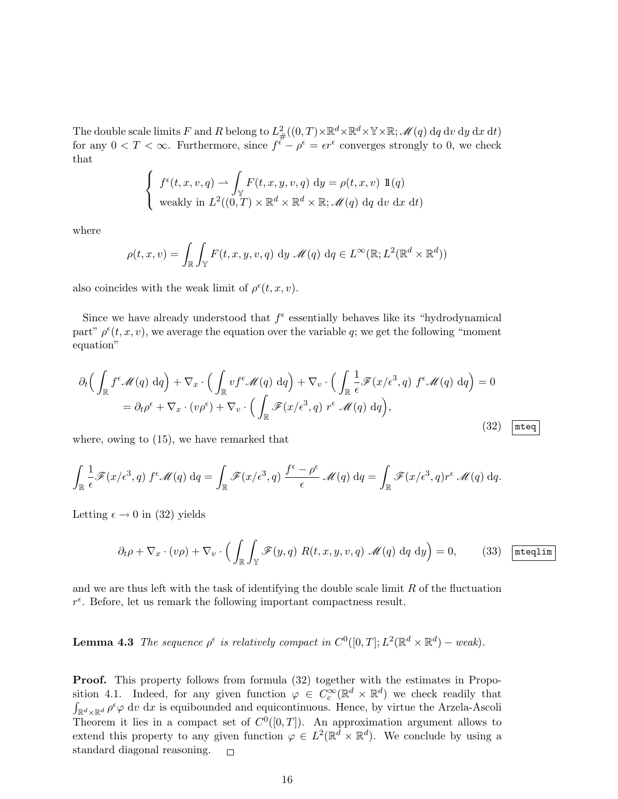The double scale limits F and R belong to  $L^2_{\#}((0,T)\times\mathbb{R}^d\times\mathbb{R}^d\times\mathbb{Y}\times\mathbb{R};\mathscr{M}(q)\:dq\:\mathrm{d} v\;\mathrm{d} y\;\mathrm{d} x\;\mathrm{d} t)$ for any  $0 < T < \infty$ . Furthermore, since  $f^{\epsilon} - \rho^{\epsilon} = \epsilon r^{\epsilon}$  converges strongly to 0, we check that

$$
\begin{cases}\nf^{\epsilon}(t, x, v, q) \rightarrow \int_{\mathbb{Y}} F(t, x, y, v, q) \, dy = \rho(t, x, v) \, \mathbb{1}(q) \\
\text{weakly in } L^{2}((0, T) \times \mathbb{R}^{d} \times \mathbb{R}^{d} \times \mathbb{R}; \mathcal{M}(q) \, dq \, dv \, dx \, dt)\n\end{cases}
$$

where

$$
\rho(t, x, v) = \int_{\mathbb{R}} \int_{\mathbb{Y}} F(t, x, y, v, q) \, dy \, \mathcal{M}(q) \, dq \in L^{\infty}(\mathbb{R}; L^{2}(\mathbb{R}^{d} \times \mathbb{R}^{d}))
$$

also coincides with the weak limit of  $\rho^{\epsilon}(t, x, v)$ .

Since we have already understood that  $f^{\epsilon}$  essentially behaves like its "hydrodynamical part"  $\rho^{\epsilon}(t, x, v)$ , we average the equation over the variable q; we get the following "moment" equation"

$$
\partial_t \Big( \int_{\mathbb{R}} f^{\epsilon} \mathcal{M}(q) \, dq \Big) + \nabla_x \cdot \Big( \int_{\mathbb{R}} v f^{\epsilon} \mathcal{M}(q) \, dq \Big) + \nabla_v \cdot \Big( \int_{\mathbb{R}} \frac{1}{\epsilon} \mathcal{F}(x/\epsilon^3, q) \, f^{\epsilon} \mathcal{M}(q) \, dq \Big) = 0
$$
\n
$$
= \partial_t \rho^{\epsilon} + \nabla_x \cdot (v \rho^{\epsilon}) + \nabla_v \cdot \Big( \int_{\mathbb{R}} \mathcal{F}(x/\epsilon^3, q) \, r^{\epsilon} \, \mathcal{M}(q) \, dq \Big), \tag{32}
$$

where, owing to (15), we have remarked that

$$
\int_{\mathbb{R}} \frac{1}{\epsilon} \mathscr{F}(x/\epsilon^3, q) f^{\epsilon} \mathscr{M}(q) dq = \int_{\mathbb{R}} \mathscr{F}(x/\epsilon^3, q) \frac{f^{\epsilon} - \rho^{\epsilon}}{\epsilon} \mathscr{M}(q) dq = \int_{\mathbb{R}} \mathscr{F}(x/\epsilon^3, q) r^{\epsilon} \mathscr{M}(q) dq.
$$

Letting  $\epsilon \to 0$  in (32) yields

$$
\partial_t \rho + \nabla_x \cdot (v\rho) + \nabla_v \cdot \left( \int_{\mathbb{R}} \int_{\mathbb{Y}} \mathscr{F}(y, q) \ R(t, x, y, v, q) \ \mathscr{M}(q) \ dq \ dy \right) = 0, \qquad (33) \ \underline{\boxed{\text{mteqlim}}}
$$

and we are thus left with the task of identifying the double scale limit  $R$  of the fluctuation  $r^{\epsilon}$ . Before, let us remark the following important compactness result.

**Lemma 4.3** The sequence  $\rho^{\epsilon}$  is relatively compact in  $C^{0}([0, T]; L^{2}(\mathbb{R}^{d} \times \mathbb{R}^{d})$  – weak).

Proof. This property follows from formula (32) together with the estimates in Proposition 4.1. Indeed, for any given function  $\varphi \in C_c^{\infty}(\mathbb{R}^d \times \mathbb{R}^d)$  we check readily that  $\int_{\mathbb{R}^d \times \mathbb{R}^d} \rho^{\epsilon} \varphi \, \mathrm{d}v \, \mathrm{d}x$  is equibounded and equicontinuous. Hence, by virtue the Arzela-Ascoli Theorem it lies in a compact set of  $C^0([0,T])$ . An approximation argument allows to extend this property to any given function  $\varphi \in L^2(\mathbb{R}^d \times \mathbb{R}^d)$ . We conclude by using a standard diagonal reasoning.  $\Box$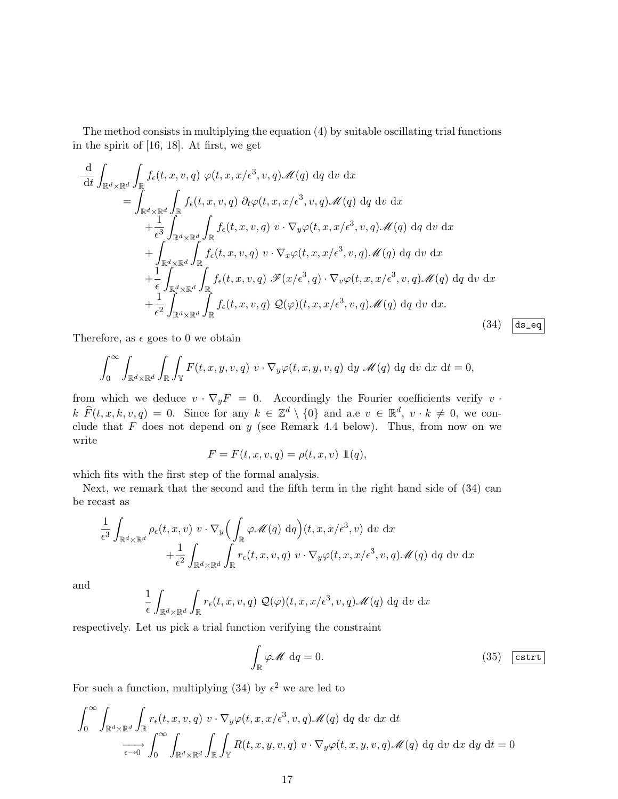The method consists in multiplying the equation (4) by suitable oscillating trial functions in the spirit of [16, 18]. At first, we get

$$
\frac{d}{dt} \int_{\mathbb{R}^d \times \mathbb{R}^d} \int_{\mathbb{R}} f_{\epsilon}(t, x, v, q) \varphi(t, x, x/\epsilon^3, v, q) \mathcal{M}(q) dq dv dx \n= \int_{\mathbb{R}^d \times \mathbb{R}^d} \int_{\mathbb{R}} f_{\epsilon}(t, x, v, q) \partial_t \varphi(t, x, x/\epsilon^3, v, q) \mathcal{M}(q) dq dv dx \n+ \frac{1}{\epsilon^3} \int_{\mathbb{R}^d \times \mathbb{R}^d} \int_{\mathbb{R}} f_{\epsilon}(t, x, v, q) v \cdot \nabla_y \varphi(t, x, x/\epsilon^3, v, q) \mathcal{M}(q) dq dv dx \n+ \int_{\mathbb{R}^d \times \mathbb{R}^d} \int_{\mathbb{R}} f_{\epsilon}(t, x, v, q) v \cdot \nabla_x \varphi(t, x, x/\epsilon^3, v, q) \mathcal{M}(q) dq dv dx \n+ \frac{1}{\epsilon} \int_{\mathbb{R}^d \times \mathbb{R}^d} \int_{\mathbb{R}} f_{\epsilon}(t, x, v, q) \mathcal{F}(x/\epsilon^3, q) \cdot \nabla_v \varphi(t, x, x/\epsilon^3, v, q) \mathcal{M}(q) dq dv dx \n+ \frac{1}{\epsilon^2} \int_{\mathbb{R}^d \times \mathbb{R}^d} \int_{\mathbb{R}} f_{\epsilon}(t, x, v, q) \mathcal{Q}(\varphi)(t, x, x/\epsilon^3, v, q) \mathcal{M}(q) dq dv dx.
$$
\n(34) [ds = eq]

Therefore, as  $\epsilon$  goes to 0 we obtain

$$
\int_0^\infty \int_{\mathbb{R}^d \times \mathbb{R}^d} \int_{\mathbb{R}} \int_{\mathbb{Y}} F(t, x, y, v, q) \ v \cdot \nabla_y \varphi(t, x, y, v, q) \ dy \ \mathscr{M}(q) \ dq \ dv \ dx \ dt = 0,
$$

from which we deduce  $v \cdot \nabla_y F = 0$ . Accordingly the Fourier coefficients verify  $v \cdot$  $k \widehat{F}(t, x, k, v, q) = 0$ . Since for any  $k \in \mathbb{Z}^d \setminus \{0\}$  and a.e  $v \in \mathbb{R}^d$ ,  $v \cdot k \neq 0$ , we conclude that  $F$  does not depend on  $y$  (see Remark 4.4 below). Thus, from now on we write

$$
F = F(t, x, v, q) = \rho(t, x, v) \mathbb{1}(q),
$$

which fits with the first step of the formal analysis.

Next, we remark that the second and the fifth term in the right hand side of (34) can be recast as

$$
\frac{1}{\epsilon^3} \int_{\mathbb{R}^d \times \mathbb{R}^d} \rho_{\epsilon}(t, x, v) \ v \cdot \nabla_y \Big( \int_{\mathbb{R}} \varphi \mathscr{M}(q) \, dq \Big) (t, x, x/\epsilon^3, v) \ dv \ dx \n+ \frac{1}{\epsilon^2} \int_{\mathbb{R}^d \times \mathbb{R}^d} \int_{\mathbb{R}} r_{\epsilon}(t, x, v, q) \ v \cdot \nabla_y \varphi(t, x, x/\epsilon^3, v, q) \mathscr{M}(q) \ dq \ dv \ dx
$$

and

$$
\frac{1}{\epsilon} \int_{\mathbb{R}^d \times \mathbb{R}^d} \int_{\mathbb{R}} r_{\epsilon}(t, x, v, q) \mathcal{Q}(\varphi)(t, x, x/\epsilon^3, v, q) \mathcal{M}(q) dq dv dx
$$

respectively. Let us pick a trial function verifying the constraint

$$
\int_{\mathbb{R}} \varphi \mathscr{M} \, \mathrm{d}q = 0. \tag{35} \quad \text{(35)}
$$

For such a function, multiplying (34) by  $\epsilon^2$  we are led to

$$
\int_0^\infty \int_{\mathbb{R}^d \times \mathbb{R}^d} \int_{\mathbb{R}} r_{\epsilon}(t, x, v, q) \ v \cdot \nabla_y \varphi(t, x, x/\epsilon^3, v, q) \mathcal{M}(q) \ dq \ dv \ dx \ dt
$$
  

$$
\xrightarrow[\epsilon \to 0]{} \int_0^\infty \int_{\mathbb{R}^d \times \mathbb{R}^d} \int_{\mathbb{R}} \int_{\mathbb{Y}} R(t, x, y, v, q) \ v \cdot \nabla_y \varphi(t, x, y, v, q) \mathcal{M}(q) \ dq \ dv \ dx \ dy \ dt = 0
$$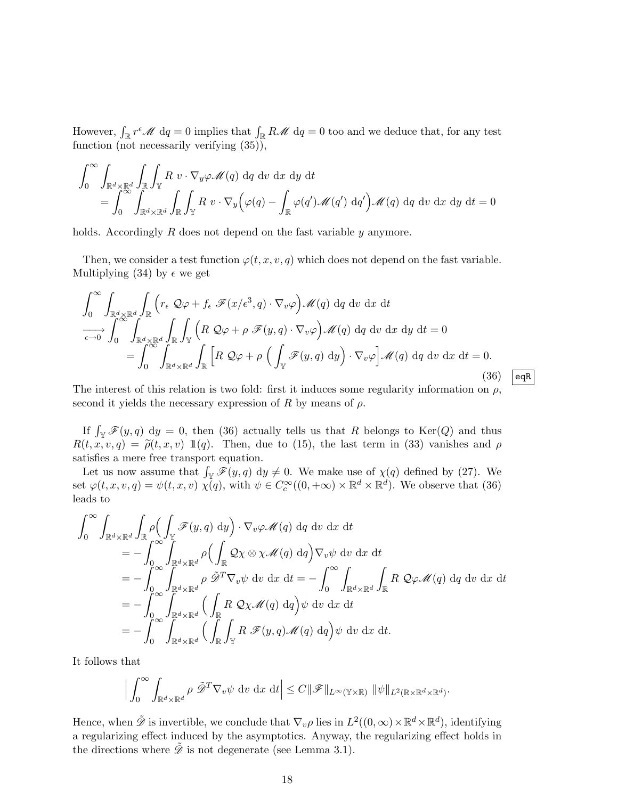However,  $\int_{\mathbb{R}} r^{\epsilon} \mathcal{M} d q = 0$  implies that  $\int_{\mathbb{R}} R \mathcal{M} d q = 0$  too and we deduce that, for any test function (not necessarily verifying (35)),

$$
\int_0^\infty \int_{\mathbb{R}^d \times \mathbb{R}^d} \int_{\mathbb{R}} \int_{\mathbb{Y}} R \, v \cdot \nabla_y \varphi \mathscr{M}(q) \, dq \, dv \, dx \, dy \, dt
$$
\n
$$
= \int_0^\infty \int_{\mathbb{R}^d \times \mathbb{R}^d} \int_{\mathbb{R}} \int_{\mathbb{Y}} R \, v \cdot \nabla_y \Big( \varphi(q) - \int_{\mathbb{R}} \varphi(q') \mathscr{M}(q') \, dq' \Big) \mathscr{M}(q) \, dq \, dv \, dx \, dy \, dt = 0
$$

holds. Accordingly  $R$  does not depend on the fast variable  $y$  anymore.

Then, we consider a test function  $\varphi(t, x, v, q)$  which does not depend on the fast variable. Multiplying (34) by  $\epsilon$  we get

$$
\int_{0}^{\infty} \int_{\mathbb{R}^{d} \times \mathbb{R}^{d}} \int_{\mathbb{R}} \left( r_{\epsilon} \mathcal{Q} \varphi + f_{\epsilon} \mathcal{F}(x/\epsilon^{3}, q) \cdot \nabla_{v} \varphi \right) \mathcal{M}(q) dq dv dx dt
$$
  
\n
$$
\overrightarrow{C \to 0} \int_{0}^{\infty} \int_{\mathbb{R}^{d} \times \mathbb{R}^{d}} \int_{\mathbb{R}} \int_{\mathbb{Y}} \left( R \mathcal{Q} \varphi + \rho \mathcal{F}(y, q) \cdot \nabla_{v} \varphi \right) \mathcal{M}(q) dq dv dx dy dt = 0
$$
  
\n
$$
= \int_{0}^{\infty} \int_{\mathbb{R}^{d} \times \mathbb{R}^{d}} \int_{\mathbb{R}} \left[ R \mathcal{Q} \varphi + \rho \left( \int_{\mathbb{Y}} \mathcal{F}(y, q) dy \right) \cdot \nabla_{v} \varphi \right] \mathcal{M}(q) dq dv dx dt = 0.
$$
\n(36) eqR

The interest of this relation is two fold: first it induces some regularity information on  $\rho$ , second it yields the necessary expression of  $R$  by means of  $\rho$ .

If  $\int_{\mathbb{Y}} \mathscr{F}(y, q) dy = 0$ , then (36) actually tells us that R belongs to Ker(Q) and thus  $R(t, x, v, q) = \tilde{\rho}(t, x, v) \mathbb{1}(q)$ . Then, due to (15), the last term in (33) vanishes and  $\rho$ satisfies a mere free transport equation.

Let us now assume that  $\int_{\mathbb{Y}} \mathscr{F}(y, q) dy \neq 0$ . We make use of  $\chi(q)$  defined by (27). We set  $\varphi(t, x, v, q) = \psi(t, x, v) \chi(q)$ , with  $\psi \in C_c^{\infty}((0, +\infty) \times \mathbb{R}^d \times \mathbb{R}^d)$ . We observe that (36) leads to

$$
\int_0^\infty \int_{\mathbb{R}^d \times \mathbb{R}^d} \int_{\mathbb{R}} \rho \Big( \int_{\mathbb{Y}} \mathcal{F}(y, q) dy \Big) \cdot \nabla_v \varphi \mathcal{M}(q) dq dv dx dt \n= - \int_0^\infty \int_{\mathbb{R}^d \times \mathbb{R}^d} \rho \Big( \int_{\mathbb{R}} \mathcal{Q} \chi \otimes \chi \mathcal{M}(q) dq \Big) \nabla_v \psi dv dx dt \n= - \int_0^\infty \int_{\mathbb{R}^d \times \mathbb{R}^d} \rho \tilde{\mathcal{D}}^T \nabla_v \psi dv dx dt = - \int_0^\infty \int_{\mathbb{R}^d \times \mathbb{R}^d} \int_{\mathbb{R}} R \mathcal{Q} \varphi \mathcal{M}(q) dq dv dx dt \n= - \int_0^\infty \int_{\mathbb{R}^d \times \mathbb{R}^d} \Big( \int_{\mathbb{R}} R \mathcal{Q} \chi \mathcal{M}(q) dq \Big) \psi dv dx dt \n= - \int_0^\infty \int_{\mathbb{R}^d \times \mathbb{R}^d} \Big( \int_{\mathbb{R}} \int_{\mathbb{Y}} R \mathcal{F}(y, q) \mathcal{M}(q) dq \Big) \psi dv dx dt.
$$

It follows that

$$
\Big|\int_0^\infty \int_{\mathbb{R}^d \times \mathbb{R}^d} \rho \, \tilde{\mathscr{D}}^T \nabla_v \psi \, dv \, dx \, dt \Big| \leq C \|\mathscr{F}\|_{L^\infty(\mathbb{Y} \times \mathbb{R})} \, \|\psi\|_{L^2(\mathbb{R} \times \mathbb{R}^d \times \mathbb{R}^d)}.
$$

Hence, when  $\tilde{\mathscr{D}}$  is invertible, we conclude that  $\nabla_v \rho$  lies in  $L^2((0,\infty) \times \mathbb{R}^d \times \mathbb{R}^d)$ , identifying a regularizing effect induced by the asymptotics. Anyway, the regularizing effect holds in the directions where  $\tilde{\mathscr{D}}$  is not degenerate (see Lemma 3.1).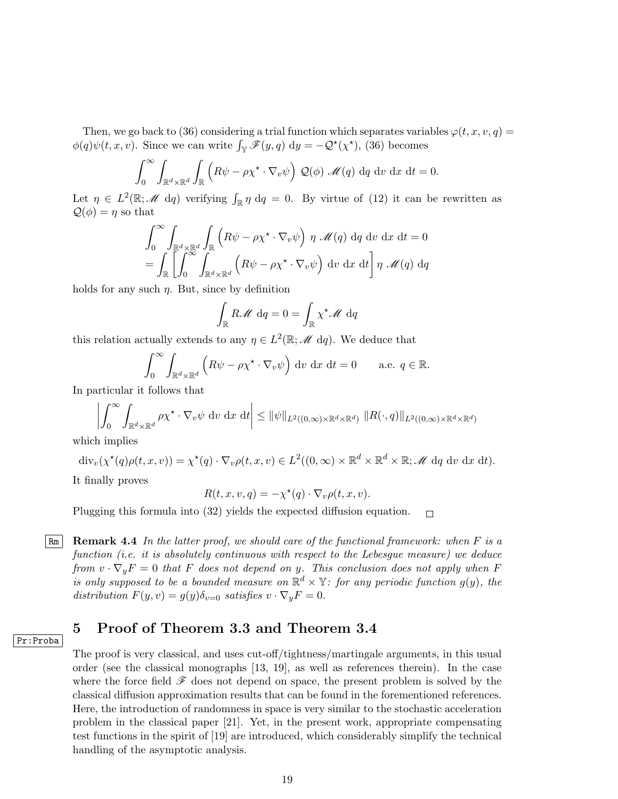Then, we go back to (36) considering a trial function which separates variables  $\varphi(t, x, v, q) =$  $\phi(q)\psi(t,x,v)$ . Since we can write  $\int_{\mathbb{Y}} \mathscr{F}(y,q) dy = -\mathcal{Q}^{\star}(\chi^{\star}),$  (36) becomes

$$
\int_0^\infty \int_{\mathbb{R}^d \times \mathbb{R}^d} \int_{\mathbb{R}} \left( R\psi - \rho \chi^\star \cdot \nabla_v \psi \right) \mathcal{Q}(\phi) \mathcal{M}(q) dq dv dx dt = 0.
$$

Let  $\eta \in L^2(\mathbb{R}; \mathcal{M} \text{ d}q)$  verifying  $\int_{\mathbb{R}} \eta \, \mathrm{d}q = 0$ . By virtue of (12) it can be rewritten as  $\mathcal{Q}(\phi) = \eta$  so that

$$
\int_0^\infty \int_{\mathbb{R}^d \times \mathbb{R}^d} \int_{\mathbb{R}} \left( R\psi - \rho \chi^\star \cdot \nabla_v \psi \right) \eta \mathcal{M}(q) dq dv dx dt = 0
$$
  
= 
$$
\int_{\mathbb{R}} \left[ \int_0^\infty \int_{\mathbb{R}^d \times \mathbb{R}^d} \left( R\psi - \rho \chi^\star \cdot \nabla_v \psi \right) dv dx dt \right] \eta \mathcal{M}(q) dq
$$

holds for any such  $\eta$ . But, since by definition

$$
\int_{\mathbb{R}} R \mathscr{M} \, \mathrm{d}q = 0 = \int_{\mathbb{R}} \chi^* \mathscr{M} \, \mathrm{d}q
$$

this relation actually extends to any  $\eta \in L^2(\mathbb{R}; \mathcal{M} \mathrm{d}q)$ . We deduce that

$$
\int_0^\infty \int_{\mathbb{R}^d \times \mathbb{R}^d} \left( R\psi - \rho \chi^\star \cdot \nabla_v \psi \right) \, \mathrm{d}v \, \mathrm{d}x \, \mathrm{d}t = 0 \qquad \text{a.e. } q \in \mathbb{R}.
$$

In particular it follows that

$$
\left| \int_0^\infty \int_{\mathbb{R}^d \times \mathbb{R}^d} \rho \chi^\star \cdot \nabla_v \psi \, dv \, dx \, dt \right| \leq \|\psi\|_{L^2((0,\infty)\times \mathbb{R}^d \times \mathbb{R}^d)} \|R(\cdot,q)\|_{L^2((0,\infty)\times \mathbb{R}^d \times \mathbb{R}^d)}
$$

which implies

$$
\operatorname{div}_v(\chi^*(q)\rho(t,x,v)) = \chi^*(q) \cdot \nabla_v \rho(t,x,v) \in L^2((0,\infty) \times \mathbb{R}^d \times \mathbb{R}^d \times \mathbb{R}; \mathscr{M} \text{ d}q \text{ d}v \text{ d}x \text{ d}t).
$$

It finally proves

$$
R(t, x, v, q) = -\chi^*(q) \cdot \nabla_v \rho(t, x, v).
$$

Plugging this formula into (32) yields the expected diffusion equation.  $\Box$ 

 $\mathbb{Rm}$  **Remark 4.4** In the latter proof, we should care of the functional framework: when F is a function (i.e. it is absolutely continuous with respect to the Lebesgue measure) we deduce from  $v \cdot \nabla_y F = 0$  that F does not depend on y. This conclusion does not apply when F is only supposed to be a bounded measure on  $\mathbb{R}^d \times \mathbb{Y}$ : for any periodic function  $g(y)$ , the distribution  $F(y, v) = g(y)\delta_{v=0}$  satisfies  $v \cdot \nabla_y F = 0$ .

## 5 Proof of Theorem 3.3 and Theorem 3.4

The proof is very classical, and uses cut-off/tightness/martingale arguments, in this usual order (see the classical monographs [13, 19], as well as references therein). In the case where the force field  $\mathcal F$  does not depend on space, the present problem is solved by the classical diffusion approximation results that can be found in the forementioned references. Here, the introduction of randomness in space is very similar to the stochastic acceleration problem in the classical paper [21]. Yet, in the present work, appropriate compensating test functions in the spirit of [19] are introduced, which considerably simplify the technical handling of the asymptotic analysis.

Pr:Proba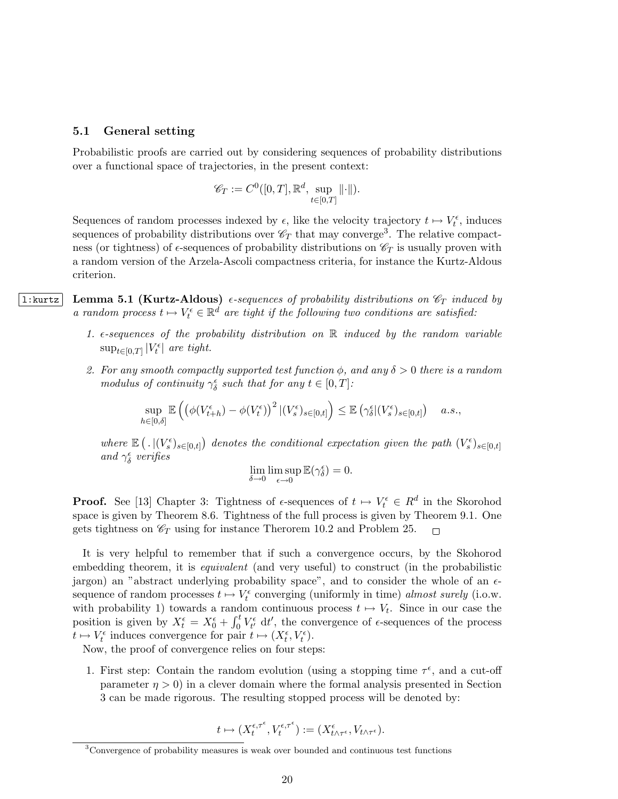#### 5.1 General setting

Probabilistic proofs are carried out by considering sequences of probability distributions over a functional space of trajectories, in the present context:

$$
\mathscr{C}_T := C^0([0,T], \mathbb{R}^d, \sup_{t \in [0,T]} ||\cdot||).
$$

Sequences of random processes indexed by  $\epsilon$ , like the velocity trajectory  $t \mapsto V_t^{\epsilon}$ , induces sequences of probability distributions over  $\mathscr{C}_T$  that may converge<sup>3</sup>. The relative compactness (or tightness) of  $\epsilon$ -sequences of probability distributions on  $\mathscr{C}_T$  is usually proven with a random version of the Arzela-Ascoli compactness criteria, for instance the Kurtz-Aldous criterion.

1:kurtz | Lemma 5.1 (Kurtz-Aldous)  $\epsilon$ -sequences of probability distributions on  $\mathscr{C}_T$  induced by a random process  $t \mapsto V_t^{\epsilon} \in \mathbb{R}^d$  are tight if the following two conditions are satisfied:

- 1.  $\epsilon$ -sequences of the probability distribution on  $\mathbb R$  induced by the random variable  $\sup_{t \in [0,T]} |V_t^{\epsilon}|$  are tight.
- 2. For any smooth compactly supported test function  $\phi$ , and any  $\delta > 0$  there is a random modulus of continuity  $\gamma_{\delta}^{\epsilon}$  such that for any  $t \in [0, T]$ :

$$
\sup_{h \in [0,\delta]} \mathbb{E}\left( \left( \phi(V_{t+h}^{\epsilon}) - \phi(V_t^{\epsilon}) \right)^2 | (V_s^{\epsilon})_{s \in [0,t]} \right) \leq \mathbb{E}\left( \gamma_{\delta}^{\epsilon} | (V_s^{\epsilon})_{s \in [0,t]} \right) \quad a.s.,
$$

where  $\mathbb{E} \left( . \left| (V_s^{\epsilon})_{s \in [0,t]} \right) \right.$  denotes the conditional expectation given the path  $(V_s^{\epsilon})_{s \in [0,t]}$ and  $\gamma_\delta^\epsilon$  verifies

$$
\lim_{\delta \to 0} \limsup_{\epsilon \to 0} \mathbb{E}(\gamma_{\delta}^{\epsilon}) = 0.
$$

**Proof.** See [13] Chapter 3: Tightness of  $\epsilon$ -sequences of  $t \mapsto V_t^{\epsilon} \in R^d$  in the Skorohod space is given by Theorem 8.6. Tightness of the full process is given by Theorem 9.1. One gets tightness on  $\mathcal{C}_T$  using for instance Therorem 10.2 and Problem 25.  $\Box$ 

It is very helpful to remember that if such a convergence occurs, by the Skohorod embedding theorem, it is *equivalent* (and very useful) to construct (in the probabilistic jargon) an "abstract underlying probability space", and to consider the whole of an  $\epsilon$ sequence of random processes  $t \mapsto V_t^{\epsilon}$  converging (uniformly in time) almost surely (i.o.w. with probability 1) towards a random continuous process  $t \mapsto V_t$ . Since in our case the position is given by  $X_t^{\epsilon} = X_0^{\epsilon} + \int_0^t V_{t'}^{\epsilon} dt'$ , the convergence of  $\epsilon$ -sequences of the process  $t \mapsto V_t^{\epsilon}$  induces convergence for pair  $t \mapsto (X_t^{\epsilon}, V_t^{\epsilon})$ .

Now, the proof of convergence relies on four steps:

1. First step: Contain the random evolution (using a stopping time  $\tau^{\epsilon}$ , and a cut-off parameter  $\eta > 0$ ) in a clever domain where the formal analysis presented in Section 3 can be made rigorous. The resulting stopped process will be denoted by:

$$
t\mapsto(X_t^{\epsilon,\tau^\epsilon},V_t^{\epsilon,\tau^\epsilon}):=(X_{t\wedge \tau^\epsilon}^\epsilon,V_{t\wedge \tau^\epsilon}).
$$

<sup>3</sup>Convergence of probability measures is weak over bounded and continuous test functions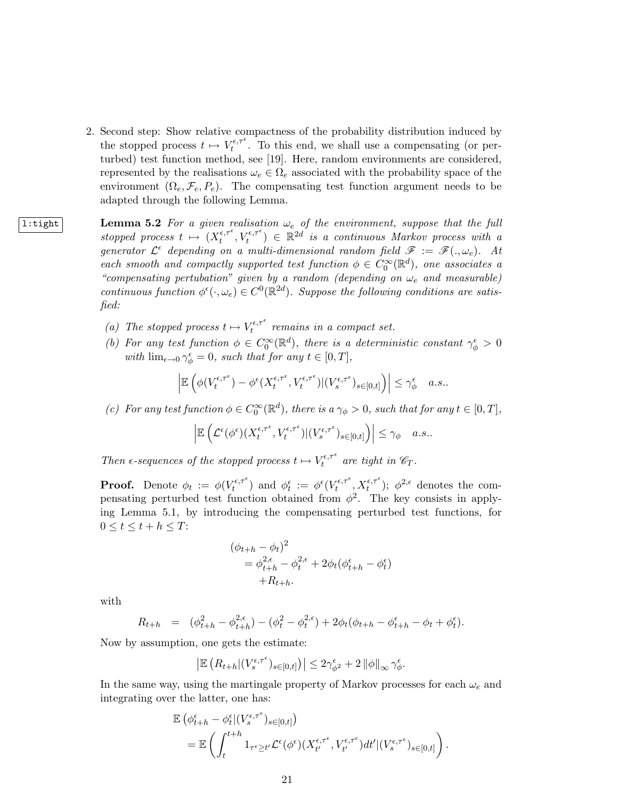- 2. Second step: Show relative compactness of the probability distribution induced by the stopped process  $t \mapsto V_t^{\epsilon,\tau^{\epsilon}}$  $t_t^{\epsilon,\tau^{\epsilon}}$ . To this end, we shall use a compensating (or perturbed) test function method, see [19]. Here, random environments are considered, represented by the realisations  $\omega_e \in \Omega_e$  associated with the probability space of the environment  $(\Omega_e, \mathcal{F}_e, P_e)$ . The compensating test function argument needs to be adapted through the following Lemma.
- 1:tight | Lemma 5.2 For a given realisation  $\omega_e$  of the environment, suppose that the full stopped process  $t \mapsto (X_t^{\epsilon,\tau^{\epsilon}})$  $(t_t^{\epsilon,\tau^{\epsilon}}, V_t^{\epsilon,\tau^{\epsilon}}) \in \mathbb{R}^{2d}$  is a continuous Markov process with a generator  $\mathcal{L}^{\epsilon}$  depending on a multi-dimensional random field  $\mathscr{F} := \mathscr{F}(.,\omega_e)$ . At each smooth and compactly supported test function  $\phi \in C_0^{\infty}(\mathbb{R}^d)$ , one associates a "compensating pertubation" given by a random (depending on  $\omega_e$  and measurable) continuous function  $\phi^{\epsilon}(\cdot,\omega_e) \in C^0(\mathbb{R}^{2d})$ . Suppose the following conditions are satisfied:
	- (a) The stopped process  $t \mapsto V_t^{\epsilon, \tau^{\epsilon}}$  $t_t^{\epsilon,\tau}$  remains in a compact set.
	- (b) For any test function  $\phi \in C_0^{\infty}(\mathbb{R}^d)$ , there is a deterministic constant  $\gamma_{\phi}^{\epsilon} > 0$ with  $\lim_{\epsilon \to 0} \gamma_{\phi}^{\epsilon} = 0$ , such that for any  $t \in [0, T]$ ,

$$
\left| \mathbb{E} \left( \phi(V_t^{\epsilon,\tau^\epsilon}) - \phi^\epsilon(X_t^{\epsilon,\tau^\epsilon},V_t^{\epsilon,\tau^\epsilon}) | (V_s^{\epsilon,\tau^\epsilon})_{s \in [0,t]} \right) \right| \leq \gamma_\phi^\epsilon \quad a.s..
$$

(c) For any test function  $\phi \in C_0^{\infty}(\mathbb{R}^d)$ , there is  $a \gamma_{\phi} > 0$ , such that for any  $t \in [0, T]$ ,

$$
\left| \mathbb{E} \left( \mathcal{L}^{\epsilon}(\phi^{\epsilon}) (X^{\epsilon,\tau^{\epsilon}}_t, V^{\epsilon,\tau^{\epsilon}}_t) | (V^{\epsilon,\tau^{\epsilon}}_s)_{s \in [0,t]} \right) \right| \leq \gamma_{\phi} \quad a.s..
$$

Then  $\epsilon$ -sequences of the stopped process  $t \mapsto V_t^{\epsilon,\tau^{\epsilon}}$  $t^{\epsilon,\tau^*}$  are tight in  $\mathscr{C}_T$ .

**Proof.** Denote  $\phi_t := \phi(V_t^{\epsilon, \tau^{\epsilon}})$  $(t_t^{\epsilon,\tau^{\epsilon}})$  and  $\phi_t^{\epsilon} := \phi^{\epsilon}(V_t^{\epsilon,\tau^{\epsilon}})$  $\mathcal{X}_t^{\epsilon,\tau^{\epsilon}}, X_t^{\epsilon,\tau^{\epsilon}}$ ;  $\phi^{2,\epsilon}$  denotes the compensating perturbed test function obtained from  $\phi^2$ . The key consists in applying Lemma 5.1, by introducing the compensating perturbed test functions, for  $0 \leq t \leq t + h \leq T$ :

$$
(\phi_{t+h} - \phi_t)^2
$$
  
=  $\phi_{t+h}^{2,\epsilon} - \phi_t^{2,\epsilon} + 2\phi_t(\phi_{t+h}^{\epsilon} - \phi_t^{\epsilon})$   
+ $R_{t+h}$ .

with

$$
R_{t+h} = (\phi_{t+h}^2 - \phi_{t+h}^{2,\epsilon}) - (\phi_t^2 - \phi_t^{2,\epsilon}) + 2\phi_t(\phi_{t+h} - \phi_{t+h}^{\epsilon} - \phi_t + \phi_t^{\epsilon}).
$$

Now by assumption, one gets the estimate:

$$
\left| \mathbb{E} \left( R_{t+h} | (V_s^{\epsilon,\tau^{\epsilon}})_{s \in [0,t]} \right) \right| \leq 2 \gamma_{\phi^2}^{\epsilon} + 2 \left\| \phi \right\|_{\infty} \gamma_{\phi}^{\epsilon}.
$$

In the same way, using the martingale property of Markov processes for each  $\omega_e$  and integrating over the latter, one has:

$$
\mathbb{E} \left( \phi_{t+h}^{\epsilon} - \phi_t^{\epsilon} | (V_s^{\epsilon, \tau^{\epsilon}})_{s \in [0, t]} \right) \n= \mathbb{E} \left( \int_t^{t+h} 1_{\tau^{\epsilon} \ge t'} \mathcal{L}^{\epsilon}(\phi^{\epsilon}) (X_{t'}^{\epsilon, \tau^{\epsilon}}, V_{t'}^{\epsilon, \tau^{\epsilon}}) dt' | (V_s^{\epsilon, \tau^{\epsilon}})_{s \in [0, t]} \right).
$$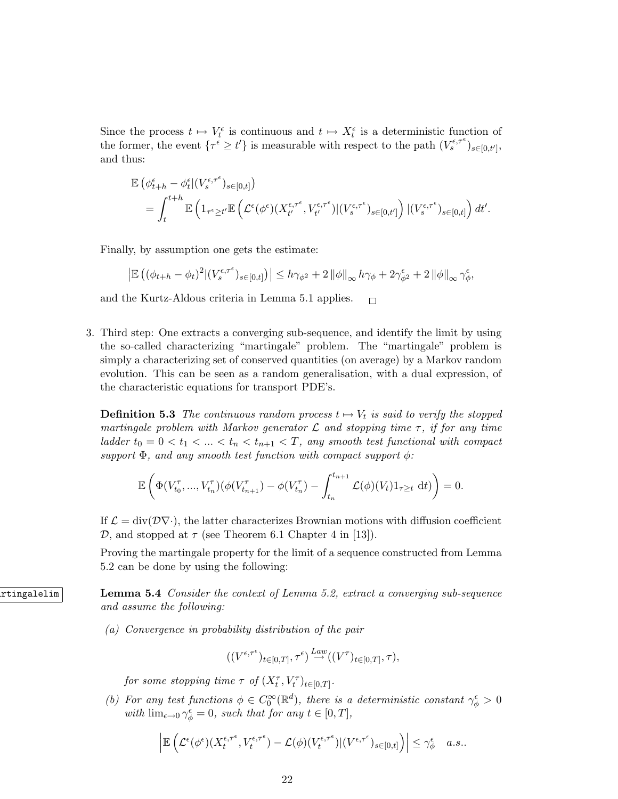Since the process  $t \mapsto V_t^{\epsilon}$  is continuous and  $t \mapsto X_t^{\epsilon}$  is a deterministic function of the former, the event  $\{\tau^{\epsilon} \ge t'\}$  is measurable with respect to the path  $(V_s^{\epsilon,\tau^{\epsilon}})_{s\in[0,t']}$ , and thus:

$$
\mathbb{E} \left( \phi_{t+h}^{\epsilon} - \phi_t^{\epsilon} | (V_s^{\epsilon, \tau^{\epsilon}})_{s \in [0, t]} \right) \n= \int_t^{t+h} \mathbb{E} \left( 1_{\tau^{\epsilon} \ge t'} \mathbb{E} \left( \mathcal{L}^{\epsilon}(\phi^{\epsilon}) (X_{t'}^{\epsilon, \tau^{\epsilon}}, V_{t'}^{\epsilon, \tau^{\epsilon}}) | (V_s^{\epsilon, \tau^{\epsilon}})_{s \in [0, t']} \right) | (V_s^{\epsilon, \tau^{\epsilon}})_{s \in [0, t]} \right) dt'.
$$

Finally, by assumption one gets the estimate:

$$
\left| \mathbb{E} \left( (\phi_{t+h} - \phi_t)^2 |(V_s^{\epsilon,\tau^\epsilon})_{s \in [0,t]} \right) \right| \leq h \gamma_{\phi^2} + 2 \left\| \phi \right\|_{\infty} h \gamma_{\phi} + 2 \gamma_{\phi^2}^{\epsilon} + 2 \left\| \phi \right\|_{\infty} \gamma_{\phi}^{\epsilon},
$$

and the Kurtz-Aldous criteria in Lemma 5.1 applies.  $\Box$ 

3. Third step: One extracts a converging sub-sequence, and identify the limit by using the so-called characterizing "martingale" problem. The "martingale" problem is simply a characterizing set of conserved quantities (on average) by a Markov random evolution. This can be seen as a random generalisation, with a dual expression, of the characteristic equations for transport PDE's.

**Definition 5.3** The continuous random process  $t \mapsto V_t$  is said to verify the stopped martingale problem with Markov generator  $\mathcal L$  and stopping time  $\tau$ , if for any time ladder  $t_0 = 0 < t_1 < ... < t_n < t_{n+1} < T$ , any smooth test functional with compact support  $\Phi$ , and any smooth test function with compact support  $\phi$ :

$$
\mathbb{E}\left(\Phi(V_{t_0}^{\tau},...,V_{t_n}^{\tau})(\phi(V_{t_{n+1}}^{\tau})-\phi(V_{t_n}^{\tau})-\int_{t_n}^{t_{n+1}}\mathcal{L}(\phi)(V_t)1_{\tau\geq t}\,\mathrm{d}t)\right)=0.
$$

If  $\mathcal{L} = \text{div}(\mathcal{D}\nabla \cdot)$ , the latter characterizes Brownian motions with diffusion coefficient D, and stopped at  $\tau$  (see Theorem 6.1 Chapter 4 in [13]).

Proving the martingale property for the limit of a sequence constructed from Lemma 5.2 can be done by using the following:

**Lemma 5.4** Consider the context of Lemma 5.2, extract a converging sub-sequence and assume the following:

(a) Convergence in probability distribution of the pair

$$
((V^{\epsilon,\tau^{\epsilon}})_{t\in[0,T]},\tau^{\epsilon})\overset{Law}\to((V^{\tau})_{t\in[0,T]},\tau),
$$

for some stopping time  $\tau$  of  $(X_t^{\tau}, V_t^{\tau})_{t \in [0,T]}$ .

(b) For any test functions  $\phi \in C_0^{\infty}(\mathbb{R}^d)$ , there is a deterministic constant  $\gamma_{\phi}^{\epsilon} > 0$ with  $\lim_{\epsilon \to 0} \gamma_{\phi}^{\epsilon} = 0$ , such that for any  $t \in [0, T]$ ,

$$
\left| \mathbb{E} \left( \mathcal{L}^\epsilon(\phi^\epsilon)(X^{\epsilon,\tau^\epsilon}_t,V^{\epsilon,\tau^\epsilon}_t) - \mathcal{L}(\phi)(V^{\epsilon,\tau^\epsilon}_t) | (V^{\epsilon,\tau^\epsilon})_{s \in [0,t]} \right) \right| \leq \gamma^\epsilon_\phi \quad a.s..
$$

22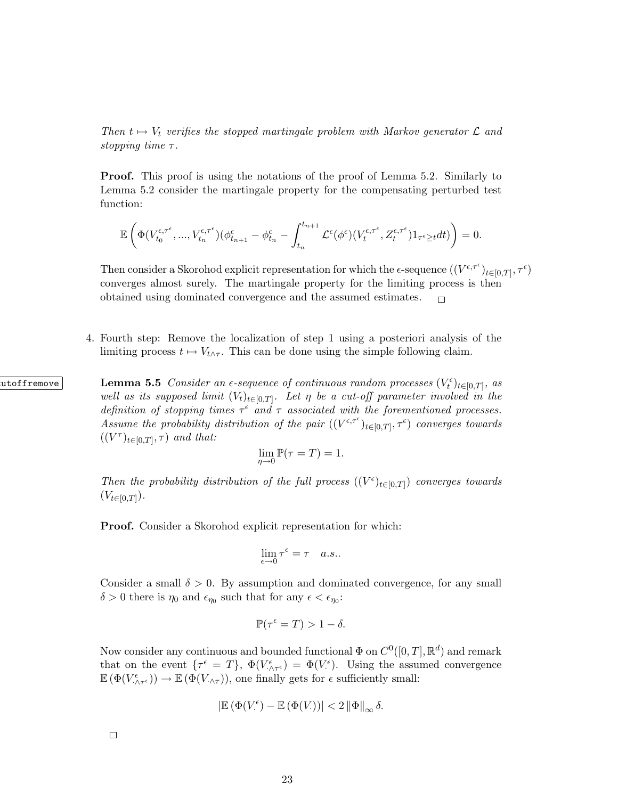Then  $t \mapsto V_t$  verifies the stopped martingale problem with Markov generator  $\mathcal L$  and stopping time  $\tau$ .

Proof. This proof is using the notations of the proof of Lemma 5.2. Similarly to Lemma 5.2 consider the martingale property for the compensating perturbed test function:

$$
\mathbb{E}\left(\Phi(V^{\epsilon,\tau^{\epsilon}}_{t_0},...,V^{\epsilon,\tau^{\epsilon}}_{t_n})(\phi_{t_{n+1}}^{\epsilon}-\phi_{t_n}^{\epsilon}-\int_{t_n}^{t_{n+1}}\mathcal{L}^{\epsilon}(\phi^{\epsilon})(V^{\epsilon,\tau^{\epsilon}}_{t},Z^{\epsilon,\tau^{\epsilon}}_{t})1_{\tau^{\epsilon}\geq t}dt)\right)=0.
$$

Then consider a Skorohod explicit representation for which the  $\epsilon$ -sequence  $((V^{\epsilon,\tau^{\epsilon}})_{t\in[0,T]},\tau^{\epsilon})$ converges almost surely. The martingale property for the limiting process is then obtained using dominated convergence and the assumed estimates.  $\Box$ 

4. Fourth step: Remove the localization of step 1 using a posteriori analysis of the limiting process  $t \mapsto V_{t \wedge \tau}$ . This can be done using the simple following claim.

 $\textbf{Lemma 5.5}$  Consider an  $\epsilon$ -sequence of continuous random processes  $(V_t^{\epsilon})_{t\in[0,T]}$ , as well as its supposed limit  $(V_t)_{t\in[0,T]}$ . Let  $\eta$  be a cut-off parameter involved in the definition of stopping times  $\tau^{\epsilon}$  and  $\tau$  associated with the forementioned processes. Assume the probability distribution of the pair  $((V^{\epsilon,\tau^{\epsilon}})_{t\in[0,T]},\tau^{\epsilon})$  converges towards  $((V^{\tau})_{t\in[0,T]},\tau)$  and that:

$$
\lim_{\eta \to 0} \mathbb{P}(\tau = T) = 1.
$$

Then the probability distribution of the full process  $((V^{\epsilon})_{t\in[0,T]})$  converges towards  $(V_{t\in[0,T]})$ .

Proof. Consider a Skorohod explicit representation for which:

$$
\lim_{\epsilon \to 0} \tau^{\epsilon} = \tau \quad a.s..
$$

Consider a small  $\delta > 0$ . By assumption and dominated convergence, for any small  $\delta > 0$  there is  $\eta_0$  and  $\epsilon_{\eta_0}$  such that for any  $\epsilon < \epsilon_{\eta_0}$ :

$$
\mathbb{P}(\tau^{\epsilon} = T) > 1 - \delta.
$$

Now consider any continuous and bounded functional  $\Phi$  on  $C^0([0,T], \mathbb{R}^d)$  and remark that on the event  $\{\tau^{\epsilon} = T\}, \ \Phi(V_{\cdot \wedge \tau^{\epsilon}}^{\epsilon}) = \Phi(V_{\cdot}^{\epsilon})$ . Using the assumed convergence  $\mathbb{E}(\Phi(V_{\cdot\wedge\tau^{\epsilon}}^{\epsilon}))\to\mathbb{E}(\Phi(V_{\cdot\wedge\tau})),$  one finally gets for  $\epsilon$  sufficiently small:

$$
\left|{\mathbb E}\left(\Phi(V^{\epsilon}_\cdot)-{\mathbb E}\left(\Phi(V_\cdot)\right)\right|<2\left\|\Phi\right\|_{\infty}\delta.
$$

23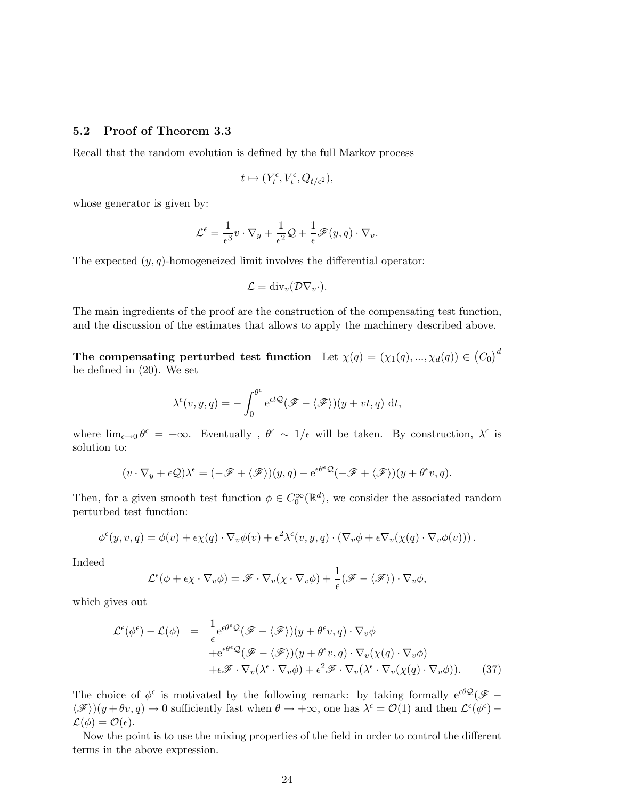#### 5.2 Proof of Theorem 3.3

Recall that the random evolution is defined by the full Markov process

$$
t \mapsto (Y_t^{\epsilon}, V_t^{\epsilon}, Q_{t/\epsilon^2}),
$$

whose generator is given by:

$$
\mathcal{L}^{\epsilon} = \frac{1}{\epsilon^3} v \cdot \nabla_y + \frac{1}{\epsilon^2} \mathcal{Q} + \frac{1}{\epsilon} \mathscr{F}(y, q) \cdot \nabla_v.
$$

The expected  $(y, q)$ -homogeneized limit involves the differential operator:

$$
\mathcal{L} = \mathrm{div}_v(\mathcal{D}\nabla_v \cdot).
$$

The main ingredients of the proof are the construction of the compensating test function, and the discussion of the estimates that allows to apply the machinery described above.

The compensating perturbed test function Let  $\chi(q)=(\chi_1(q),...,\chi_d(q))\in \left(C_0\right)^d$ be defined in (20). We set

$$
\lambda^{\epsilon}(v, y, q) = -\int_0^{\theta^{\epsilon}} e^{\epsilon t \mathcal{Q}} (\mathscr{F} - \langle \mathscr{F} \rangle)(y + vt, q) dt,
$$

where  $\lim_{\epsilon \to 0} \theta^{\epsilon} = +\infty$ . Eventually,  $\theta^{\epsilon} \sim 1/\epsilon$  will be taken. By construction,  $\lambda^{\epsilon}$  is solution to:

$$
(v \cdot \nabla_y + \epsilon \mathcal{Q})\lambda^{\epsilon} = (-\mathscr{F} + \langle \mathscr{F} \rangle)(y, q) - e^{\epsilon \theta^{\epsilon} \mathcal{Q}}(-\mathscr{F} + \langle \mathscr{F} \rangle)(y + \theta^{\epsilon} v, q).
$$

Then, for a given smooth test function  $\phi \in C_0^{\infty}(\mathbb{R}^d)$ , we consider the associated random perturbed test function:

$$
\phi^{\epsilon}(y,v,q) = \phi(v) + \epsilon \chi(q) \cdot \nabla_v \phi(v) + \epsilon^2 \lambda^{\epsilon}(v,y,q) \cdot (\nabla_v \phi + \epsilon \nabla_v(\chi(q) \cdot \nabla_v \phi(v)))
$$

Indeed

$$
\mathcal{L}^{\epsilon}(\phi + \epsilon \chi \cdot \nabla_v \phi) = \mathscr{F} \cdot \nabla_v (\chi \cdot \nabla_v \phi) + \frac{1}{\epsilon} (\mathscr{F} - \langle \mathscr{F} \rangle) \cdot \nabla_v \phi,
$$

which gives out

$$
\mathcal{L}^{\epsilon}(\phi^{\epsilon}) - \mathcal{L}(\phi) = \frac{1}{\epsilon} e^{\epsilon \theta^{\epsilon} \mathcal{Q}} (\mathcal{F} - \langle \mathcal{F} \rangle)(y + \theta^{\epsilon} v, q) \cdot \nabla_{v} \phi \n+ e^{\epsilon \theta^{\epsilon} \mathcal{Q}} (\mathcal{F} - \langle \mathcal{F} \rangle)(y + \theta^{\epsilon} v, q) \cdot \nabla_{v}(\chi(q) \cdot \nabla_{v} \phi) \n+ \epsilon \mathcal{F} \cdot \nabla_{v} (\lambda^{\epsilon} \cdot \nabla_{v} \phi) + \epsilon^{2} \mathcal{F} \cdot \nabla_{v} (\lambda^{\epsilon} \cdot \nabla_{v} (\chi(q) \cdot \nabla_{v} \phi)).
$$
\n(37)

The choice of  $\phi^{\epsilon}$  is motivated by the following remark: by taking formally  $e^{\epsilon \theta \mathcal{Q}}(\mathscr{F} \langle \mathscr{F} \rangle$ ) $(y + \theta v, q) \to 0$  sufficiently fast when  $\theta \to +\infty$ , one has  $\lambda^{\epsilon} = \mathcal{O}(1)$  and then  $\mathcal{L}^{\epsilon}(\phi^{\epsilon})$  –  $\mathcal{L}(\phi) = \mathcal{O}(\epsilon).$ 

Now the point is to use the mixing properties of the field in order to control the different terms in the above expression.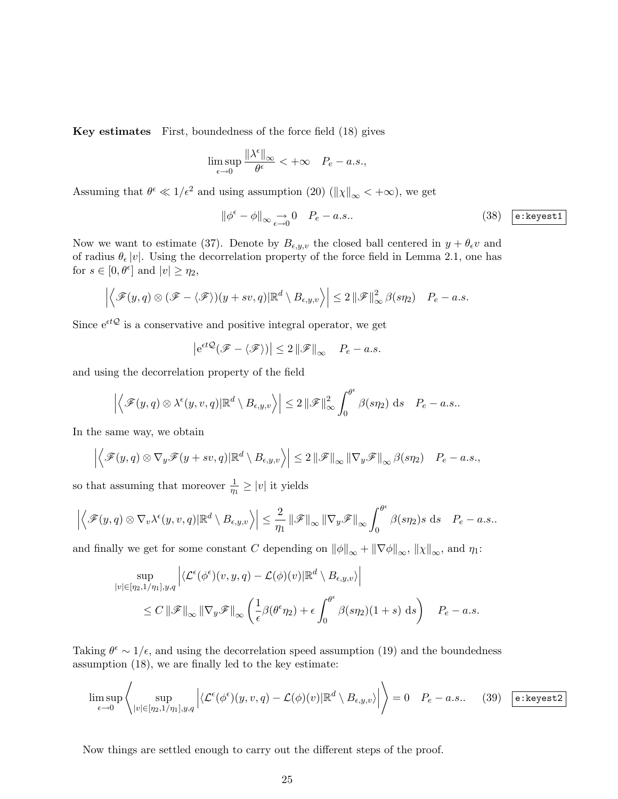Key estimates First, boundedness of the force field (18) gives

$$
\limsup_{\epsilon \to 0} \frac{\|\lambda^{\epsilon}\|_{\infty}}{\theta^{\epsilon}} < +\infty \quad P_e - a.s.,
$$

Assuming that  $\theta^{\epsilon} \ll 1/\epsilon^2$  and using assumption (20) ( $||\chi||_{\infty} < +\infty$ ), we get

$$
\|\phi^{\epsilon} - \phi\|_{\infty} \underset{\epsilon \to 0}{\to} 0 \quad P_e - a.s.. \tag{38} \boxed{\text{e:kepest1}}
$$

Now we want to estimate (37). Denote by  $B_{\epsilon,y,v}$  the closed ball centered in  $y + \theta_{\epsilon} v$  and of radius  $\theta_{\epsilon} |v|$ . Using the decorrelation property of the force field in Lemma 2.1, one has for  $s \in [0, \theta^{\epsilon}]$  and  $|v| \ge \eta_2$ ,

$$
\left|\left\langle \mathscr{F}(y,q)\otimes(\mathscr{F}-\langle\mathscr{F}\rangle)(y+sv,q)|\mathbb{R}^d\setminus B_{\epsilon,y,v}\right\rangle\right|\leq 2\left\|\mathscr{F}\right\|^2_{\infty}\beta(sp_2)\quad P_e-a.s.
$$

Since  $\mathrm{e}^{\epsilon t\mathcal{Q}}$  is a conservative and positive integral operator, we get

$$
\left|e^{\epsilon t \mathcal{Q}}(\mathcal{F} - \langle \mathcal{F} \rangle)\right| \le 2 \left\|\mathcal{F}\right\|_{\infty} \quad P_e - a.s.
$$

and using the decorrelation property of the field

$$
\left|\left\langle \mathscr{F}(y,q)\otimes\lambda^{\epsilon}(y,v,q)|\mathbb{R}^{d}\setminus B_{\epsilon,y,v}\right\rangle\right|\leq 2\left\|\mathscr{F}\right\|_{\infty}^{2}\int_{0}^{\theta^{\epsilon}}\beta(s\eta_{2})\mathrm{~d}s\quad P_{e}-a.s..
$$

In the same way, we obtain

$$
\left| \left\langle \mathcal{F}(y, q) \otimes \nabla_y \mathcal{F}(y + sv, q) | \mathbb{R}^d \setminus B_{\epsilon, y, v} \right\rangle \right| \leq 2 \left\| \mathcal{F} \right\|_{\infty} \left\| \nabla_y \mathcal{F} \right\|_{\infty} \beta(s \eta_2) \quad P_e - a.s.,
$$

so that assuming that moreover  $\frac{1}{\eta_1} \geq |v|$  it yields

$$
\left|\left\langle \mathscr{F}(y,q)\otimes \nabla_v \lambda^\epsilon(y,v,q)|\mathbb{R}^d\setminus B_{\epsilon,y,v}\right\rangle\right|\leq \frac{2}{\eta_1}\left\|\mathscr{F}\right\|_{\infty}\left\|\nabla_y \mathscr{F}\right\|_{\infty}\int_0^{\theta^\epsilon}\beta(s\eta_2)s\,\mathrm{d} s\quad P_e-a.s..
$$

and finally we get for some constant C depending on  $\|\phi\|_{\infty} + \|\nabla \phi\|_{\infty}$ ,  $\|\chi\|_{\infty}$ , and  $\eta_1$ :

$$
\sup_{|v| \in [\eta_2, 1/\eta_1], y, q} \left| \langle \mathcal{L}^{\epsilon}(\phi^{\epsilon})(v, y, q) - \mathcal{L}(\phi)(v) | \mathbb{R}^d \setminus B_{\epsilon, y, v} \rangle \right|
$$
  
 
$$
\leq C \left\| \mathscr{F} \right\|_{\infty} \left\| \nabla_y \mathscr{F} \right\|_{\infty} \left( \frac{1}{\epsilon} \beta(\theta^{\epsilon} \eta_2) + \epsilon \int_0^{\theta^{\epsilon}} \beta(s \eta_2)(1+s) \, ds \right) \quad P_e - a.s.
$$

Taking  $\theta^{\epsilon} \sim 1/\epsilon$ , and using the decorrelation speed assumption (19) and the boundedness assumption (18), we are finally led to the key estimate:

$$
\limsup_{\epsilon \to 0} \left\langle \sup_{|v| \in [\eta_2, 1/\eta_1], y, q} \left| \langle \mathcal{L}^{\epsilon}(\phi^{\epsilon})(y, v, q) - \mathcal{L}(\phi)(v) | \mathbb{R}^d \setminus B_{\epsilon, y, v} \rangle \right| \right\rangle = 0 \quad P_e - a.s.. \quad (39) \quad \text{e:kepest2}
$$

Now things are settled enough to carry out the different steps of the proof.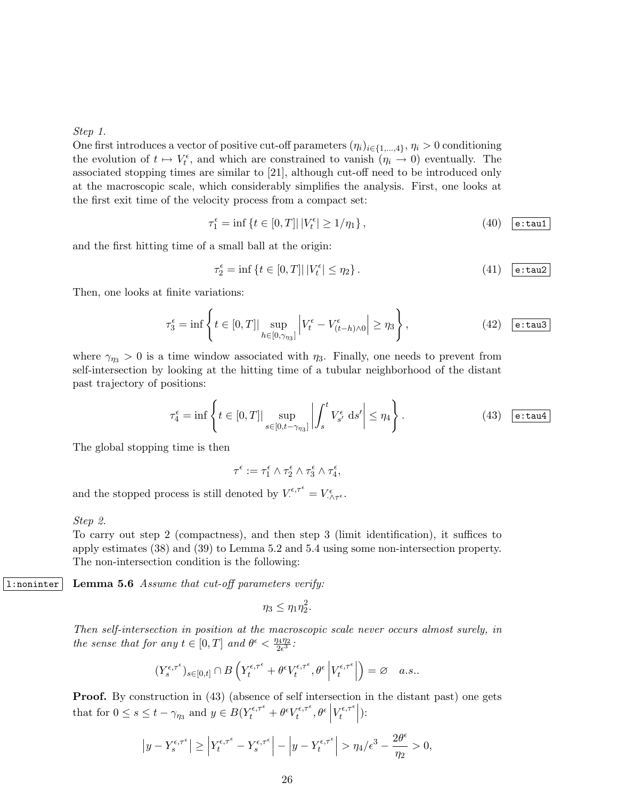Step 1.

One first introduces a vector of positive cut-off parameters  $(\eta_i)_{i \in \{1,\dots,4\}}$ ,  $\eta_i > 0$  conditioning the evolution of  $t \mapsto V_t^{\epsilon}$ , and which are constrained to vanish  $(\eta_i \to 0)$  eventually. The associated stopping times are similar to [21], although cut-off need to be introduced only at the macroscopic scale, which considerably simplifies the analysis. First, one looks at the first exit time of the velocity process from a compact set:

$$
\tau_1^{\epsilon} = \inf \left\{ t \in [0, T] \middle| \left| V_t^{\epsilon} \right| \ge 1/\eta_1 \right\},\tag{40} \quad \boxed{\text{e:tau}}
$$

and the first hitting time of a small ball at the origin:

$$
\tau_2^{\epsilon} = \inf \left\{ t \in [0, T] \middle| \left| V_t^{\epsilon} \right| \le \eta_2 \right\}. \tag{41} \quad \boxed{\mathsf{e:tau2}}
$$

Then, one looks at finite variations:

$$
\tau_3^{\epsilon} = \inf \left\{ t \in [0, T] \big| \sup_{h \in [0, \gamma_{\eta_3}]} \left| V_t^{\epsilon} - V_{(t-h) \wedge 0}^{\epsilon} \right| \ge \eta_3 \right\},\tag{42} \quad \boxed{\text{e:tau}}
$$

where  $\gamma_{n3} > 0$  is a time window associated with  $\eta_3$ . Finally, one needs to prevent from self-intersection by looking at the hitting time of a tubular neighborhood of the distant past trajectory of positions:

$$
\tau_4^{\epsilon} = \inf \left\{ t \in [0, T] \big| \sup_{s \in [0, t - \gamma_{\eta_3}]} \left| \int_s^t V_{s'}^{\epsilon} ds' \right| \le \eta_4 \right\}.
$$
 (43)  $\boxed{\text{e:tau}}$ 

The global stopping time is then

$$
\tau^\epsilon:=\tau_1^\epsilon\wedge\tau_2^\epsilon\wedge\tau_3^\epsilon\wedge\tau_4^\epsilon,
$$

and the stopped process is still denoted by  $V^{\epsilon,\tau^{\epsilon}} = V^{\epsilon}_{\cdot \wedge \tau^{\epsilon}}$ .

#### Step 2.

To carry out step 2 (compactness), and then step 3 (limit identification), it suffices to apply estimates (38) and (39) to Lemma 5.2 and 5.4 using some non-intersection property. The non-intersection condition is the following:

1: noninter Lemma 5.6 Assume that cut-off parameters verify:

$$
\eta_3 \leq \eta_1 \eta_2^2.
$$

Then self-intersection in position at the macroscopic scale never occurs almost surely, in the sense that for any  $t \in [0,T]$  and  $\theta^{\epsilon} < \frac{\eta_4 \eta_2}{2\epsilon^3}$  $\frac{14 \eta_2}{2 \epsilon^3}$  :

$$
(Y^{\epsilon,\tau^\epsilon}_s)_{s\in[0,t]}\cap B\left(Y^{\epsilon,\tau^\epsilon}_t+\theta^\epsilon V^{\epsilon,\tau^\epsilon}_t,\theta^\epsilon\left\vert V^{\epsilon,\tau^\epsilon}_t\right\vert\right)=\varnothing\quad a.s..
$$

Proof. By construction in (43) (absence of self intersection in the distant past) one gets that for  $0 \leq s \leq t - \gamma_{\eta_3}$  and  $y \in B(Y_t^{\epsilon,\tau^{\epsilon}} + \theta^{\epsilon} V_t^{\epsilon,\tau^{\epsilon}})$  $\left. \frac{\partial \epsilon}{\partial t}, \theta^{\epsilon} \right|$  $V_t^{\epsilon,\tau^\epsilon}$  $\left. \begin{array}{c} \mathcal{F}^{\epsilon,\tau^{\epsilon}} \left| \right. \end{array} \right|$ 

$$
\left|y - Y_s^{\epsilon,\tau^{\epsilon}}\right| \ge \left|Y_t^{\epsilon,\tau^{\epsilon}} - Y_s^{\epsilon,\tau^{\epsilon}}\right| - \left|y - Y_t^{\epsilon,\tau^{\epsilon}}\right| > \eta_4/\epsilon^3 - \frac{2\theta^{\epsilon}}{\eta_2} > 0,
$$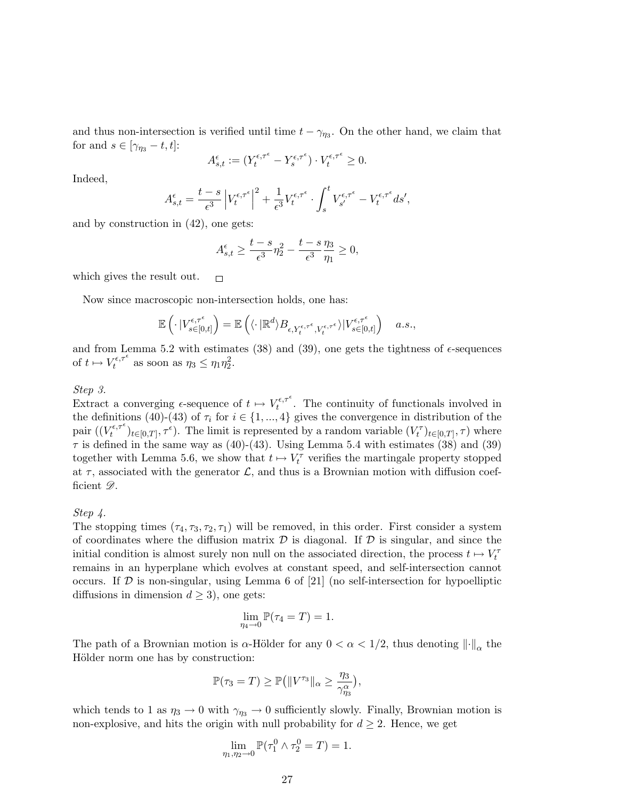and thus non-intersection is verified until time  $t - \gamma_{\eta_3}$ . On the other hand, we claim that for and  $s \in [\gamma_{\eta_3} - t, t]$ :

$$
A_{s,t}^{\epsilon} := (Y_t^{\epsilon,\tau^{\epsilon}} - Y_s^{\epsilon,\tau^{\epsilon}}) \cdot V_t^{\epsilon,\tau^{\epsilon}} \ge 0.
$$

Indeed,

$$
A_{s,t}^{\epsilon} = \frac{t-s}{\epsilon^3} \left| V_t^{\epsilon,\tau^{\epsilon}} \right|^2 + \frac{1}{\epsilon^3} V_t^{\epsilon,\tau^{\epsilon}} \cdot \int_s^t V_{s'}^{\epsilon,\tau^{\epsilon}} - V_t^{\epsilon,\tau^{\epsilon}} ds',
$$

and by construction in (42), one gets:

$$
A_{s,t}^{\epsilon} \ge \frac{t-s}{\epsilon^3} \eta_2^2 - \frac{t-s}{\epsilon^3} \frac{\eta_3}{\eta_1} \ge 0,
$$

which gives the result out.  $\Box$ 

Now since macroscopic non-intersection holds, one has:

$$
\mathbb{E}\left(\cdot\left|V_{s\in[0,t]}^{\epsilon,\tau^{\epsilon}}\right.\right)=\mathbb{E}\left(\langle\cdot|\mathbb{R}^{d}\rangle B_{\epsilon,Y_{t}^{\epsilon,\tau^{\epsilon}},V_{t}^{\epsilon,\tau^{\epsilon}}}\rangle|V_{s\in[0,t]}^{\epsilon,\tau^{\epsilon}}\right)\quad a.s.,
$$

and from Lemma 5.2 with estimates  $(38)$  and  $(39)$ , one gets the tightness of  $\epsilon$ -sequences of  $t \mapsto V_t^{\epsilon,\tau^{\epsilon}}$  $\tau_t^{\epsilon,\tau^{\epsilon}}$  as soon as  $\eta_3 \leq \eta_1 \eta_2^2$ .

#### Step 3.

Extract a converging  $\epsilon$ -sequence of  $t \mapsto V_t^{\epsilon,\tau^{\epsilon}}$  $t_t^{\epsilon,\tau^*}$ . The continuity of functionals involved in the definitions (40)-(43) of  $\tau_i$  for  $i \in \{1, ..., 4\}$  gives the convergence in distribution of the pair  $((V_t^{\epsilon,\tau^{\epsilon}})$  $(t_t^{\tau\epsilon,\tau^{\epsilon}})_{t\in[0,T]},\tau^{\epsilon})$ . The limit is represented by a random variable  $(V_t^{\tau})_{t\in[0,T]},\tau)$  where  $\tau$  is defined in the same way as (40)-(43). Using Lemma 5.4 with estimates (38) and (39) together with Lemma 5.6, we show that  $t \mapsto V_t^{\tau}$  verifies the martingale property stopped at  $\tau$ , associated with the generator  $\mathcal{L}$ , and thus is a Brownian motion with diffusion coefficient  $\mathscr{D}$ .

#### Step 4.

The stopping times  $(\tau_4, \tau_3, \tau_2, \tau_1)$  will be removed, in this order. First consider a system of coordinates where the diffusion matrix  $\mathcal D$  is diagonal. If  $\mathcal D$  is singular, and since the initial condition is almost surely non null on the associated direction, the process  $t \mapsto V_t^{\tau}$ remains in an hyperplane which evolves at constant speed, and self-intersection cannot occurs. If  $D$  is non-singular, using Lemma 6 of [21] (no self-intersection for hypoelliptic diffusions in dimension  $d \geq 3$ , one gets:

$$
\lim_{\eta_4 \to 0} \mathbb{P}(\tau_4 = T) = 1.
$$

The path of a Brownian motion is  $\alpha$ -Hölder for any  $0 < \alpha < 1/2$ , thus denoting  $\lVert \cdot \rVert_{\alpha}$  the Hölder norm one has by construction:

$$
\mathbb{P}(\tau_3 = T) \ge \mathbb{P} \big( \|V^{\tau_3}\|_{\alpha} \ge \frac{\eta_3}{\gamma_{\eta_3}^{\alpha}} \big),
$$

which tends to 1 as  $\eta_3 \to 0$  with  $\gamma_{\eta_3} \to 0$  sufficiently slowly. Finally, Brownian motion is non-explosive, and hits the origin with null probability for  $d \geq 2$ . Hence, we get

$$
\lim_{\eta_1, \eta_2 \to 0} \mathbb{P}(\tau_1^0 \wedge \tau_2^0 = T) = 1.
$$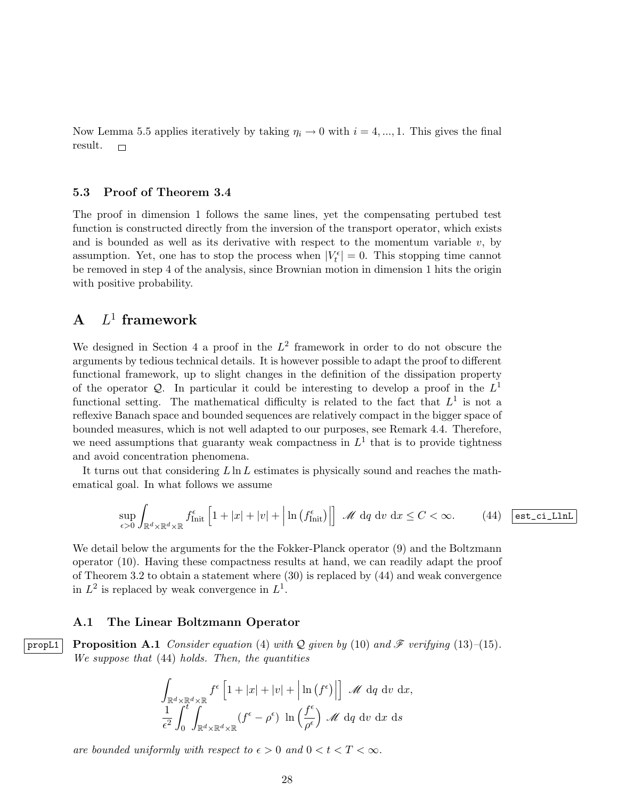Now Lemma 5.5 applies iteratively by taking  $\eta_i \to 0$  with  $i = 4, ..., 1$ . This gives the final result.  $\Box$ 

#### 5.3 Proof of Theorem 3.4

The proof in dimension 1 follows the same lines, yet the compensating pertubed test function is constructed directly from the inversion of the transport operator, which exists and is bounded as well as its derivative with respect to the momentum variable  $v$ , by assumption. Yet, one has to stop the process when  $|V_t^{\epsilon}| = 0$ . This stopping time cannot be removed in step 4 of the analysis, since Brownian motion in dimension 1 hits the origin with positive probability.

# $A$   $L^1$  framework

We designed in Section 4 a proof in the  $L^2$  framework in order to do not obscure the arguments by tedious technical details. It is however possible to adapt the proof to different functional framework, up to slight changes in the definition of the dissipation property of the operator Q. In particular it could be interesting to develop a proof in the  $L^1$ functional setting. The mathematical difficulty is related to the fact that  $L^1$  is not a reflexive Banach space and bounded sequences are relatively compact in the bigger space of bounded measures, which is not well adapted to our purposes, see Remark 4.4. Therefore, we need assumptions that guaranty weak compactness in  $L<sup>1</sup>$  that is to provide tightness and avoid concentration phenomena.

It turns out that considering  $L \ln L$  estimates is physically sound and reaches the mathematical goal. In what follows we assume

$$
\sup_{\epsilon>0} \int_{\mathbb{R}^d \times \mathbb{R}^d \times \mathbb{R}} f_{\text{Init}}^{\epsilon} \left[ 1 + |x| + |v| + \left| \ln \left( f_{\text{Init}}^{\epsilon} \right) \right| \right] \mathcal{M} \, \mathrm{d}q \, \mathrm{d}v \, \mathrm{d}x \le C < \infty. \tag{44} \quad \text{est\_cil.}
$$

We detail below the arguments for the the Fokker-Planck operator (9) and the Boltzmann operator (10). Having these compactness results at hand, we can readily adapt the proof of Theorem 3.2 to obtain a statement where (30) is replaced by (44) and weak convergence in  $L^2$  is replaced by weak convergence in  $L^1$ .

#### A.1 The Linear Boltzmann Operator

propL1 Proposition A.1 Consider equation (4) with Q given by (10) and  $\mathscr F$  verifying (13)–(15). We suppose that (44) holds. Then, the quantities

$$
\int_{\mathbb{R}^d \times \mathbb{R}^d \times \mathbb{R}} f^{\epsilon} \left[ 1 + |x| + |v| + \left| \ln(f^{\epsilon}) \right| \right] \mathcal{M} d q \, dv \, dx,
$$
  

$$
\frac{1}{\epsilon^2} \int_0^t \int_{\mathbb{R}^d \times \mathbb{R}^d \times \mathbb{R}} (f^{\epsilon} - \rho^{\epsilon}) \ln \left( \frac{f^{\epsilon}}{\rho^{\epsilon}} \right) \mathcal{M} d q \, dv \, dx \, ds
$$

are bounded uniformly with respect to  $\epsilon > 0$  and  $0 < t < T < \infty$ .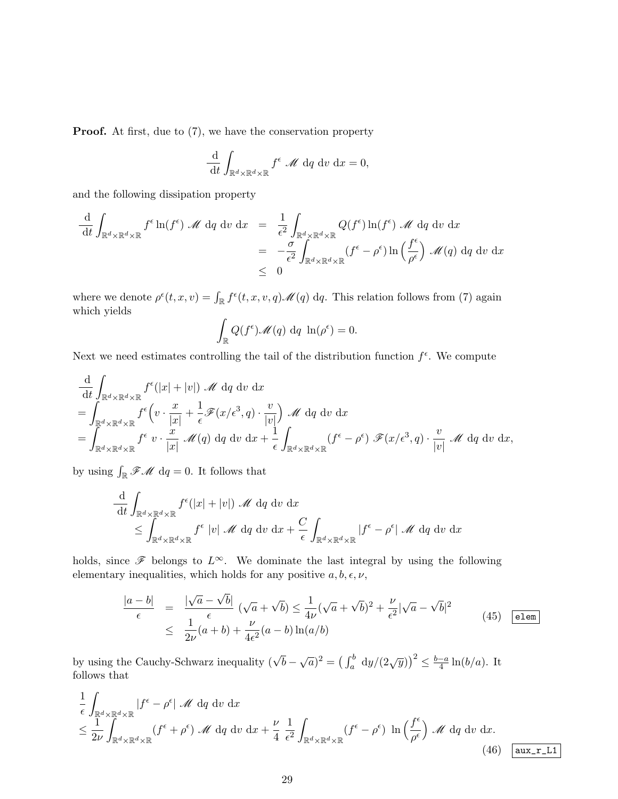**Proof.** At first, due to  $(7)$ , we have the conservation property

$$
\frac{\mathrm{d}}{\mathrm{d}t} \int_{\mathbb{R}^d \times \mathbb{R}^d \times \mathbb{R}} f^{\epsilon} \mathcal{M} \, \mathrm{d}q \, \mathrm{d}v \, \mathrm{d}x = 0,
$$

and the following dissipation property

$$
\frac{\mathrm{d}}{\mathrm{d}t} \int_{\mathbb{R}^d \times \mathbb{R}^d \times \mathbb{R}} f^{\epsilon} \ln(f^{\epsilon}) \mathcal{M} \, \mathrm{d}q \, \mathrm{d}v \, \mathrm{d}x = \frac{1}{\epsilon^2} \int_{\mathbb{R}^d \times \mathbb{R}^d \times \mathbb{R}} Q(f^{\epsilon}) \ln(f^{\epsilon}) \mathcal{M} \, \mathrm{d}q \, \mathrm{d}v \, \mathrm{d}x
$$
\n
$$
= -\frac{\sigma}{\epsilon^2} \int_{\mathbb{R}^d \times \mathbb{R}^d \times \mathbb{R}} (f^{\epsilon} - \rho^{\epsilon}) \ln\left(\frac{f^{\epsilon}}{\rho^{\epsilon}}\right) \mathcal{M}(q) \, \mathrm{d}q \, \mathrm{d}v \, \mathrm{d}x
$$
\n
$$
\leq 0
$$

where we denote  $\rho^{\epsilon}(t, x, v) = \int_{\mathbb{R}} f^{\epsilon}(t, x, v, q) \mathscr{M}(q) dq$ . This relation follows from (7) again which yields

$$
\int_{\mathbb{R}} Q(f^{\epsilon}) \mathscr{M}(q) dq \ln(\rho^{\epsilon}) = 0.
$$

Next we need estimates controlling the tail of the distribution function  $f^{\epsilon}$ . We compute

$$
\frac{\mathrm{d}}{\mathrm{d}t} \int_{\mathbb{R}^d \times \mathbb{R}^d \times \mathbb{R}} f^{\epsilon}(|x| + |v|) \mathcal{M} \, \mathrm{d}q \, \mathrm{d}v \, \mathrm{d}x \n= \int_{\mathbb{R}^d \times \mathbb{R}^d \times \mathbb{R}} f^{\epsilon} \Big( v \cdot \frac{x}{|x|} + \frac{1}{\epsilon} \mathcal{F}(x/\epsilon^3, q) \cdot \frac{v}{|v|} \Big) \mathcal{M} \, \mathrm{d}q \, \mathrm{d}v \, \mathrm{d}x \n= \int_{\mathbb{R}^d \times \mathbb{R}^d \times \mathbb{R}} f^{\epsilon} \, v \cdot \frac{x}{|x|} \mathcal{M}(q) \, \mathrm{d}q \, \mathrm{d}v \, \mathrm{d}x + \frac{1}{\epsilon} \int_{\mathbb{R}^d \times \mathbb{R}^d \times \mathbb{R}} (f^{\epsilon} - \rho^{\epsilon}) \mathcal{F}(x/\epsilon^3, q) \cdot \frac{v}{|v|} \mathcal{M} \, \mathrm{d}q \, \mathrm{d}v \, \mathrm{d}x,
$$

by using  $\int_{\mathbb{R}} \mathscr{F} \mathscr{M} dq = 0$ . It follows that

$$
\frac{\mathrm{d}}{\mathrm{d}t} \int_{\mathbb{R}^d \times \mathbb{R}^d \times \mathbb{R}} f^{\epsilon}(|x| + |v|) \mathcal{M} \, \mathrm{d}q \, \mathrm{d}v \, \mathrm{d}x \n\leq \int_{\mathbb{R}^d \times \mathbb{R}^d \times \mathbb{R}} f^{\epsilon} |v| \mathcal{M} \, \mathrm{d}q \, \mathrm{d}v \, \mathrm{d}x + \frac{C}{\epsilon} \int_{\mathbb{R}^d \times \mathbb{R}^d \times \mathbb{R}} |f^{\epsilon} - \rho^{\epsilon}| \mathcal{M} \, \mathrm{d}q \, \mathrm{d}v \, \mathrm{d}x
$$

holds, since  $\mathscr F$  belongs to  $L^\infty$ . We dominate the last integral by using the following elementary inequalities, which holds for any positive  $a, b, \epsilon, \nu$ ,

$$
\frac{|a-b|}{\epsilon} = \frac{|\sqrt{a}-\sqrt{b}|}{\epsilon} \left(\sqrt{a}+\sqrt{b}\right) \le \frac{1}{4\nu}(\sqrt{a}+\sqrt{b})^2 + \frac{\nu}{\epsilon^2}|\sqrt{a}-\sqrt{b}|^2
$$
\n
$$
\le \frac{1}{2\nu}(a+b) + \frac{\nu}{4\epsilon^2}(a-b)\ln(a/b) \tag{45}
$$

by using the Cauchy-Schwarz inequality  $(\sqrt{b} - \sqrt{a})^2 = (\int_a^b dy/(2\sqrt{y}))^2 \le \frac{b-a}{4}$  $\frac{-a}{4}\ln(b/a)$ . It follows that

$$
\frac{1}{\epsilon} \int_{\mathbb{R}^d \times \mathbb{R}^d \times \mathbb{R}} |f^{\epsilon} - \rho^{\epsilon}| \mathcal{M} dq dv dx \n\leq \frac{1}{2\nu} \int_{\mathbb{R}^d \times \mathbb{R}^d \times \mathbb{R}} (f^{\epsilon} + \rho^{\epsilon}) \mathcal{M} dq dv dx + \frac{\nu}{4} \frac{1}{\epsilon^2} \int_{\mathbb{R}^d \times \mathbb{R}^d \times \mathbb{R}} (f^{\epsilon} - \rho^{\epsilon}) \ln \left( \frac{f^{\epsilon}}{\rho^{\epsilon}} \right) \mathcal{M} dq dv dx.
$$
\n(46)  $\left[ \text{aux\_r\_L1} \right]$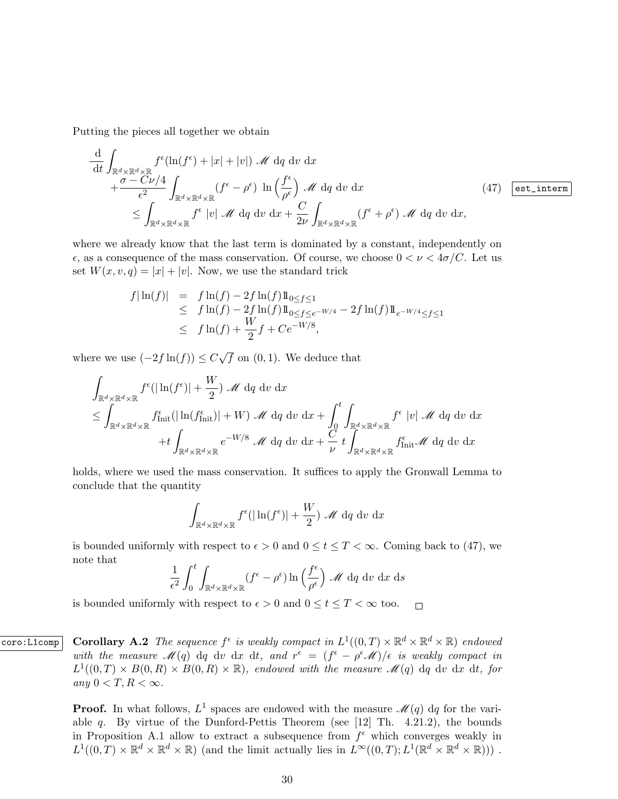Putting the pieces all together we obtain

$$
\frac{\mathrm{d}}{\mathrm{d}t} \int_{\mathbb{R}^d \times \mathbb{R}^d \times \mathbb{R}} f^{\epsilon}(\ln(f^{\epsilon}) + |x| + |v|) \mathcal{M} \, \mathrm{d}q \, \mathrm{d}v \, \mathrm{d}x \n+ \frac{\sigma - C\nu/4}{\epsilon^2} \int_{\mathbb{R}^d \times \mathbb{R}^d \times \mathbb{R}} (f^{\epsilon} - \rho^{\epsilon}) \, \ln\left(\frac{f^{\epsilon}}{\rho^{\epsilon}}\right) \mathcal{M} \, \mathrm{d}q \, \mathrm{d}v \, \mathrm{d}x \n\leq \int_{\mathbb{R}^d \times \mathbb{R}^d \times \mathbb{R}} f^{\epsilon} |v| \mathcal{M} \, \mathrm{d}q \, \mathrm{d}v \, \mathrm{d}x + \frac{C}{2\nu} \int_{\mathbb{R}^d \times \mathbb{R}^d \times \mathbb{R}} (f^{\epsilon} + \rho^{\epsilon}) \mathcal{M} \, \mathrm{d}q \, \mathrm{d}v \, \mathrm{d}x, \tag{47}
$$

where we already know that the last term is dominated by a constant, independently on  $\epsilon$ , as a consequence of the mass conservation. Of course, we choose  $0 < \nu < 4\sigma/C$ . Let us set  $W(x, v, q) = |x| + |v|$ . Now, we use the standard trick

$$
f|\ln(f)| = f \ln(f) - 2f \ln(f) 1\!\!1_{0 \le f \le 1} \n\le f \ln(f) - 2f \ln(f) 1\!\!1_{0 \le f \le e^{-W/4}} - 2f \ln(f) 1\!\!1_{e^{-W/4} \le f \le 1} \n\le f \ln(f) + \frac{W}{2} f + Ce^{-W/8},
$$

where we use  $(-2f \ln(f)) \leq C$ √  $\overline{f}$  on  $(0, 1)$ . We deduce that

$$
\int_{\mathbb{R}^d \times \mathbb{R}^d \times \mathbb{R}} f^{\epsilon}(|\ln(f^{\epsilon})| + \frac{W}{2}) \mathcal{M} dq dv dx \n\leq \int_{\mathbb{R}^d \times \mathbb{R}^d \times \mathbb{R}} f^{\epsilon}_{\text{Init}}(|\ln(f^{\epsilon}_{\text{Init}})| + W) \mathcal{M} dq dv dx + \int_0^t \int_{\mathbb{R}^d \times \mathbb{R}^d \times \mathbb{R}} f^{\epsilon} |v| \mathcal{M} dq dv dx \n+ t \int_{\mathbb{R}^d \times \mathbb{R}^d \times \mathbb{R}} e^{-W/8} \mathcal{M} dq dv dx + \frac{C}{\nu} t \int_{\mathbb{R}^d \times \mathbb{R}^d \times \mathbb{R}} f^{\epsilon}_{\text{Init}} \mathcal{M} dq dv dx
$$

holds, where we used the mass conservation. It suffices to apply the Gronwall Lemma to conclude that the quantity

$$
\int_{\mathbb{R}^d \times \mathbb{R}^d \times \mathbb{R}} f^{\epsilon}(|\ln(f^{\epsilon})| + \frac{W}{2}) \mathcal{M} dq dv dx
$$

is bounded uniformly with respect to  $\epsilon > 0$  and  $0 \le t \le T < \infty$ . Coming back to (47), we note that

$$
\frac{1}{\epsilon^2} \int_0^t \int_{\mathbb{R}^d \times \mathbb{R}^d \times \mathbb{R}} (f^{\epsilon} - \rho^{\epsilon}) \ln \left( \frac{f^{\epsilon}}{\rho^{\epsilon}} \right) \mathcal{M} d q \, dv \, dx \, ds
$$

is bounded uniformly with respect to  $\epsilon > 0$  and  $0 \leq t \leq T < \infty$  too.  $\Box$ 

coro:L1comp Corollary A.2 The sequence  $f^{\epsilon}$  is weakly compact in  $L^{1}((0,T) \times \mathbb{R}^{d} \times \mathbb{R}^{d} \times \mathbb{R})$  endowed with the measure  $\mathscr{M}(q)$  dq dv dx dt, and  $r^{\epsilon} = (f^{\epsilon} - \rho^{\epsilon}\mathscr{M})/\epsilon$  is weakly compact in  $L^1((0,T) \times B(0,R) \times B(0,R) \times \mathbb{R})$ , endowed with the measure  $\mathscr{M}(q)$  dq dv dx dt, for any  $0 < T, R < \infty$ .

> **Proof.** In what follows,  $L^1$  spaces are endowed with the measure  $\mathcal{M}(q)$  dq for the variable q. By virtue of the Dunford-Pettis Theorem (see  $[12]$  Th. 4.21.2), the bounds in Proposition A.1 allow to extract a subsequence from  $f^{\epsilon}$  which converges weakly in  $L^1((0,T)\times\mathbb{R}^d\times\mathbb{R}^d\times\mathbb{R})$  (and the limit actually lies in  $L^\infty((0,T);L^1(\mathbb{R}^d\times\mathbb{R}^d\times\mathbb{R})))$ .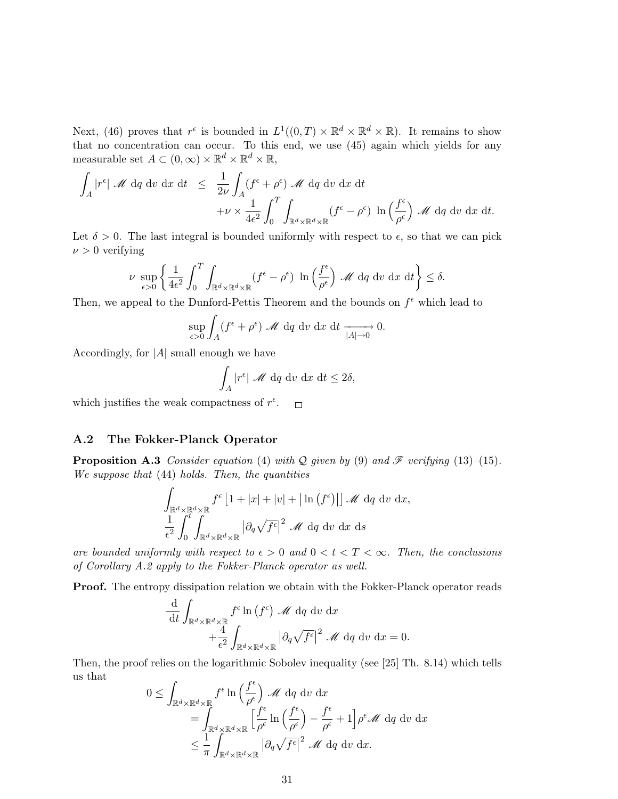Next, (46) proves that  $r^{\epsilon}$  is bounded in  $L^1((0,T) \times \mathbb{R}^d \times \mathbb{R}^d \times \mathbb{R})$ . It remains to show that no concentration can occur. To this end, we use (45) again which yields for any measurable set  $A \subset (0,\infty) \times \mathbb{R}^d \times \mathbb{R}^d \times \mathbb{R}$ ,

$$
\int_A |r^{\epsilon}| \mathcal{M} d\mathbf{q} d\mathbf{v} d\mathbf{x} dt \leq \frac{1}{2\nu} \int_A (f^{\epsilon} + \rho^{\epsilon}) \mathcal{M} d\mathbf{q} d\mathbf{v} d\mathbf{x} dt \n+ \nu \times \frac{1}{4\epsilon^2} \int_0^T \int_{\mathbb{R}^d \times \mathbb{R}^d \times \mathbb{R}} (f^{\epsilon} - \rho^{\epsilon}) \ln \left( \frac{f^{\epsilon}}{\rho^{\epsilon}} \right) \mathcal{M} d\mathbf{q} d\mathbf{v} dx dt.
$$

Let  $\delta > 0$ . The last integral is bounded uniformly with respect to  $\epsilon$ , so that we can pick  $\nu > 0$  verifying

$$
\nu \sup_{\epsilon>0} \left\{ \frac{1}{4\epsilon^2} \int_0^T \int_{\mathbb{R}^d \times \mathbb{R}^d \times \mathbb{R}} (f^{\epsilon} - \rho^{\epsilon}) \ln \left( \frac{f^{\epsilon}}{\rho^{\epsilon}} \right) \mathcal{M} d q \, dv \, dx \, dt \right\} \le \delta.
$$

Then, we appeal to the Dunford-Pettis Theorem and the bounds on  $f^{\epsilon}$  which lead to

$$
\sup_{\epsilon>0} \int_A (f^{\epsilon} + \rho^{\epsilon}) \mathcal{M} \, dq \, dv \, dx \, dt \xrightarrow[|A| \to 0]{} 0.
$$

Accordingly, for  $|A|$  small enough we have

$$
\int_A |r^{\epsilon}| \mathcal{M} dq dv dx dt \le 2\delta,
$$

which justifies the weak compactness of  $r^{\epsilon}$ .  $\Box$ 

#### A.2 The Fokker-Planck Operator

**Proposition A.3** Consider equation (4) with Q given by (9) and  $\mathcal{F}$  verifying (13)–(15). We suppose that  $(44)$  holds. Then, the quantities

$$
\int_{\mathbb{R}^d \times \mathbb{R}^d \times \mathbb{R}} f^{\epsilon} \left[ 1 + |x| + |v| + |\ln(f^{\epsilon})| \right] \mathcal{M} d q \, dv \, dx,
$$
  

$$
\frac{1}{\epsilon^2} \int_0^t \int_{\mathbb{R}^d \times \mathbb{R}^d \times \mathbb{R}} |\partial_q \sqrt{f^{\epsilon}}|^2 \mathcal{M} d q \, dv \, dx \, ds
$$

are bounded uniformly with respect to  $\epsilon > 0$  and  $0 < t < T < \infty$ . Then, the conclusions of Corollary A.2 apply to the Fokker-Planck operator as well.

Proof. The entropy dissipation relation we obtain with the Fokker-Planck operator reads

$$
\frac{\mathrm{d}}{\mathrm{d}t} \int_{\mathbb{R}^d \times \mathbb{R}^d \times \mathbb{R}} f^{\epsilon} \ln(f^{\epsilon}) \mathcal{M} \, \mathrm{d}q \, \mathrm{d}v \, \mathrm{d}x \n+ \frac{4}{\epsilon^2} \int_{\mathbb{R}^d \times \mathbb{R}^d \times \mathbb{R}} |\partial_q \sqrt{f^{\epsilon}}|^2 \mathcal{M} \, \mathrm{d}q \, \mathrm{d}v \, \mathrm{d}x = 0.
$$

Then, the proof relies on the logarithmic Sobolev inequality (see [25] Th. 8.14) which tells us that  $\overline{a}$ 

$$
0 \leq \int_{\mathbb{R}^d \times \mathbb{R}^d \times \mathbb{R}} f^{\epsilon} \ln \left( \frac{f^{\epsilon}}{\rho^{\epsilon}} \right) \mathscr{M} d q \, dv \, dx
$$
  
= 
$$
\int_{\mathbb{R}^d \times \mathbb{R}^d \times \mathbb{R}} \left[ \frac{f^{\epsilon}}{\rho^{\epsilon}} \ln \left( \frac{f^{\epsilon}}{\rho^{\epsilon}} \right) - \frac{f^{\epsilon}}{\rho^{\epsilon}} + 1 \right] \rho^{\epsilon} \mathscr{M} d q \, dv \, dx
$$
  

$$
\leq \frac{1}{\pi} \int_{\mathbb{R}^d \times \mathbb{R}^d \times \mathbb{R}} |\partial_q \sqrt{f^{\epsilon}}|^2 \mathscr{M} d q \, dv \, dx.
$$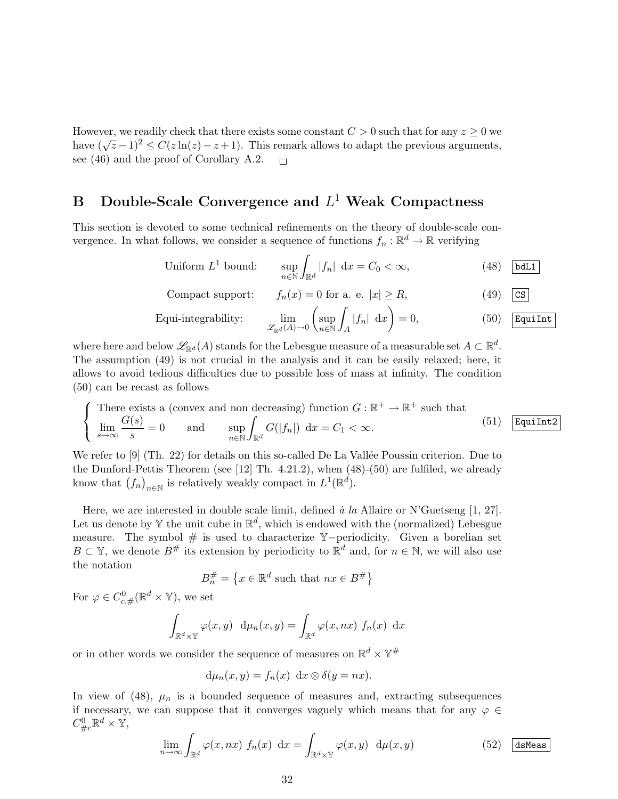However, we readily check that there exists some constant  $C > 0$  such that for any  $z \geq 0$  we have  $(\sqrt{z}-1)^2 \le C(z\ln(z)-z+1)$ . This remark allows to adapt the previous arguments, see (46) and the proof of Corollary A.2.  $\Box$ 

# B Double-Scale Convergence and  $L^1$  Weak Compactness

This section is devoted to some technical refinements on the theory of double-scale convergence. In what follows, we consider a sequence of functions  $f_n : \mathbb{R}^d \to \mathbb{R}$  verifying

Uniform 
$$
L^1
$$
 bound: 
$$
\sup_{n \in \mathbb{N}} \int_{\mathbb{R}^d} |f_n| \, dx = C_0 < \infty,
$$
 (48) [bdl1]

Compact support: 
$$
f_n(x) = 0
$$
 for a. e.  $|x| \ge R$ , (49)  $\boxed{\text{cs}}$ 

Equi-integrability: 
$$
\lim_{\mathscr{L}_{\mathbb{R}^d}(A)\to 0} \left( \sup_{n\in\mathbb{N}} \int_A |f_n| \, dx \right) = 0,
$$
 (50)  $\boxed{\text{Equilht}}$ 

where here and below  $\mathscr{L}_{\mathbb{R}^d}(A)$  stands for the Lebesgue measure of a measurable set  $A\subset \mathbb{R}^d$ . The assumption (49) is not crucial in the analysis and it can be easily relaxed; here, it allows to avoid tedious difficulties due to possible loss of mass at infinity. The condition (50) can be recast as follows

$$
\begin{cases}\n\text{There exists a (convex and non decreasing) function } G: \mathbb{R}^+ \to \mathbb{R}^+ \text{ such that} \\
\lim_{s \to \infty} \frac{G(s)}{s} = 0 \quad \text{and} \quad \sup_{n \in \mathbb{N}} \int_{\mathbb{R}^d} G(|f_n|) \, dx = C_1 < \infty.\n\end{cases} \tag{51}
$$

We refer to  $[9]$  (Th. 22) for details on this so-called De La Vallée Poussin criterion. Due to the Dunford-Pettis Theorem (see [12] Th. 4.21.2), when (48)-(50) are fulfiled, we already know that  $(f_n)_{n \in \mathbb{N}}$  is relatively weakly compact in  $L^1(\mathbb{R}^d)$ .

Here, we are interested in double scale limit, defined  $\dot{a}$  la Allaire or N'Guetseng [1, 27]. Let us denote by Y the unit cube in  $\mathbb{R}^d$ , which is endowed with the (normalized) Lebesgue measure. The symbol # is used to characterize Y−periodicity. Given a borelian set  $B \subset \mathbb{Y}$ , we denote  $B^{\#}$  its extension by periodicity to  $\mathbb{R}^d$  and, for  $n \in \mathbb{N}$ , we will also use the notation

$$
B_n^{\#} = \left\{ x \in \mathbb{R}^d \text{ such that } nx \in B^{\#} \right\}
$$

For  $\varphi \in C^0_{c, \#}(\mathbb{R}^d \times \mathbb{Y}),$  we set

$$
\int_{\mathbb{R}^d \times \mathbb{Y}} \varphi(x, y) \, d\mu_n(x, y) = \int_{\mathbb{R}^d} \varphi(x, nx) \, f_n(x) \, dx
$$

or in other words we consider the sequence of measures on  $\mathbb{R}^d \times \mathbb{Y}^{\#}$ 

$$
d\mu_n(x,y) = f_n(x) dx \otimes \delta(y = nx).
$$

In view of (48),  $\mu_n$  is a bounded sequence of measures and, extracting subsequences if necessary, we can suppose that it converges vaguely which means that for any  $\varphi \in$  $C^0_{\#c} \mathbb{R}^d \times \mathbb{Y},$ 

$$
\lim_{n \to \infty} \int_{\mathbb{R}^d} \varphi(x, nx) f_n(x) dx = \int_{\mathbb{R}^d \times \mathbb{Y}} \varphi(x, y) d\mu(x, y)
$$
 (52) dsMeas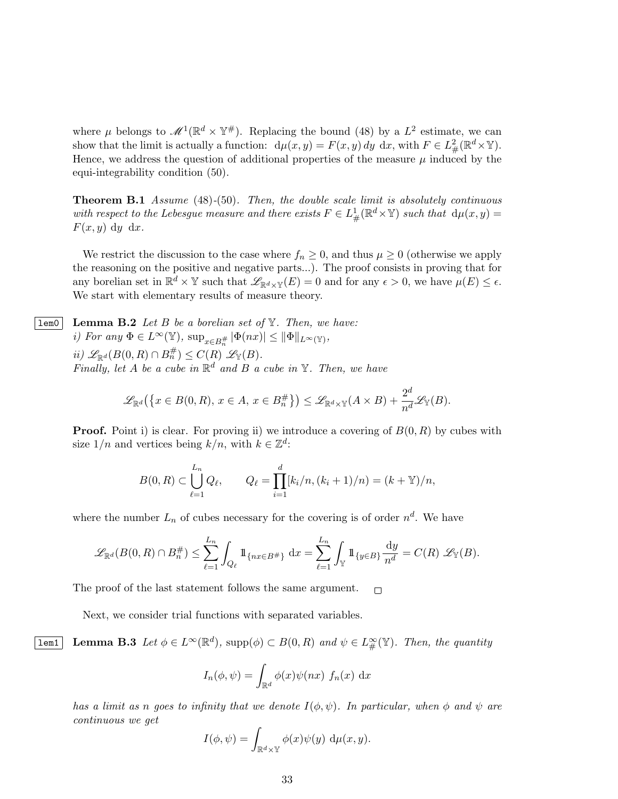where  $\mu$  belongs to  $\mathscr{M}^1(\mathbb{R}^d \times \mathbb{Y}^*)$ . Replacing the bound (48) by a  $L^2$  estimate, we can show that the limit is actually a function:  $d\mu(x, y) = F(x, y) dy dx$ , with  $F \in L^2_{\#}(\mathbb{R}^d \times \mathbb{Y})$ . Hence, we address the question of additional properties of the measure  $\mu$  induced by the equi-integrability condition (50).

**Theorem B.1** Assume  $(48)-(50)$ . Then, the double scale limit is absolutely continuous with respect to the Lebesgue measure and there exists  $F \in L^1_\#(\mathbb{R}^d \times \mathbb{Y})$  such that  $d\mu(x, y) =$  $F(x, y)$  dy dx.

We restrict the discussion to the case where  $f_n \geq 0$ , and thus  $\mu \geq 0$  (otherwise we apply the reasoning on the positive and negative parts...). The proof consists in proving that for any borelian set in  $\mathbb{R}^d \times \mathbb{Y}$  such that  $\mathscr{L}_{\mathbb{R}^d \times \mathbb{Y}}(E) = 0$  and for any  $\epsilon > 0$ , we have  $\mu(E) \leq \epsilon$ . We start with elementary results of measure theory.

**lem0** Lemma B.2 Let B be a borelian set of  $\mathbb{Y}$ . Then, we have: i) For any  $\Phi \in L^{\infty}(\mathbb{Y}), \sup_{x \in B_n^{\#}} |\Phi(nx)| \leq ||\Phi||_{L^{\infty}(\mathbb{Y})},$ ii)  $\mathscr{L}_{\mathbb{R}^d}(B(0,R) \cap B_n^{\#}) \leq C(R) \mathscr{L}_{\mathbb{Y}}(B).$ Finally, let A be a cube in  $\mathbb{R}^d$  and B a cube in Y. Then, we have

$$
\mathscr{L}_{\mathbb{R}^d}\big(\big\{x\in B(0,R),\,x\in A,\,x\in B_n^{\#}\big\}\big)\leq \mathscr{L}_{\mathbb{R}^d\times\mathbb{Y}}(A\times B)+\frac{2^d}{n^d}\mathscr{L}_{\mathbb{Y}}(B).
$$

**Proof.** Point i) is clear. For proving ii) we introduce a covering of  $B(0, R)$  by cubes with size  $1/n$  and vertices being  $k/n$ , with  $k \in \mathbb{Z}^d$ :

$$
B(0,R) \subset \bigcup_{\ell=1}^{L_n} Q_{\ell}, \qquad Q_{\ell} = \prod_{i=1}^{d} [k_i/n, (k_i+1)/n] = (k+\mathbb{Y})/n,
$$

where the number  $L_n$  of cubes necessary for the covering is of order  $n^d$ . We have

$$
\mathscr{L}_{\mathbb{R}^d}(B(0,R)\cap B_n^{\#}) \leq \sum_{\ell=1}^{L_n} \int_{Q_{\ell}} 1\!\!1_{\{nx \in B^{\#}\}} dx = \sum_{\ell=1}^{L_n} \int_{\mathbb{Y}} 1\!\!1_{\{y \in B\}} \frac{dy}{n^d} = C(R) \mathscr{L}_{\mathbb{Y}}(B).
$$

The proof of the last statement follows the same argument.  $\Box$ 

Next, we consider trial functions with separated variables.

**Lemma B.3** Let  $\phi \in L^{\infty}(\mathbb{R}^d)$ , supp $(\phi) \subset B(0, R)$  and  $\psi \in L^{\infty}_{\#}(\mathbb{Y})$ . Then, the quantity

$$
I_n(\phi, \psi) = \int_{\mathbb{R}^d} \phi(x) \psi(nx) f_n(x) dx
$$

has a limit as n goes to infinity that we denote  $I(\phi, \psi)$ . In particular, when  $\phi$  and  $\psi$  are continuous we get

$$
I(\phi, \psi) = \int_{\mathbb{R}^d \times \mathbb{Y}} \phi(x) \psi(y) \, d\mu(x, y).
$$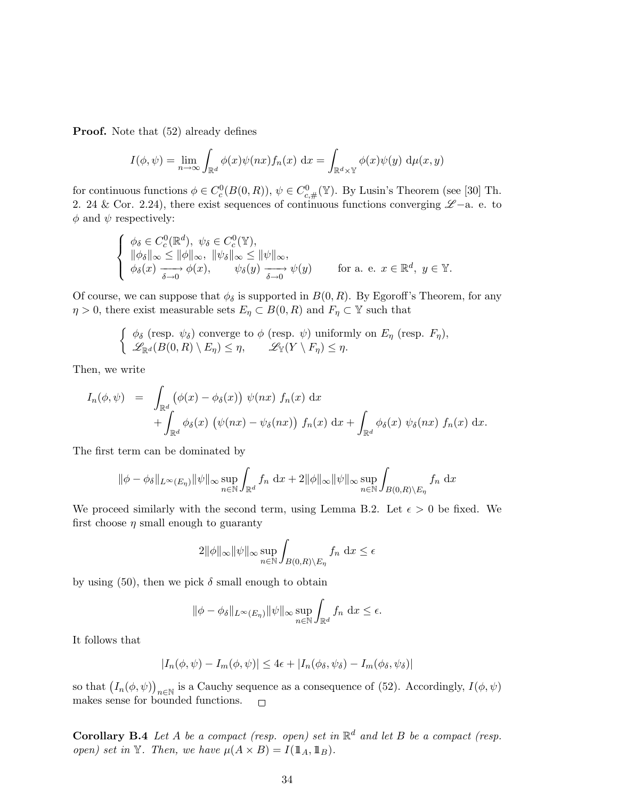**Proof.** Note that  $(52)$  already defines

$$
I(\phi, \psi) = \lim_{n \to \infty} \int_{\mathbb{R}^d} \phi(x) \psi(nx) f_n(x) dx = \int_{\mathbb{R}^d \times \mathbb{Y}} \phi(x) \psi(y) d\mu(x, y)
$$

for continuous functions  $\phi \in C_c^0(B(0,R))$ ,  $\psi \in C_{c,\#}^0(\mathbb{Y})$ . By Lusin's Theorem (see [30] Th. 2. 24 & Cor. 2.24), there exist sequences of continuous functions converging  $\mathscr{L}-a$ . e. to  $\phi$  and  $\psi$  respectively:

$$
\begin{cases}\n\phi_{\delta} \in C_c^0(\mathbb{R}^d), \ \psi_{\delta} \in C_c^0(\mathbb{Y}), \\
\|\phi_{\delta}\|_{\infty} \le \|\phi\|_{\infty}, \ \|\psi_{\delta}\|_{\infty} \le \|\psi\|_{\infty}, \\
\phi_{\delta}(x) \xrightarrow[\delta \to 0]{} \phi(x), \qquad \psi_{\delta}(y) \xrightarrow[\delta \to 0]{} \psi(y)\n\end{cases} \text{ for a. e. } x \in \mathbb{R}^d, \ y \in \mathbb{Y}.
$$

Of course, we can suppose that  $\phi_{\delta}$  is supported in  $B(0, R)$ . By Egoroff's Theorem, for any  $\eta > 0$ , there exist measurable sets  $E_{\eta} \subset B(0, R)$  and  $F_{\eta} \subset \mathbb{Y}$  such that

$$
\begin{cases} \phi_{\delta} \text{ (resp. } \psi_{\delta} \text{) converge to } \phi \text{ (resp. } \psi \text{) uniformly on } E_{\eta} \text{ (resp. } F_{\eta}), \\ \mathscr{L}_{\mathbb{R}^d}(B(0,R) \setminus E_{\eta}) \leq \eta, \qquad \mathscr{L}_{\mathbb{Y}}(Y \setminus F_{\eta}) \leq \eta. \end{cases}
$$

Then, we write

$$
I_n(\phi, \psi) = \int_{\mathbb{R}^d} (\phi(x) - \phi_\delta(x)) \psi(nx) f_n(x) dx + \int_{\mathbb{R}^d} \phi_\delta(x) (\psi(nx) - \psi_\delta(nx)) f_n(x) dx + \int_{\mathbb{R}^d} \phi_\delta(x) \psi_\delta(nx) f_n(x) dx.
$$

The first term can be dominated by

$$
\|\phi - \phi_{\delta}\|_{L^{\infty}(E_{\eta})} \|\psi\|_{\infty} \sup_{n \in \mathbb{N}} \int_{\mathbb{R}^d} f_n \, dx + 2 \|\phi\|_{\infty} \|\psi\|_{\infty} \sup_{n \in \mathbb{N}} \int_{B(0,R) \backslash E_{\eta}} f_n \, dx
$$

We proceed similarly with the second term, using Lemma B.2. Let  $\epsilon > 0$  be fixed. We first choose  $\eta$  small enough to guaranty

$$
2\|\phi\|_{\infty}\|\psi\|_{\infty}\sup_{n\in\mathbb{N}}\int_{B(0,R)\setminus E_{\eta}}f_n\,\mathrm{d}x\leq\epsilon
$$

by using (50), then we pick  $\delta$  small enough to obtain

$$
\|\phi - \phi_{\delta}\|_{L^{\infty}(E_{\eta})} \|\psi\|_{\infty} \sup_{n \in \mathbb{N}} \int_{\mathbb{R}^d} f_n \, \mathrm{d}x \le \epsilon.
$$

It follows that

$$
|I_n(\phi, \psi) - I_m(\phi, \psi)| \le 4\epsilon + |I_n(\phi_\delta, \psi_\delta) - I_m(\phi_\delta, \psi_\delta)|
$$

so that  $(I_n(\phi, \psi))_{n \in \mathbb{N}}$  is a Cauchy sequence as a consequence of (52). Accordingly,  $I(\phi, \psi)$ makes sense for bounded functions.  $\Box$ 

**Corollary B.4** Let A be a compact (resp. open) set in  $\mathbb{R}^d$  and let B be a compact (resp. open) set in Y. Then, we have  $\mu(A \times B) = I(\mathbb{1}_A, \mathbb{1}_B)$ .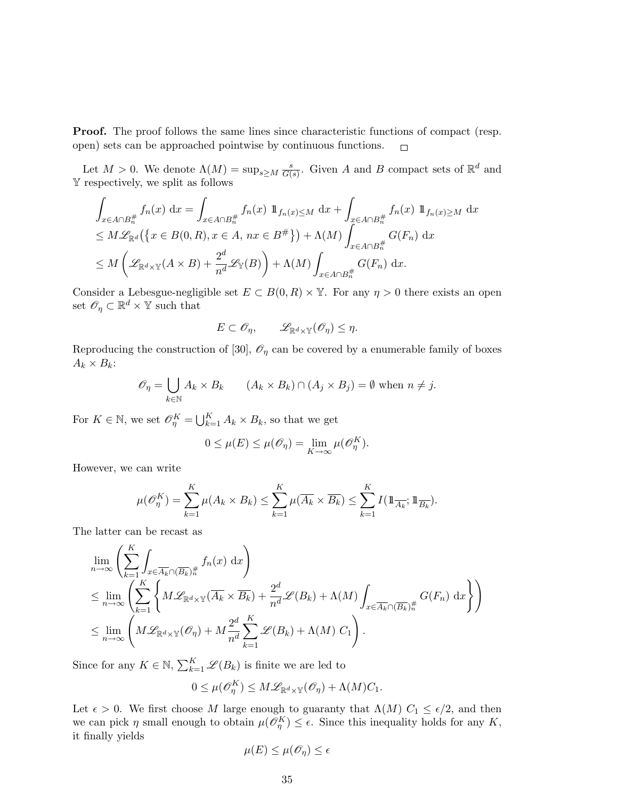Proof. The proof follows the same lines since characteristic functions of compact (resp. open) sets can be approached pointwise by continuous functions.  $\Box$ 

Let  $M > 0$ . We denote  $\Lambda(M) = \sup_{s \geq M} \frac{s}{G(s)}$  $\frac{s}{G(s)}$ . Given A and B compact sets of  $\mathbb{R}^d$  and Y respectively, we split as follows

$$
\int_{x \in A \cap B_n^{\#}} f_n(x) dx = \int_{x \in A \cap B_n^{\#}} f_n(x) 1 \,\mathrm{1}_{f_n(x) \le M} dx + \int_{x \in A \cap B_n^{\#}} f_n(x) 1 \,\mathrm{1}_{f_n(x) \ge M} dx
$$
\n
$$
\le M \mathscr{L}_{\mathbb{R}^d}(\lbrace x \in B(0, R), x \in A, nx \in B^{\#} \rbrace) + \Lambda(M) \int_{x \in A \cap B_n^{\#}} G(F_n) dx
$$
\n
$$
\le M \left( \mathscr{L}_{\mathbb{R}^d \times \mathbb{Y}}(A \times B) + \frac{2^d}{n^d} \mathscr{L}_{\mathbb{Y}}(B) \right) + \Lambda(M) \int_{x \in A \cap B_n^{\#}} G(F_n) dx.
$$

Consider a Lebesgue-negligible set  $E \subset B(0, R) \times \mathbb{Y}$ . For any  $\eta > 0$  there exists an open set  $\mathscr{O}_\eta \subset \mathbb{R}^d \times \mathbb{Y}$  such that

$$
E \subset \mathscr{O}_{\eta}, \qquad \mathscr{L}_{\mathbb{R}^d \times \mathbb{Y}}(\mathscr{O}_{\eta}) \leq \eta.
$$

Reproducing the construction of [30],  $\mathcal{O}_\eta$  can be covered by a enumerable family of boxes  $A_k \times B_k$ :

$$
\mathscr{O}_{\eta} = \bigcup_{k \in \mathbb{N}} A_k \times B_k \qquad (A_k \times B_k) \cap (A_j \times B_j) = \emptyset \text{ when } n \neq j.
$$

For  $K \in \mathbb{N}$ , we set  $\mathscr{O}_{\eta}^{K} = \bigcup_{k=1}^{K} A_k \times B_k$ , so that we get

$$
0 \leq \mu(E) \leq \mu(\mathscr{O}_{\eta}) = \lim_{K \to \infty} \mu(\mathscr{O}_{\eta}^K).
$$

However, we can write

$$
\mu(\mathscr{O}_{\eta}^{K}) = \sum_{k=1}^{K} \mu(A_k \times B_k) \leq \sum_{k=1}^{K} \mu(\overline{A_k} \times \overline{B_k}) \leq \sum_{k=1}^{K} I(\mathbb{1}_{\overline{A_k}}; \mathbb{1}_{\overline{B_k}}).
$$

The latter can be recast as

$$
\lim_{n \to \infty} \left( \sum_{k=1}^{K} \int_{x \in \overline{A_k} \cap (\overline{B_k})^{\#}} f_n(x) dx \right)
$$
\n
$$
\leq \lim_{n \to \infty} \left( \sum_{k=1}^{K} \left\{ M \mathcal{L}_{\mathbb{R}^d \times \mathbb{Y}} (\overline{A_k} \times \overline{B_k}) + \frac{2^d}{n^d} \mathcal{L}(B_k) + \Lambda(M) \int_{x \in \overline{A_k} \cap (\overline{B_k})^{\#}} G(F_n) dx \right\} \right)
$$
\n
$$
\leq \lim_{n \to \infty} \left( M \mathcal{L}_{\mathbb{R}^d \times \mathbb{Y}} (\mathcal{O}_\eta) + M \frac{2^d}{n^d} \sum_{k=1}^{K} \mathcal{L}(B_k) + \Lambda(M) C_1 \right).
$$

Since for any  $K \in \mathbb{N}$ ,  $\sum_{k=1}^{K} \mathscr{L}(B_k)$  is finite we are led to

$$
0 \leq \mu(\mathscr{O}_{\eta}^K) \leq M\mathscr{L}_{\mathbb{R}^d \times \mathbb{Y}}(\mathscr{O}_{\eta}) + \Lambda(M)C_1.
$$

Let  $\epsilon > 0$ . We first choose M large enough to guaranty that  $\Lambda(M)$   $C_1 \leq \epsilon/2$ , and then we can pick  $\eta$  small enough to obtain  $\mu(\mathcal{O}_{\eta}^K) \leq \epsilon$ . Since this inequality holds for any K, it finally yields

$$
\mu(E) \le \mu(\mathscr{O}_{\eta}) \le \epsilon
$$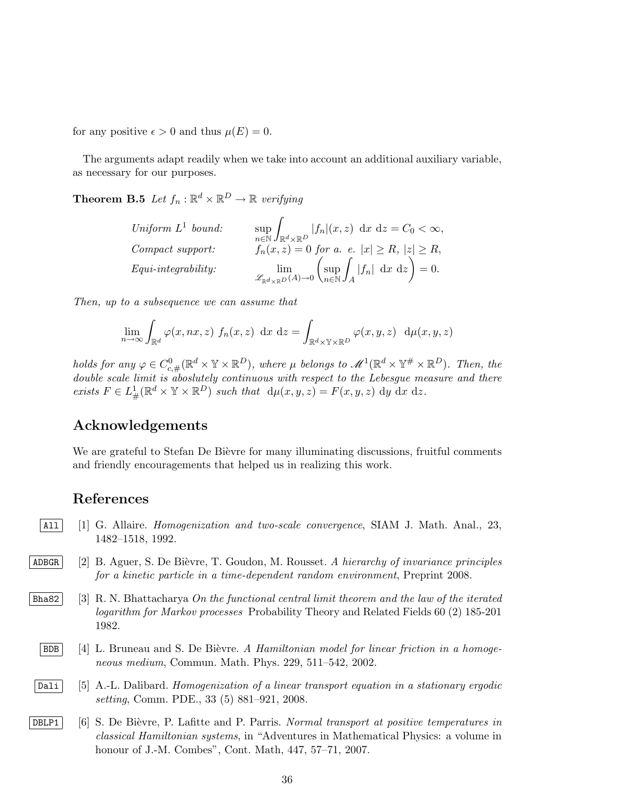for any positive  $\epsilon > 0$  and thus  $\mu(E) = 0$ .

The arguments adapt readily when we take into account an additional auxiliary variable, as necessary for our purposes.

**Theorem B.5** Let  $f_n : \mathbb{R}^d \times \mathbb{R}^D \to \mathbb{R}$  verifying

Uniform L<sup>1</sup> bound: 
$$
\sup_{n \in \mathbb{N}} \int_{\mathbb{R}^d \times \mathbb{R}^D} |f_n|(x, z) dx dz = C_0 < \infty,
$$
  
Compact support: 
$$
f_n(x, z) = 0 \text{ for a. } e. |x| \ge R, |z| \ge R,
$$
  
Equi-integrability: 
$$
\lim_{\mathscr{L}_{\mathbb{R}^d \times \mathbb{R}^D}(A) \to 0} \left( \sup_{n \in \mathbb{N}} \int_A |f_n| dx dz \right) = 0.
$$

Then, up to a subsequence we can assume that

$$
\lim_{n \to \infty} \int_{\mathbb{R}^d} \varphi(x, nx, z) f_n(x, z) dx dz = \int_{\mathbb{R}^d \times \mathbb{Y} \times \mathbb{R}^D} \varphi(x, y, z) d\mu(x, y, z)
$$

holds for any  $\varphi \in C^0_{c,\#}(\mathbb{R}^d \times \mathbb{Y} \times \mathbb{R}^D)$ , where  $\mu$  belongs to  $\mathscr{M}^1(\mathbb{R}^d \times \mathbb{Y}^{\#} \times \mathbb{R}^D)$ . Then, the double scale limit is aboslutely continuous with respect to the Lebesgue measure and there exists  $F \in L^1_{\#}(\mathbb{R}^d \times \mathbb{Y} \times \mathbb{R}^D)$  such that  $d\mu(x, y, z) = F(x, y, z) dy dx dz$ .

## Acknowledgements

We are grateful to Stefan De Bièvre for many illuminating discussions, fruitful comments and friendly encouragements that helped us in realizing this work.

## References

- $|A11|$  [1] G. Allaire. *Homogenization and two-scale convergence*, SIAM J. Math. Anal., 23, 1482–1518, 1992.
- ADBGR [2] B. Aguer, S. De Bièvre, T. Goudon, M. Rousset. A hierarchy of invariance principles for a kinetic particle in a time-dependent random environment, Preprint 2008.
- $\vert$ Bha82 [3] R. N. Bhattacharya On the functional central limit theorem and the law of the iterated logarithm for Markov processes Probability Theory and Related Fields 60 (2) 185-201 1982.
	- $\vert$  BDB  $\vert$  [4] L. Bruneau and S. De Bièvre. A Hamiltonian model for linear friction in a homogeneous medium, Commun. Math. Phys. 229, 511–542, 2002.
- Dali [5] A.-L. Dalibard. Homogenization of a linear transport equation in a stationary ergodic setting, Comm. PDE., 33 (5) 881–921, 2008.
- DBLP1 [6] S. De Bièvre, P. Lafitte and P. Parris. Normal transport at positive temperatures in classical Hamiltonian systems, in "Adventures in Mathematical Physics: a volume in honour of J.-M. Combes", Cont. Math, 447, 57–71, 2007.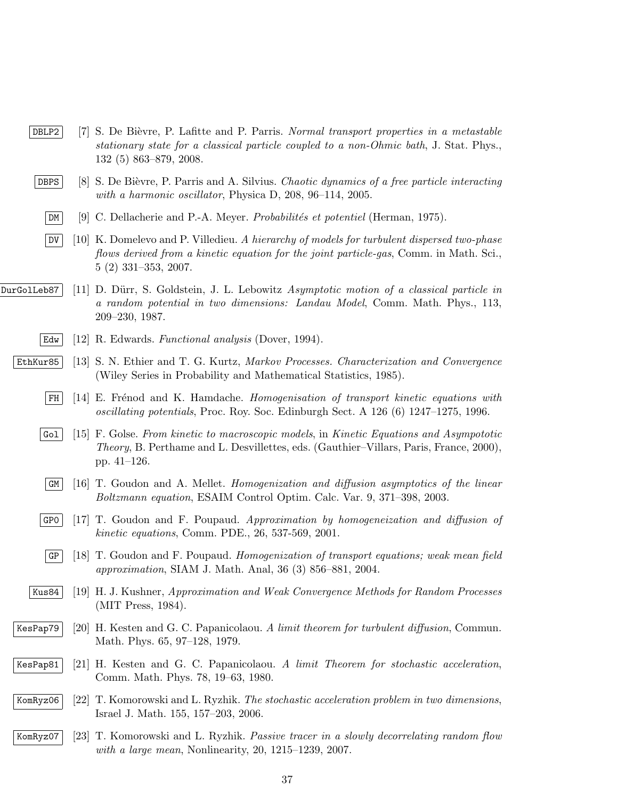- DBLP2 [7] S. De Bièvre, P. Lafitte and P. Parris. Normal transport properties in a metastable stationary state for a classical particle coupled to a non-Ohmic bath, J. Stat. Phys., 132 (5) 863–879, 2008.
- DBPS [8] S. De Bièvre, P. Parris and A. Silvius. Chaotic dynamics of a free particle interacting with a harmonic oscillator, Physica D, 208, 96–114, 2005.
	- $|\mathbb{D}M|$  [9] C. Dellacherie and P.-A. Meyer. *Probabilités et potentiel* (Herman, 1975).
	- $|\text{DU}|$  [10] K. Domelevo and P. Villedieu. A hierarchy of models for turbulent dispersed two-phase flows derived from a kinetic equation for the joint particle-gas, Comm. in Math. Sci., 5 (2) 331–353, 2007.
- $\text{DurGolLeb87}$  [11] D. Dürr, S. Goldstein, J. L. Lebowitz Asymptotic motion of a classical particle in a random potential in two dimensions: Landau Model, Comm. Math. Phys., 113, 209–230, 1987.
	- Edw [12] R. Edwards. Functional analysis (Dover, 1994).
	- EthKur85 [13] S. N. Ethier and T. G. Kurtz, Markov Processes. Characterization and Convergence (Wiley Series in Probability and Mathematical Statistics, 1985).
		- $\mathbb{F}H$  [14] E. Frénod and K. Hamdache. Homogenisation of transport kinetic equations with oscillating potentials, Proc. Roy. Soc. Edinburgh Sect. A 126 (6) 1247–1275, 1996.
		- $|G_{\text{o}1}|$  [15] F. Golse. From kinetic to macroscopic models, in Kinetic Equations and Asympototic Theory, B. Perthame and L. Desvillettes, eds. (Gauthier–Villars, Paris, France, 2000), pp. 41–126.
		- $\mathcal{G}(\mathcal{G})$  [16] T. Goudon and A. Mellet. Homogenization and diffusion asymptotics of the linear Boltzmann equation, ESAIM Control Optim. Calc. Var. 9, 371–398, 2003.
		- GP0 [17] T. Goudon and F. Poupaud. Approximation by homogeneization and diffusion of kinetic equations, Comm. PDE., 26, 537-569, 2001.
		- $\mathcal{G}_{\text{F}}$  [18] T. Goudon and F. Poupaud. Homogenization of transport equations; weak mean field approximation, SIAM J. Math. Anal, 36 (3) 856–881, 2004.
		- Kus84 [19] H. J. Kushner, Approximation and Weak Convergence Methods for Random Processes (MIT Press, 1984).
	- KesPap79 [20] H. Kesten and G. C. Papanicolaou. A limit theorem for turbulent diffusion, Commun. Math. Phys. 65, 97–128, 1979.
	- KesPap81 [21] H. Kesten and G. C. Papanicolaou. A limit Theorem for stochastic acceleration, Comm. Math. Phys. 78, 19–63, 1980.
	- KomRyz06 [22] T. Komorowski and L. Ryzhik. The stochastic acceleration problem in two dimensions, Israel J. Math. 155, 157–203, 2006.
	- KomRyz07 [23] T. Komorowski and L. Ryzhik. Passive tracer in a slowly decorrelating random flow with a large mean, Nonlinearity, 20, 1215–1239, 2007.